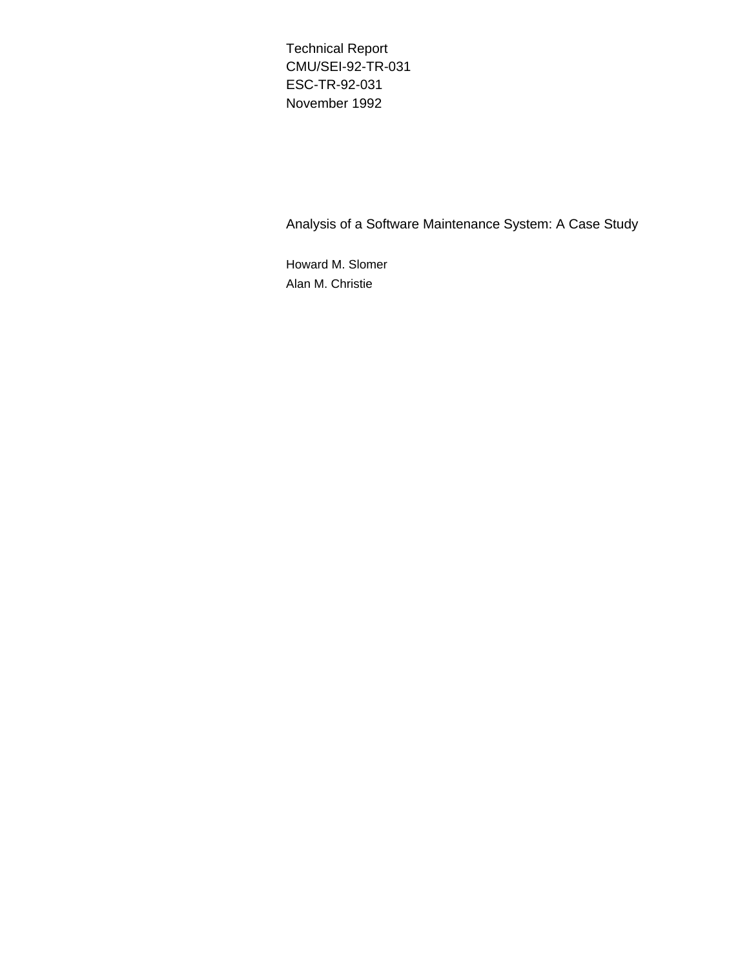Technical Report CMU/SEI-92-TR-031 ESC-TR-92-031 November 1992

Analysis of a Software Maintenance System: A Case Study

Howard M. Slomer Alan M. Christie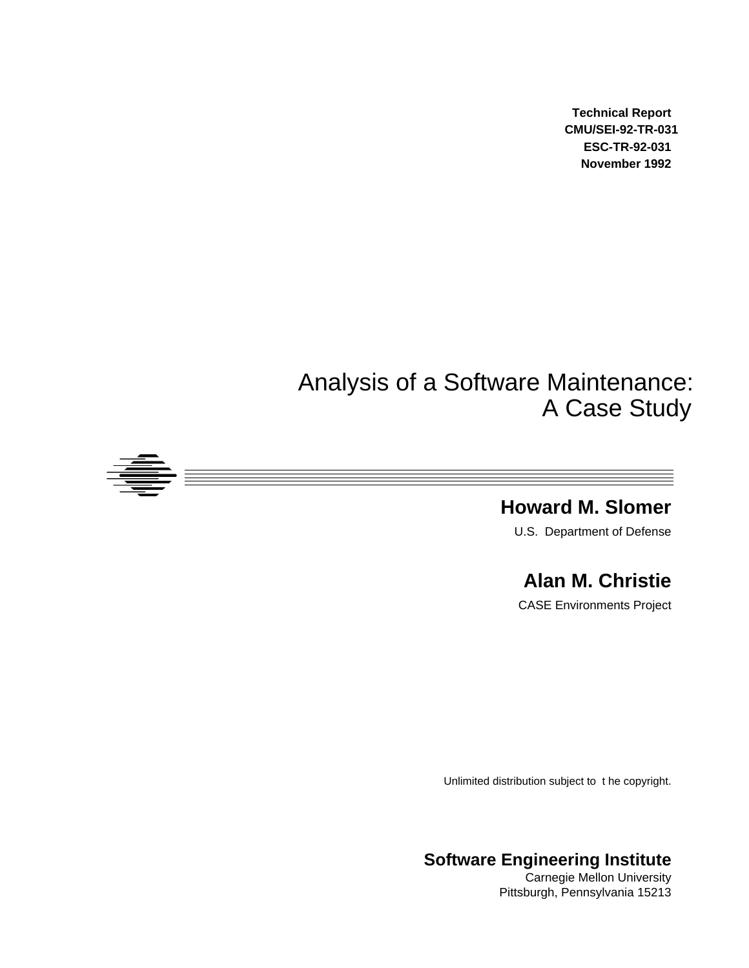**Technical Report CMU/SEI-92-TR-031 ESC-TR-92-031 November 1992**

# Analysis of a Software Maintenance: A Case Study



### **Howard M. Slomer** U.S. Department of Defense

**Alan M. Christie**

CASE Environments Project

Unlimited distribution subject to t he copyright.

**Software Engineering Institute**

Carnegie Mellon University Pittsburgh, Pennsylvania 15213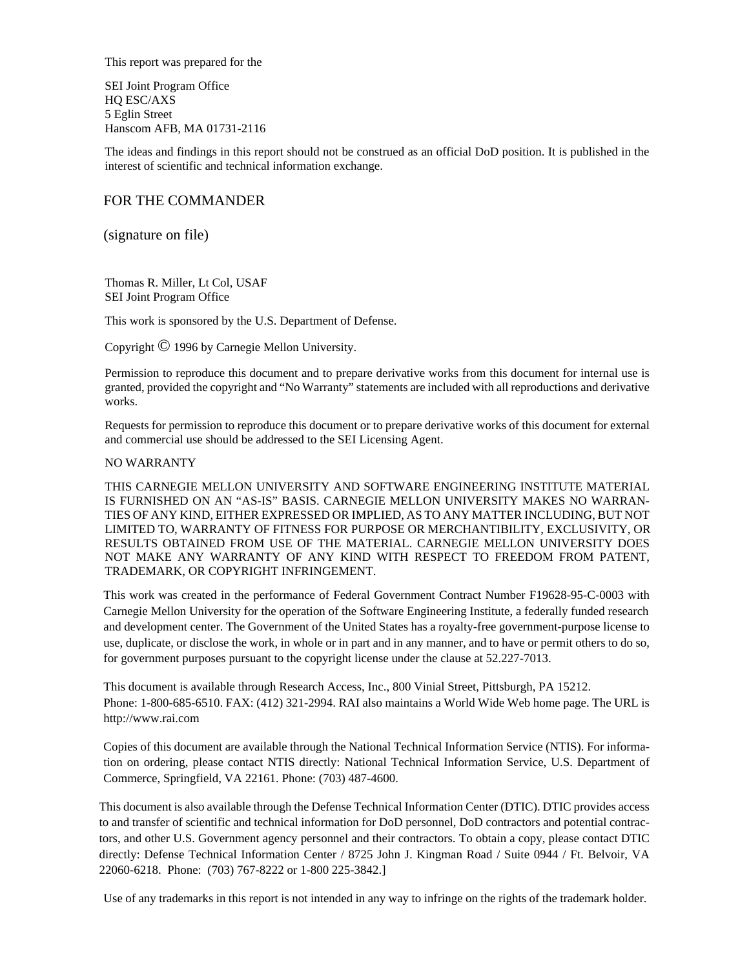This report was prepared for the

SEI Joint Program Office HQ ESC/AXS 5 Eglin Street Hanscom AFB, MA 01731-2116

The ideas and findings in this report should not be construed as an official DoD position. It is published in the interest of scientific and technical information exchange.

#### FOR THE COMMANDER  $\overline{\ }$   $\overline{\ }$

/rotval exch def (signature on file)

> Thomas R. Miller, Lt Col, USAF SEI Joint Program Office

This work is sponsored by the U.S. Department of Defense.

Copyright © 1996 by Carnegie Mellon University.

Permission to reproduce this document and to prepare derivative works from this document for internal use is granted, provided the copyright and "No Warranty" statements are included with all reproductions and derivative works.

Requests for permission to reproduce this document or to prepare derivative works of this document for external and commercial use should be addressed to the SEI Licensing Agent.

#### NO WARRANTY

THIS CARNEGIE MELLON UNIVERSITY AND SOFTWARE ENGINEERING INSTITUTE MATERIAL IS FURNISHED ON AN "AS-IS" BASIS. CARNEGIE MELLON UNIVERSITY MAKES NO WARRAN-TIES OF ANY KIND, EITHER EXPRESSED OR IMPLIED, AS TO ANY MATTER INCLUDING, BUT NOT LIMITED TO, WARRANTY OF FITNESS FOR PURPOSE OR MERCHANTIBILITY, EXCLUSIVITY, OR RESULTS OBTAINED FROM USE OF THE MATERIAL. CARNEGIE MELLON UNIVERSITY DOES NOT MAKE ANY WARRANTY OF ANY KIND WITH RESPECT TO FREEDOM FROM PATENT, TRADEMARK, OR COPYRIGHT INFRINGEMENT.

This work was created in the performance of Federal Government Contract Number F19628-95-C-0003 with Carnegie Mellon University for the operation of the Software Engineering Institute, a federally funded research and development center. The Government of the United States has a royalty-free government-purpose license to use, duplicate, or disclose the work, in whole or in part and in any manner, and to have or permit others to do so, for government purposes pursuant to the copyright license under the clause at 52.227-7013.

This document is available through Research Access, Inc., 800 Vinial Street, Pittsburgh, PA 15212. Phone: 1-800-685-6510. FAX: (412) 321-2994. RAI also maintains a World Wide Web home page. The URL is http://www.rai.com

Copies of this document are available through the National Technical Information Service (NTIS). For information on ordering, please contact NTIS directly: National Technical Information Service, U.S. Department of Commerce, Springfield, VA 22161. Phone: (703) 487-4600.

This document is also available through the Defense Technical Information Center (DTIC). DTIC provides access to and transfer of scientific and technical information for DoD personnel, DoD contractors and potential contractors, and other U.S. Government agency personnel and their contractors. To obtain a copy, please contact DTIC directly: Defense Technical Information Center / 8725 John J. Kingman Road / Suite 0944 / Ft. Belvoir, VA 22060-6218. Phone: (703) 767-8222 or 1-800 225-3842.]

Use of any trademarks in this report is not intended in any way to infringe on the rights of the trademark holder.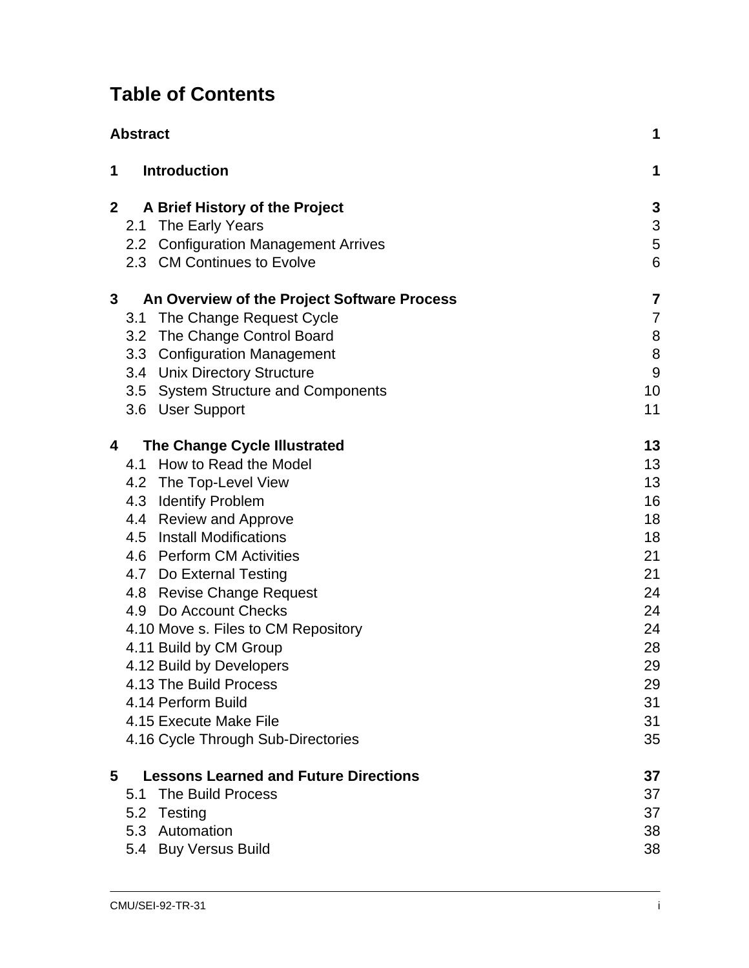## **Table of Contents**

|                | <b>Abstract</b> |                                              |                           |
|----------------|-----------------|----------------------------------------------|---------------------------|
| 1              |                 | <b>Introduction</b>                          | 1                         |
| $\overline{2}$ |                 | A Brief History of the Project               | 3                         |
|                | 2.1             | The Early Years                              | $\ensuremath{\mathsf{3}}$ |
|                | 2.2             | <b>Configuration Management Arrives</b>      | $\sqrt{5}$                |
|                |                 | 2.3 CM Continues to Evolve                   | $6\phantom{1}6$           |
| 3              |                 | An Overview of the Project Software Process  | 7                         |
|                | 3.1             | The Change Request Cycle                     | $\overline{7}$            |
|                | 3.2             | The Change Control Board                     | $\, 8$                    |
|                | 3.3             | <b>Configuration Management</b>              | 8                         |
|                |                 | 3.4 Unix Directory Structure                 | $\overline{9}$            |
|                | 3.5             | <b>System Structure and Components</b>       | 10                        |
|                | 3.6             | <b>User Support</b>                          | 11                        |
| 4              |                 | <b>The Change Cycle Illustrated</b>          | 13                        |
|                | 4.1             | How to Read the Model                        | 13                        |
|                | 4.2             | The Top-Level View                           | 13                        |
|                | 4.3             | <b>Identify Problem</b>                      | 16                        |
|                | 4.4             | <b>Review and Approve</b>                    | 18                        |
|                | 4.5             | <b>Install Modifications</b>                 | 18                        |
|                |                 | 4.6 Perform CM Activities                    | 21                        |
|                |                 | 4.7 Do External Testing                      | 21                        |
|                | 4.8             | <b>Revise Change Request</b>                 | 24                        |
|                | 4.9             | Do Account Checks                            | 24                        |
|                |                 | 4.10 Move s. Files to CM Repository          | 24                        |
|                |                 | 4.11 Build by CM Group                       | 28                        |
|                |                 | 4.12 Build by Developers                     | 29                        |
|                |                 | 4.13 The Build Process                       | 29                        |
|                |                 | 4.14 Perform Build                           | 31                        |
|                |                 | 4.15 Execute Make File                       | 31                        |
|                |                 | 4.16 Cycle Through Sub-Directories           | 35                        |
| 5              |                 | <b>Lessons Learned and Future Directions</b> | 37                        |
|                | 5.1             | The Build Process                            | 37                        |
|                | 5.2             | Testing                                      | 37                        |
|                |                 | 5.3 Automation                               | 38                        |
|                |                 | 5.4 Buy Versus Build                         | 38                        |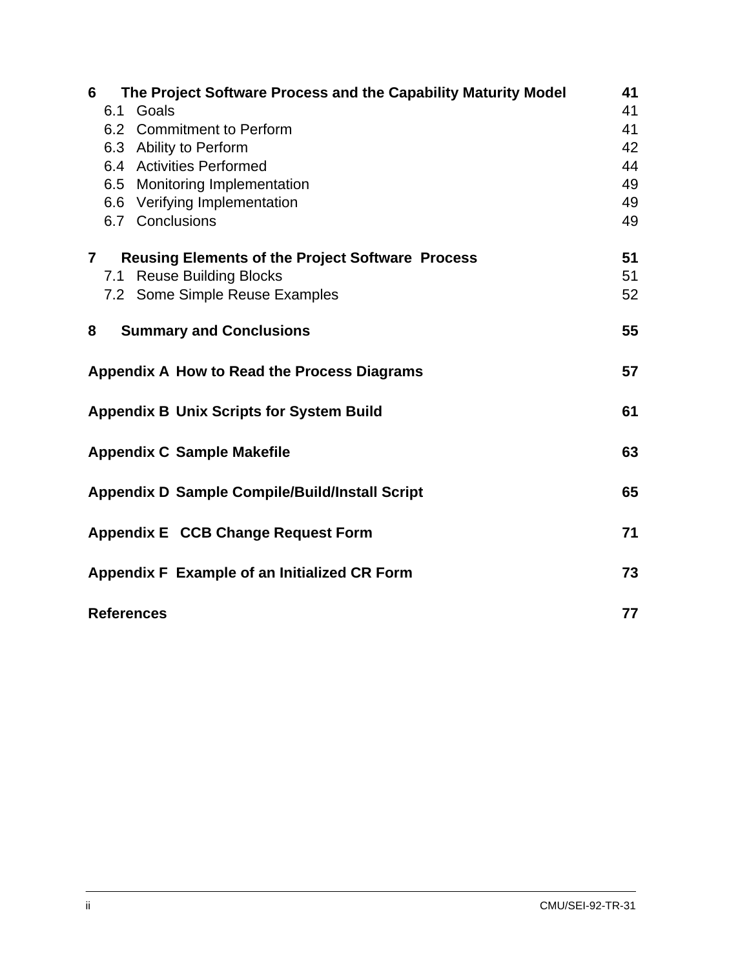| 6                                                           | The Project Software Process and the Capability Maturity Model | 41 |  |  |
|-------------------------------------------------------------|----------------------------------------------------------------|----|--|--|
|                                                             | Goals<br>6.1                                                   | 41 |  |  |
|                                                             | 6.2 Commitment to Perform                                      | 41 |  |  |
|                                                             | 6.3 Ability to Perform                                         | 42 |  |  |
|                                                             | 6.4 Activities Performed                                       | 44 |  |  |
|                                                             | 6.5 Monitoring Implementation                                  | 49 |  |  |
|                                                             | 6.6 Verifying Implementation                                   | 49 |  |  |
|                                                             | 6.7 Conclusions                                                | 49 |  |  |
| $\mathbf{7}$                                                | <b>Reusing Elements of the Project Software Process</b>        | 51 |  |  |
|                                                             | <b>Reuse Building Blocks</b><br>7.1                            | 51 |  |  |
|                                                             | 7.2 Some Simple Reuse Examples                                 | 52 |  |  |
| 8                                                           | <b>Summary and Conclusions</b>                                 | 55 |  |  |
| Appendix A How to Read the Process Diagrams                 |                                                                |    |  |  |
| <b>Appendix B Unix Scripts for System Build</b>             |                                                                |    |  |  |
| <b>Appendix C Sample Makefile</b><br>63                     |                                                                |    |  |  |
| <b>Appendix D Sample Compile/Build/Install Script</b><br>65 |                                                                |    |  |  |
| Appendix E CCB Change Request Form<br>71                    |                                                                |    |  |  |
| Appendix F Example of an Initialized CR Form                |                                                                |    |  |  |
| <b>References</b>                                           |                                                                |    |  |  |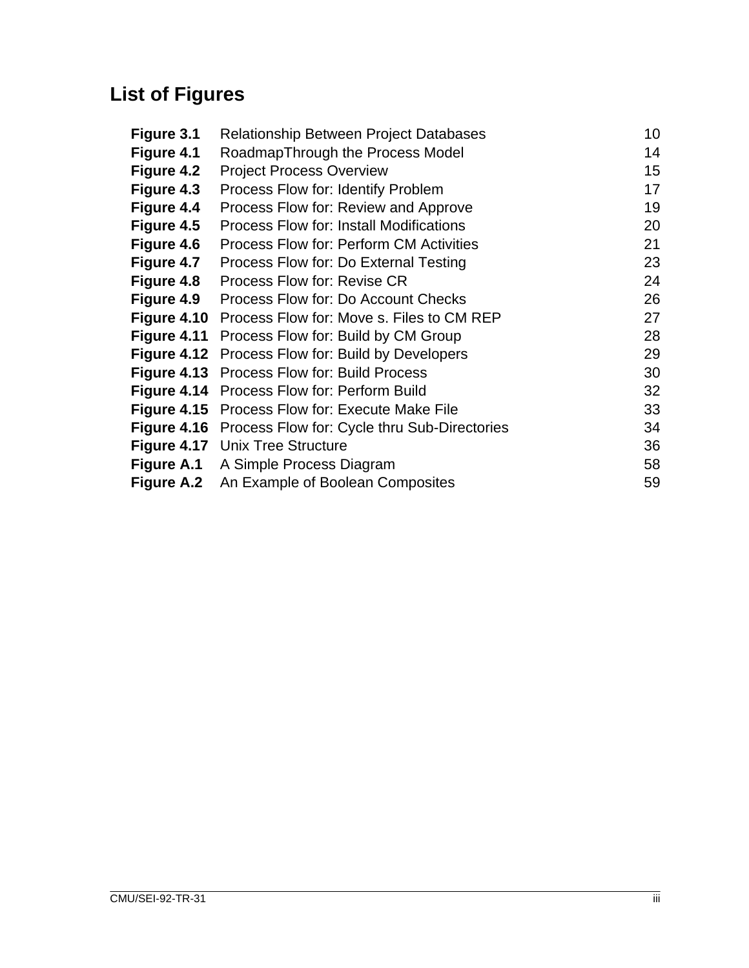# **List of Figures**

| Figure 3.1        | Relationship Between Project Databases         | 10 |
|-------------------|------------------------------------------------|----|
| Figure 4.1        | RoadmapThrough the Process Model               | 14 |
| Figure 4.2        | <b>Project Process Overview</b>                | 15 |
| Figure 4.3        | Process Flow for: Identify Problem             | 17 |
| Figure 4.4        | Process Flow for: Review and Approve           | 19 |
| Figure 4.5        | <b>Process Flow for: Install Modifications</b> | 20 |
| <b>Figure 4.6</b> | <b>Process Flow for: Perform CM Activities</b> | 21 |
| Figure 4.7        | Process Flow for: Do External Testing          | 23 |
| <b>Figure 4.8</b> | Process Flow for: Revise CR                    | 24 |
| <b>Figure 4.9</b> | Process Flow for: Do Account Checks            | 26 |
| Figure 4.10       | Process Flow for: Move s. Files to CM REP      | 27 |
| Figure 4.11       | Process Flow for: Build by CM Group            | 28 |
| Figure 4.12       | Process Flow for: Build by Developers          | 29 |
| Figure 4.13       | <b>Process Flow for: Build Process</b>         | 30 |
| Figure 4.14       | Process Flow for: Perform Build                | 32 |
| Figure 4.15       | Process Flow for: Execute Make File            | 33 |
| Figure 4.16       | Process Flow for: Cycle thru Sub-Directories   | 34 |
|                   | <b>Figure 4.17</b> Unix Tree Structure         | 36 |
| <b>Figure A.1</b> | A Simple Process Diagram                       | 58 |
| <b>Figure A.2</b> | An Example of Boolean Composites               | 59 |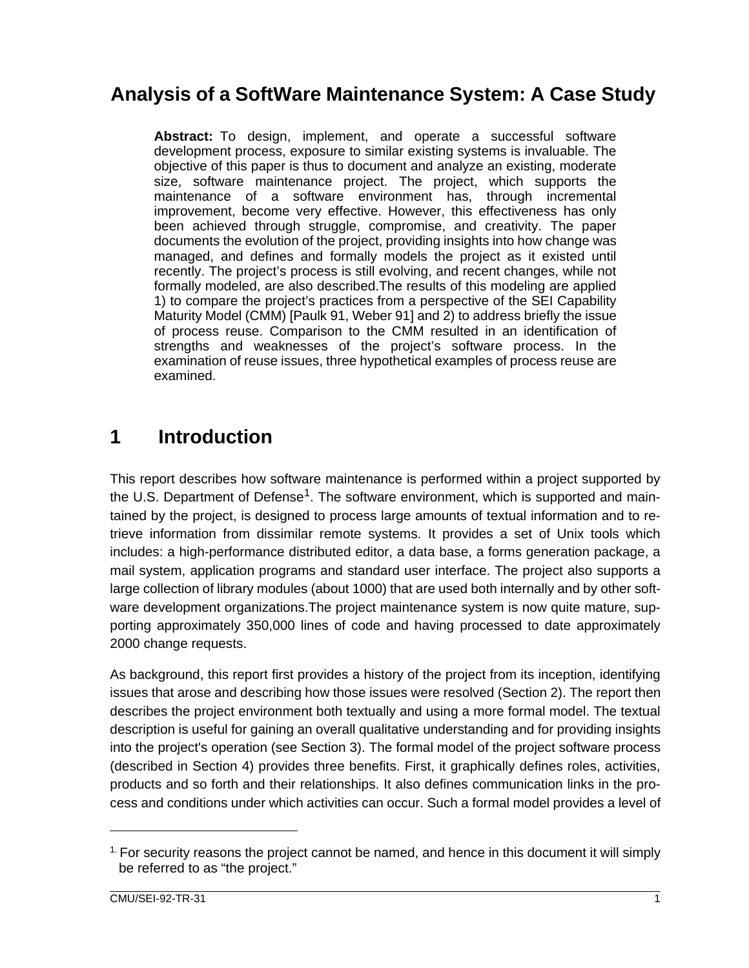## **Analysis of a SoftWare Maintenance System: A Case Study**

**Abstract:** To design, implement, and operate a successful software development process, exposure to similar existing systems is invaluable. The objective of this paper is thus to document and analyze an existing, moderate size, software maintenance project. The project, which supports the maintenance of a software environment has, through incremental improvement, become very effective. However, this effectiveness has only been achieved through struggle, compromise, and creativity. The paper documents the evolution of the project, providing insights into how change was managed, and defines and formally models the project as it existed until recently. The project's process is still evolving, and recent changes, while not formally modeled, are also described.The results of this modeling are applied 1) to compare the project's practices from a perspective of the SEI Capability Maturity Model (CMM) [Paulk 91, Weber 91] and 2) to address briefly the issue of process reuse. Comparison to the CMM resulted in an identification of strengths and weaknesses of the project's software process. In the examination of reuse issues, three hypothetical examples of process reuse are examined.

## **1 Introduction**

This report describes how software maintenance is performed within a project supported by the U.S. Department of Defense<sup>1</sup>. The software environment, which is supported and maintained by the project, is designed to process large amounts of textual information and to retrieve information from dissimilar remote systems. It provides a set of Unix tools which includes: a high-performance distributed editor, a data base, a forms generation package, a mail system, application programs and standard user interface. The project also supports a large collection of library modules (about 1000) that are used both internally and by other software development organizations.The project maintenance system is now quite mature, supporting approximately 350,000 lines of code and having processed to date approximately 2000 change requests.

As background, this report first provides a history of the project from its inception, identifying issues that arose and describing how those issues were resolved (Section 2). The report then describes the project environment both textually and using a more formal model. The textual description is useful for gaining an overall qualitative understanding and for providing insights into the project's operation (see Section 3). The formal model of the project software process (described in Section 4) provides three benefits. First, it graphically defines roles, activities, products and so forth and their relationships. It also defines communication links in the process and conditions under which activities can occur. Such a formal model provides a level of

 $<sup>1</sup>$  For security reasons the project cannot be named, and hence in this document it will simply</sup> be referred to as "the project."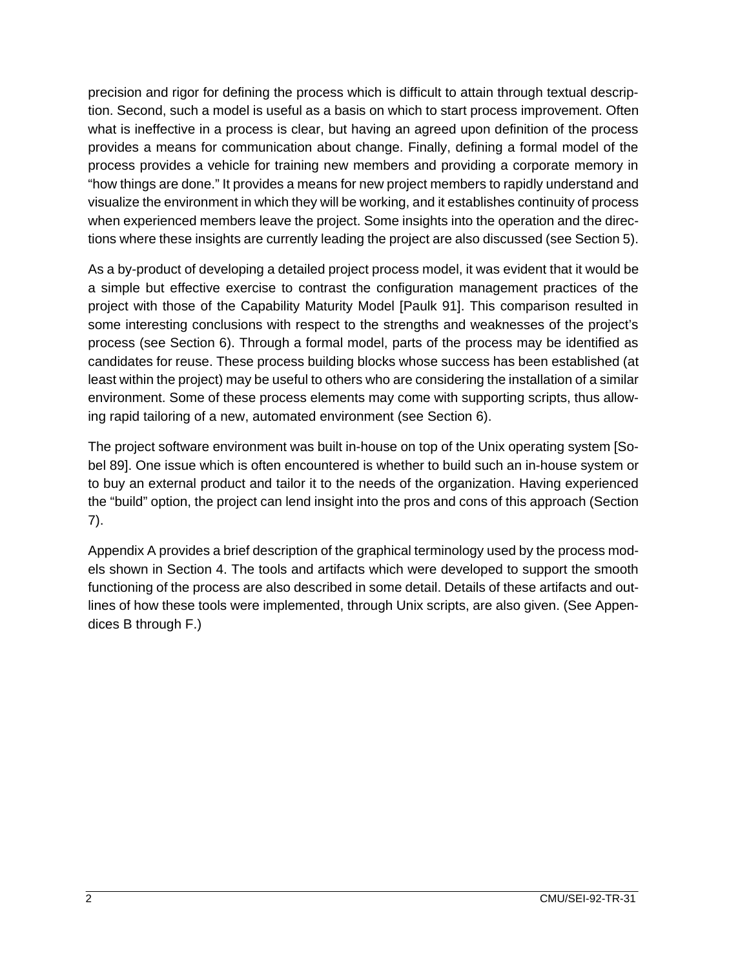precision and rigor for defining the process which is difficult to attain through textual description. Second, such a model is useful as a basis on which to start process improvement. Often what is ineffective in a process is clear, but having an agreed upon definition of the process provides a means for communication about change. Finally, defining a formal model of the process provides a vehicle for training new members and providing a corporate memory in "how things are done." It provides a means for new project members to rapidly understand and visualize the environment in which they will be working, and it establishes continuity of process when experienced members leave the project. Some insights into the operation and the directions where these insights are currently leading the project are also discussed (see Section 5).

As a by-product of developing a detailed project process model, it was evident that it would be a simple but effective exercise to contrast the configuration management practices of the project with those of the Capability Maturity Model [Paulk 91]. This comparison resulted in some interesting conclusions with respect to the strengths and weaknesses of the project's process (see Section 6). Through a formal model, parts of the process may be identified as candidates for reuse. These process building blocks whose success has been established (at least within the project) may be useful to others who are considering the installation of a similar environment. Some of these process elements may come with supporting scripts, thus allowing rapid tailoring of a new, automated environment (see Section 6).

The project software environment was built in-house on top of the Unix operating system [Sobel 89]. One issue which is often encountered is whether to build such an in-house system or to buy an external product and tailor it to the needs of the organization. Having experienced the "build" option, the project can lend insight into the pros and cons of this approach (Section 7).

Appendix A provides a brief description of the graphical terminology used by the process models shown in Section 4. The tools and artifacts which were developed to support the smooth functioning of the process are also described in some detail. Details of these artifacts and outlines of how these tools were implemented, through Unix scripts, are also given. (See Appendices B through F.)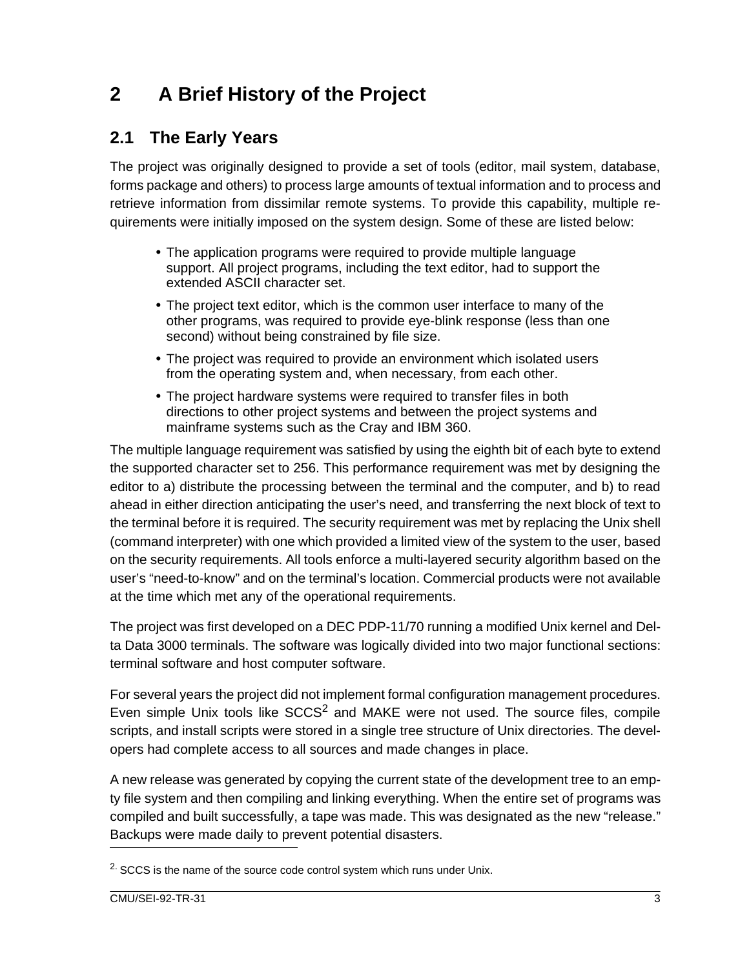## **2 A Brief History of the Project**

### **2.1 The Early Years**

The project was originally designed to provide a set of tools (editor, mail system, database, forms package and others) to process large amounts of textual information and to process and retrieve information from dissimilar remote systems. To provide this capability, multiple requirements were initially imposed on the system design. Some of these are listed below:

- The application programs were required to provide multiple language support. All project programs, including the text editor, had to support the extended ASCII character set.
- The project text editor, which is the common user interface to many of the other programs, was required to provide eye-blink response (less than one second) without being constrained by file size.
- The project was required to provide an environment which isolated users from the operating system and, when necessary, from each other.
- The project hardware systems were required to transfer files in both directions to other project systems and between the project systems and mainframe systems such as the Cray and IBM 360.

The multiple language requirement was satisfied by using the eighth bit of each byte to extend the supported character set to 256. This performance requirement was met by designing the editor to a) distribute the processing between the terminal and the computer, and b) to read ahead in either direction anticipating the user's need, and transferring the next block of text to the terminal before it is required. The security requirement was met by replacing the Unix shell (command interpreter) with one which provided a limited view of the system to the user, based on the security requirements. All tools enforce a multi-layered security algorithm based on the user's "need-to-know" and on the terminal's location. Commercial products were not available at the time which met any of the operational requirements.

The project was first developed on a DEC PDP-11/70 running a modified Unix kernel and Delta Data 3000 terminals. The software was logically divided into two major functional sections: terminal software and host computer software.

For several years the project did not implement formal configuration management procedures. Even simple Unix tools like  $SCCS<sup>2</sup>$  and MAKE were not used. The source files, compile scripts, and install scripts were stored in a single tree structure of Unix directories. The developers had complete access to all sources and made changes in place.

A new release was generated by copying the current state of the development tree to an empty file system and then compiling and linking everything. When the entire set of programs was compiled and built successfully, a tape was made. This was designated as the new "release." Backups were made daily to prevent potential disasters.

 $2\cdot$  SCCS is the name of the source code control system which runs under Unix.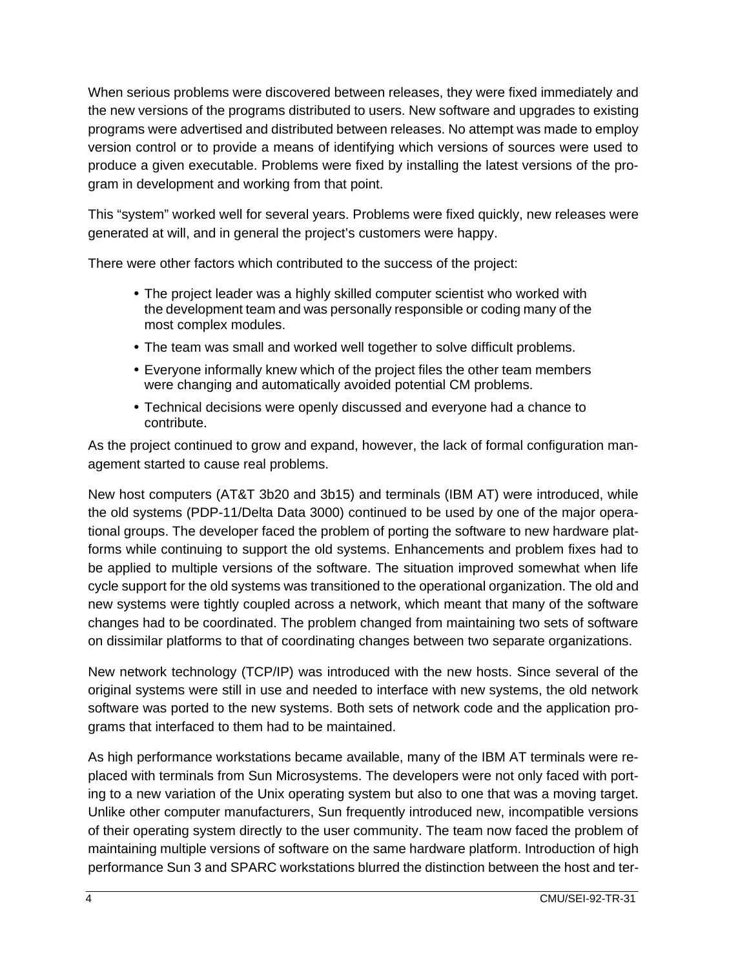When serious problems were discovered between releases, they were fixed immediately and the new versions of the programs distributed to users. New software and upgrades to existing programs were advertised and distributed between releases. No attempt was made to employ version control or to provide a means of identifying which versions of sources were used to produce a given executable. Problems were fixed by installing the latest versions of the program in development and working from that point.

This "system" worked well for several years. Problems were fixed quickly, new releases were generated at will, and in general the project's customers were happy.

There were other factors which contributed to the success of the project:

- The project leader was a highly skilled computer scientist who worked with the development team and was personally responsible or coding many of the most complex modules.
- The team was small and worked well together to solve difficult problems.
- Everyone informally knew which of the project files the other team members were changing and automatically avoided potential CM problems.
- Technical decisions were openly discussed and everyone had a chance to contribute.

As the project continued to grow and expand, however, the lack of formal configuration management started to cause real problems.

New host computers (AT&T 3b20 and 3b15) and terminals (IBM AT) were introduced, while the old systems (PDP-11/Delta Data 3000) continued to be used by one of the major operational groups. The developer faced the problem of porting the software to new hardware platforms while continuing to support the old systems. Enhancements and problem fixes had to be applied to multiple versions of the software. The situation improved somewhat when life cycle support for the old systems was transitioned to the operational organization. The old and new systems were tightly coupled across a network, which meant that many of the software changes had to be coordinated. The problem changed from maintaining two sets of software on dissimilar platforms to that of coordinating changes between two separate organizations.

New network technology (TCP/IP) was introduced with the new hosts. Since several of the original systems were still in use and needed to interface with new systems, the old network software was ported to the new systems. Both sets of network code and the application programs that interfaced to them had to be maintained.

As high performance workstations became available, many of the IBM AT terminals were replaced with terminals from Sun Microsystems. The developers were not only faced with porting to a new variation of the Unix operating system but also to one that was a moving target. Unlike other computer manufacturers, Sun frequently introduced new, incompatible versions of their operating system directly to the user community. The team now faced the problem of maintaining multiple versions of software on the same hardware platform. Introduction of high performance Sun 3 and SPARC workstations blurred the distinction between the host and ter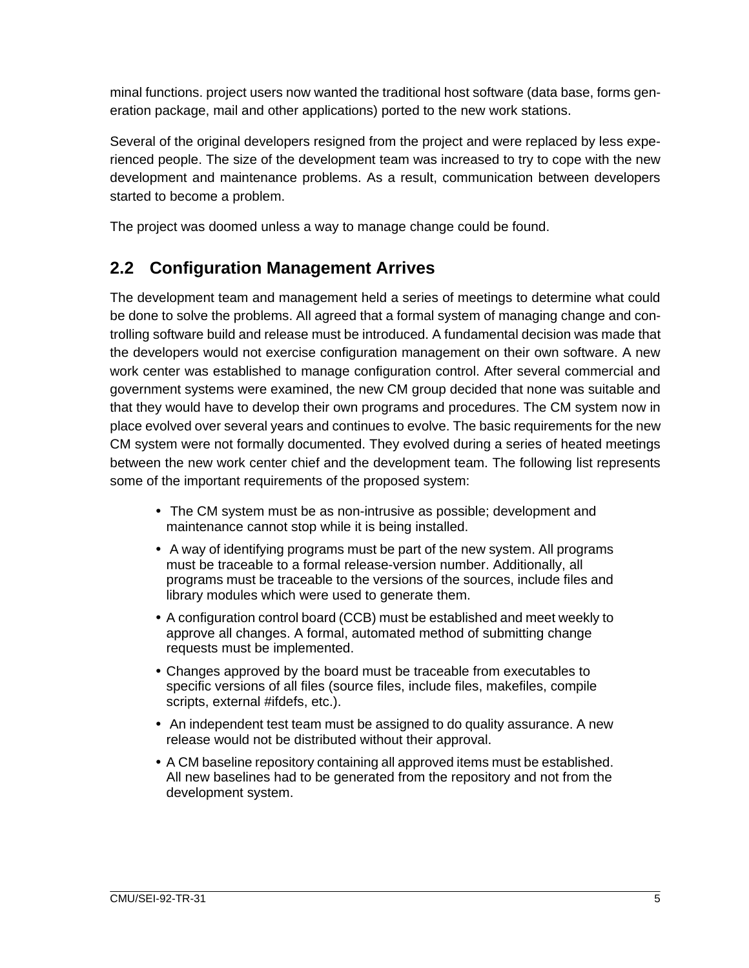minal functions. project users now wanted the traditional host software (data base, forms generation package, mail and other applications) ported to the new work stations.

Several of the original developers resigned from the project and were replaced by less experienced people. The size of the development team was increased to try to cope with the new development and maintenance problems. As a result, communication between developers started to become a problem.

The project was doomed unless a way to manage change could be found.

### **2.2 Configuration Management Arrives**

The development team and management held a series of meetings to determine what could be done to solve the problems. All agreed that a formal system of managing change and controlling software build and release must be introduced. A fundamental decision was made that the developers would not exercise configuration management on their own software. A new work center was established to manage configuration control. After several commercial and government systems were examined, the new CM group decided that none was suitable and that they would have to develop their own programs and procedures. The CM system now in place evolved over several years and continues to evolve. The basic requirements for the new CM system were not formally documented. They evolved during a series of heated meetings between the new work center chief and the development team. The following list represents some of the important requirements of the proposed system:

- The CM system must be as non-intrusive as possible; development and maintenance cannot stop while it is being installed.
- A way of identifying programs must be part of the new system. All programs must be traceable to a formal release-version number. Additionally, all programs must be traceable to the versions of the sources, include files and library modules which were used to generate them.
- A configuration control board (CCB) must be established and meet weekly to approve all changes. A formal, automated method of submitting change requests must be implemented.
- Changes approved by the board must be traceable from executables to specific versions of all files (source files, include files, makefiles, compile scripts, external #ifdefs, etc.).
- An independent test team must be assigned to do quality assurance. A new release would not be distributed without their approval.
- A CM baseline repository containing all approved items must be established. All new baselines had to be generated from the repository and not from the development system.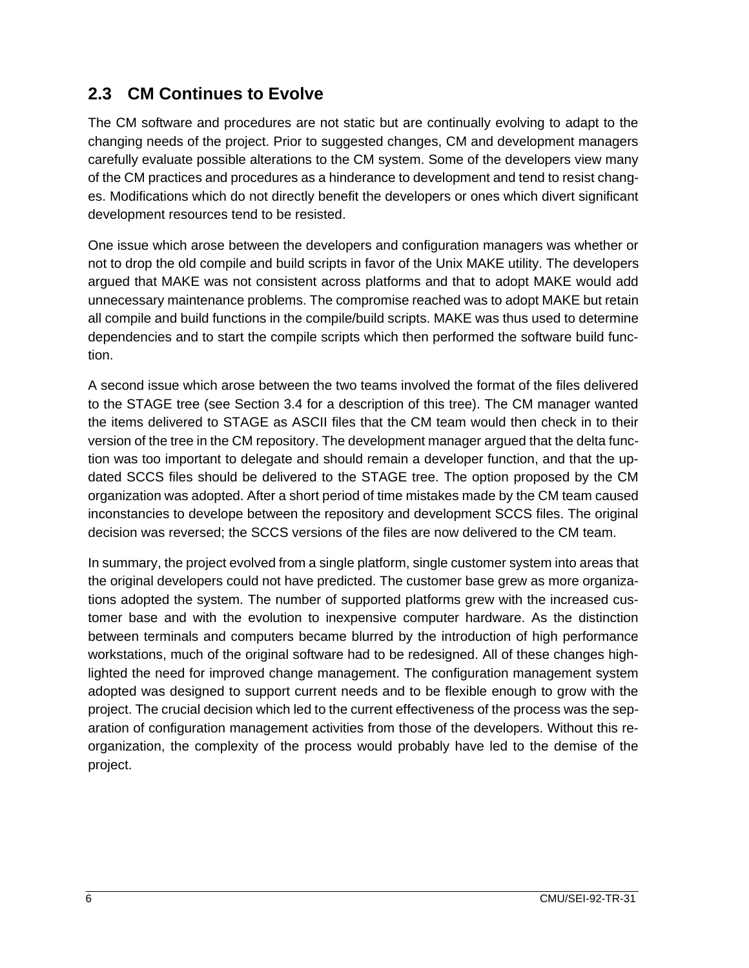### **2.3 CM Continues to Evolve**

The CM software and procedures are not static but are continually evolving to adapt to the changing needs of the project. Prior to suggested changes, CM and development managers carefully evaluate possible alterations to the CM system. Some of the developers view many of the CM practices and procedures as a hinderance to development and tend to resist changes. Modifications which do not directly benefit the developers or ones which divert significant development resources tend to be resisted.

One issue which arose between the developers and configuration managers was whether or not to drop the old compile and build scripts in favor of the Unix MAKE utility. The developers argued that MAKE was not consistent across platforms and that to adopt MAKE would add unnecessary maintenance problems. The compromise reached was to adopt MAKE but retain all compile and build functions in the compile/build scripts. MAKE was thus used to determine dependencies and to start the compile scripts which then performed the software build function.

A second issue which arose between the two teams involved the format of the files delivered to the STAGE tree (see Section 3.4 for a description of this tree). The CM manager wanted the items delivered to STAGE as ASCII files that the CM team would then check in to their version of the tree in the CM repository. The development manager argued that the delta function was too important to delegate and should remain a developer function, and that the updated SCCS files should be delivered to the STAGE tree. The option proposed by the CM organization was adopted. After a short period of time mistakes made by the CM team caused inconstancies to develope between the repository and development SCCS files. The original decision was reversed; the SCCS versions of the files are now delivered to the CM team.

In summary, the project evolved from a single platform, single customer system into areas that the original developers could not have predicted. The customer base grew as more organizations adopted the system. The number of supported platforms grew with the increased customer base and with the evolution to inexpensive computer hardware. As the distinction between terminals and computers became blurred by the introduction of high performance workstations, much of the original software had to be redesigned. All of these changes highlighted the need for improved change management. The configuration management system adopted was designed to support current needs and to be flexible enough to grow with the project. The crucial decision which led to the current effectiveness of the process was the separation of configuration management activities from those of the developers. Without this reorganization, the complexity of the process would probably have led to the demise of the project.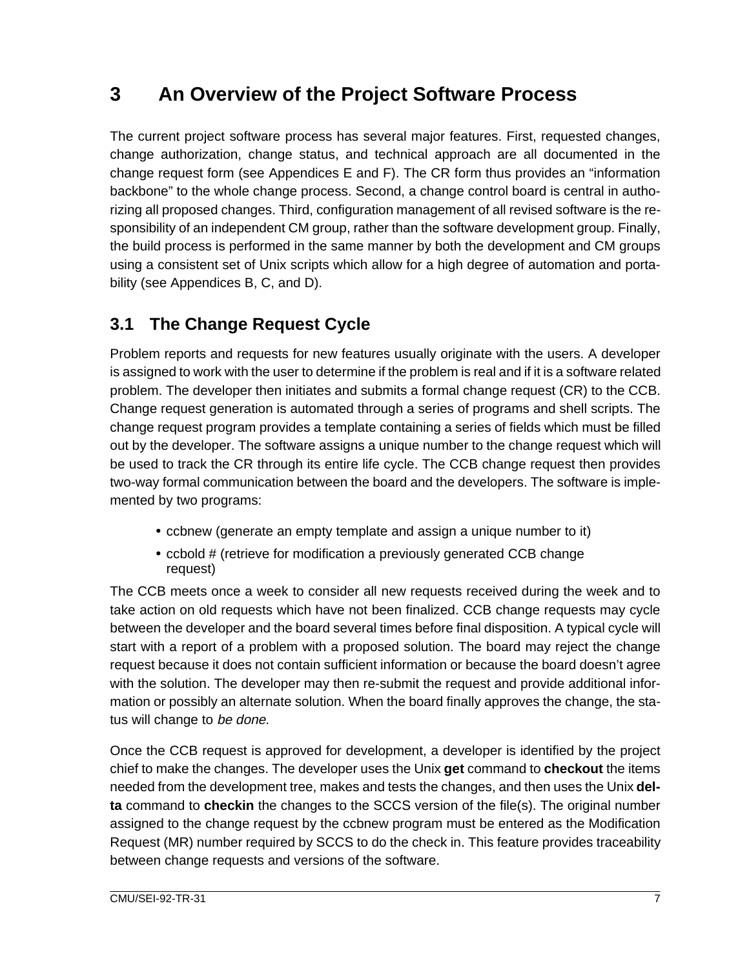## **3 An Overview of the Project Software Process**

The current project software process has several major features. First, requested changes, change authorization, change status, and technical approach are all documented in the change request form (see Appendices E and F). The CR form thus provides an "information backbone" to the whole change process. Second, a change control board is central in authorizing all proposed changes. Third, configuration management of all revised software is the responsibility of an independent CM group, rather than the software development group. Finally, the build process is performed in the same manner by both the development and CM groups using a consistent set of Unix scripts which allow for a high degree of automation and portability (see Appendices B, C, and D).

### **3.1 The Change Request Cycle**

Problem reports and requests for new features usually originate with the users. A developer is assigned to work with the user to determine if the problem is real and if it is a software related problem. The developer then initiates and submits a formal change request (CR) to the CCB. Change request generation is automated through a series of programs and shell scripts. The change request program provides a template containing a series of fields which must be filled out by the developer. The software assigns a unique number to the change request which will be used to track the CR through its entire life cycle. The CCB change request then provides two-way formal communication between the board and the developers. The software is implemented by two programs:

- ccbnew (generate an empty template and assign a unique number to it)
- ccbold # (retrieve for modification a previously generated CCB change request)

The CCB meets once a week to consider all new requests received during the week and to take action on old requests which have not been finalized. CCB change requests may cycle between the developer and the board several times before final disposition. A typical cycle will start with a report of a problem with a proposed solution. The board may reject the change request because it does not contain sufficient information or because the board doesn't agree with the solution. The developer may then re-submit the request and provide additional information or possibly an alternate solution. When the board finally approves the change, the status will change to be done.

Once the CCB request is approved for development, a developer is identified by the project chief to make the changes. The developer uses the Unix **get** command to **checkout** the items needed from the development tree, makes and tests the changes, and then uses the Unix **delta** command to **checkin** the changes to the SCCS version of the file(s). The original number assigned to the change request by the ccbnew program must be entered as the Modification Request (MR) number required by SCCS to do the check in. This feature provides traceability between change requests and versions of the software.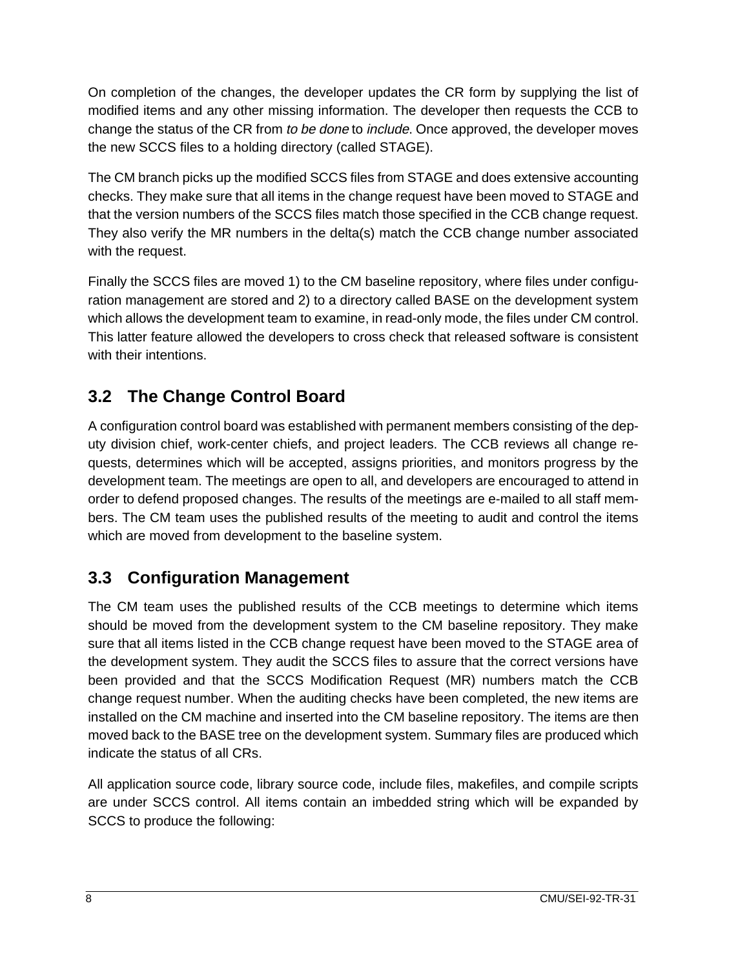On completion of the changes, the developer updates the CR form by supplying the list of modified items and any other missing information. The developer then requests the CCB to change the status of the CR from to be done to include. Once approved, the developer moves the new SCCS files to a holding directory (called STAGE).

The CM branch picks up the modified SCCS files from STAGE and does extensive accounting checks. They make sure that all items in the change request have been moved to STAGE and that the version numbers of the SCCS files match those specified in the CCB change request. They also verify the MR numbers in the delta(s) match the CCB change number associated with the request.

Finally the SCCS files are moved 1) to the CM baseline repository, where files under configuration management are stored and 2) to a directory called BASE on the development system which allows the development team to examine, in read-only mode, the files under CM control. This latter feature allowed the developers to cross check that released software is consistent with their intentions.

### **3.2 The Change Control Board**

A configuration control board was established with permanent members consisting of the deputy division chief, work-center chiefs, and project leaders. The CCB reviews all change requests, determines which will be accepted, assigns priorities, and monitors progress by the development team. The meetings are open to all, and developers are encouraged to attend in order to defend proposed changes. The results of the meetings are e-mailed to all staff members. The CM team uses the published results of the meeting to audit and control the items which are moved from development to the baseline system.

### **3.3 Configuration Management**

The CM team uses the published results of the CCB meetings to determine which items should be moved from the development system to the CM baseline repository. They make sure that all items listed in the CCB change request have been moved to the STAGE area of the development system. They audit the SCCS files to assure that the correct versions have been provided and that the SCCS Modification Request (MR) numbers match the CCB change request number. When the auditing checks have been completed, the new items are installed on the CM machine and inserted into the CM baseline repository. The items are then moved back to the BASE tree on the development system. Summary files are produced which indicate the status of all CRs.

All application source code, library source code, include files, makefiles, and compile scripts are under SCCS control. All items contain an imbedded string which will be expanded by SCCS to produce the following: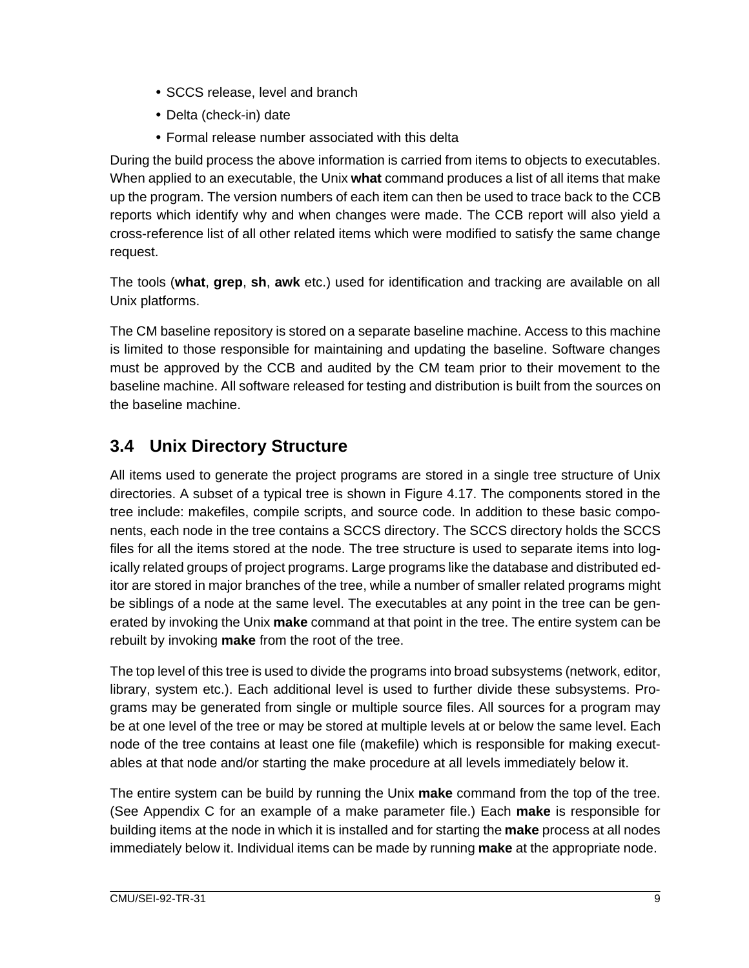- SCCS release, level and branch
- Delta (check-in) date
- Formal release number associated with this delta

During the build process the above information is carried from items to objects to executables. When applied to an executable, the Unix **what** command produces a list of all items that make up the program. The version numbers of each item can then be used to trace back to the CCB reports which identify why and when changes were made. The CCB report will also yield a cross-reference list of all other related items which were modified to satisfy the same change request.

The tools (**what**, **grep**, **sh**, **awk** etc.) used for identification and tracking are available on all Unix platforms.

The CM baseline repository is stored on a separate baseline machine. Access to this machine is limited to those responsible for maintaining and updating the baseline. Software changes must be approved by the CCB and audited by the CM team prior to their movement to the baseline machine. All software released for testing and distribution is built from the sources on the baseline machine.

### **3.4 Unix Directory Structure**

All items used to generate the project programs are stored in a single tree structure of Unix directories. A subset of a typical tree is shown in Figure 4.17. The components stored in the tree include: makefiles, compile scripts, and source code. In addition to these basic components, each node in the tree contains a SCCS directory. The SCCS directory holds the SCCS files for all the items stored at the node. The tree structure is used to separate items into logically related groups of project programs. Large programs like the database and distributed editor are stored in major branches of the tree, while a number of smaller related programs might be siblings of a node at the same level. The executables at any point in the tree can be generated by invoking the Unix **make** command at that point in the tree. The entire system can be rebuilt by invoking **make** from the root of the tree.

The top level of this tree is used to divide the programs into broad subsystems (network, editor, library, system etc.). Each additional level is used to further divide these subsystems. Programs may be generated from single or multiple source files. All sources for a program may be at one level of the tree or may be stored at multiple levels at or below the same level. Each node of the tree contains at least one file (makefile) which is responsible for making executables at that node and/or starting the make procedure at all levels immediately below it.

The entire system can be build by running the Unix **make** command from the top of the tree. (See Appendix C for an example of a make parameter file.) Each **make** is responsible for building items at the node in which it is installed and for starting the **make** process at all nodes immediately below it. Individual items can be made by running **make** at the appropriate node.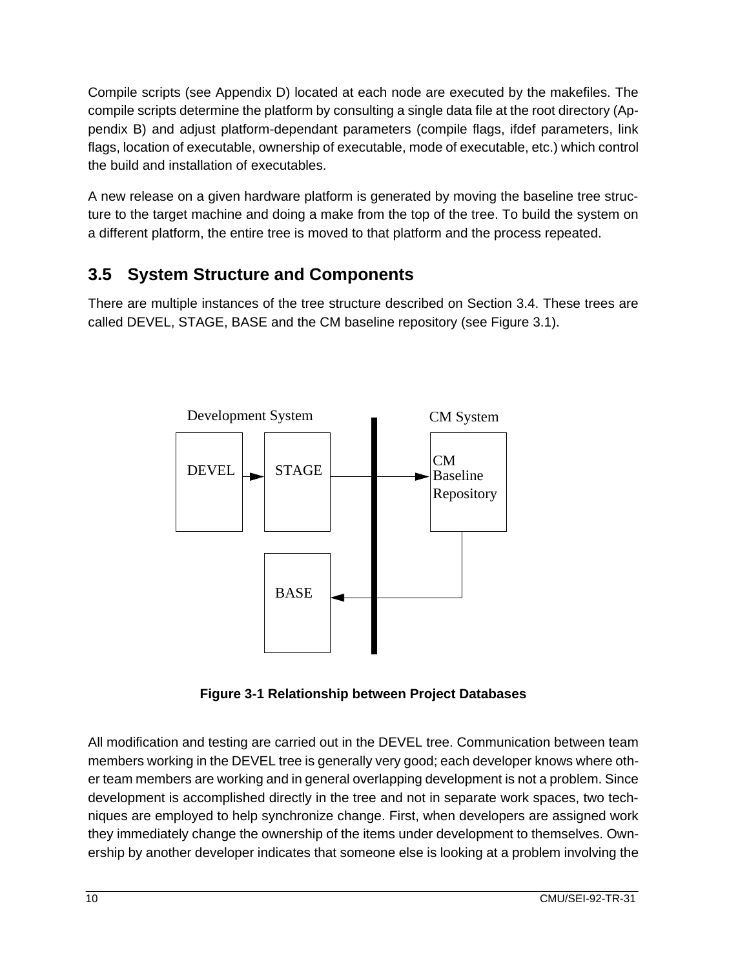Compile scripts (see Appendix D) located at each node are executed by the makefiles. The compile scripts determine the platform by consulting a single data file at the root directory (Appendix B) and adjust platform-dependant parameters (compile flags, ifdef parameters, link flags, location of executable, ownership of executable, mode of executable, etc.) which control the build and installation of executables.

A new release on a given hardware platform is generated by moving the baseline tree structure to the target machine and doing a make from the top of the tree. To build the system on a different platform, the entire tree is moved to that platform and the process repeated.

### **3.5 System Structure and Components**

There are multiple instances of the tree structure described on Section 3.4. These trees are called DEVEL, STAGE, BASE and the CM baseline repository (see Figure 3.1).



**Figure 3-1 Relationship between Project Databases**

All modification and testing are carried out in the DEVEL tree. Communication between team members working in the DEVEL tree is generally very good; each developer knows where other team members are working and in general overlapping development is not a problem. Since development is accomplished directly in the tree and not in separate work spaces, two techniques are employed to help synchronize change. First, when developers are assigned work they immediately change the ownership of the items under development to themselves. Ownership by another developer indicates that someone else is looking at a problem involving the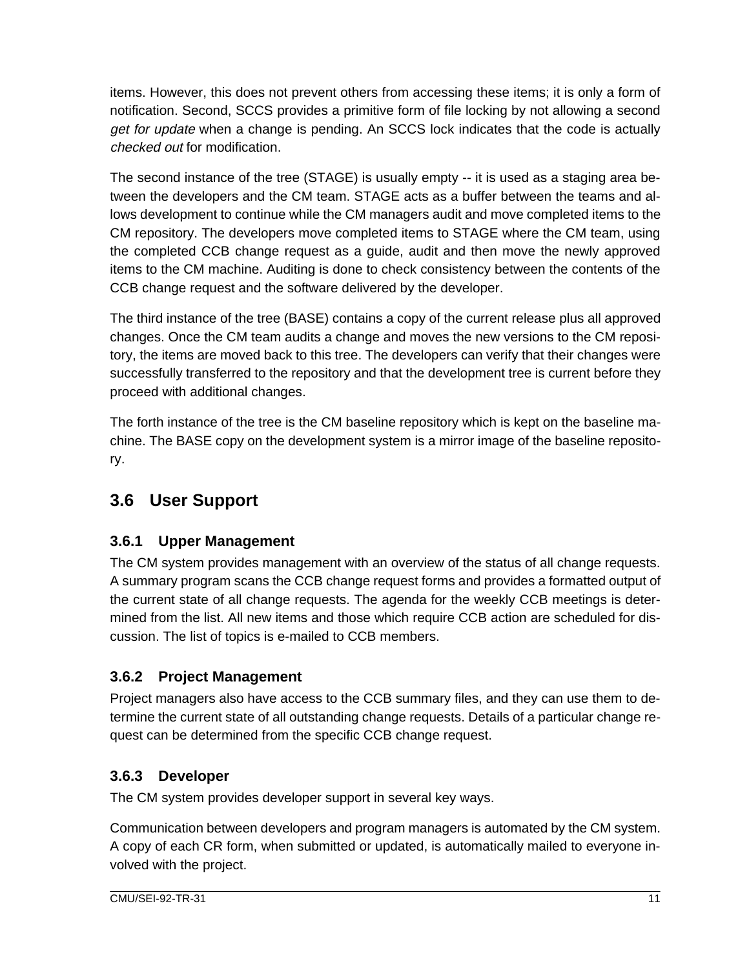items. However, this does not prevent others from accessing these items; it is only a form of notification. Second, SCCS provides a primitive form of file locking by not allowing a second get for update when a change is pending. An SCCS lock indicates that the code is actually checked out for modification.

The second instance of the tree (STAGE) is usually empty -- it is used as a staging area between the developers and the CM team. STAGE acts as a buffer between the teams and allows development to continue while the CM managers audit and move completed items to the CM repository. The developers move completed items to STAGE where the CM team, using the completed CCB change request as a guide, audit and then move the newly approved items to the CM machine. Auditing is done to check consistency between the contents of the CCB change request and the software delivered by the developer.

The third instance of the tree (BASE) contains a copy of the current release plus all approved changes. Once the CM team audits a change and moves the new versions to the CM repository, the items are moved back to this tree. The developers can verify that their changes were successfully transferred to the repository and that the development tree is current before they proceed with additional changes.

The forth instance of the tree is the CM baseline repository which is kept on the baseline machine. The BASE copy on the development system is a mirror image of the baseline repository.

### **3.6 User Support**

### **3.6.1 Upper Management**

The CM system provides management with an overview of the status of all change requests. A summary program scans the CCB change request forms and provides a formatted output of the current state of all change requests. The agenda for the weekly CCB meetings is determined from the list. All new items and those which require CCB action are scheduled for discussion. The list of topics is e-mailed to CCB members.

### **3.6.2 Project Management**

Project managers also have access to the CCB summary files, and they can use them to determine the current state of all outstanding change requests. Details of a particular change request can be determined from the specific CCB change request.

### **3.6.3 Developer**

The CM system provides developer support in several key ways.

Communication between developers and program managers is automated by the CM system. A copy of each CR form, when submitted or updated, is automatically mailed to everyone involved with the project.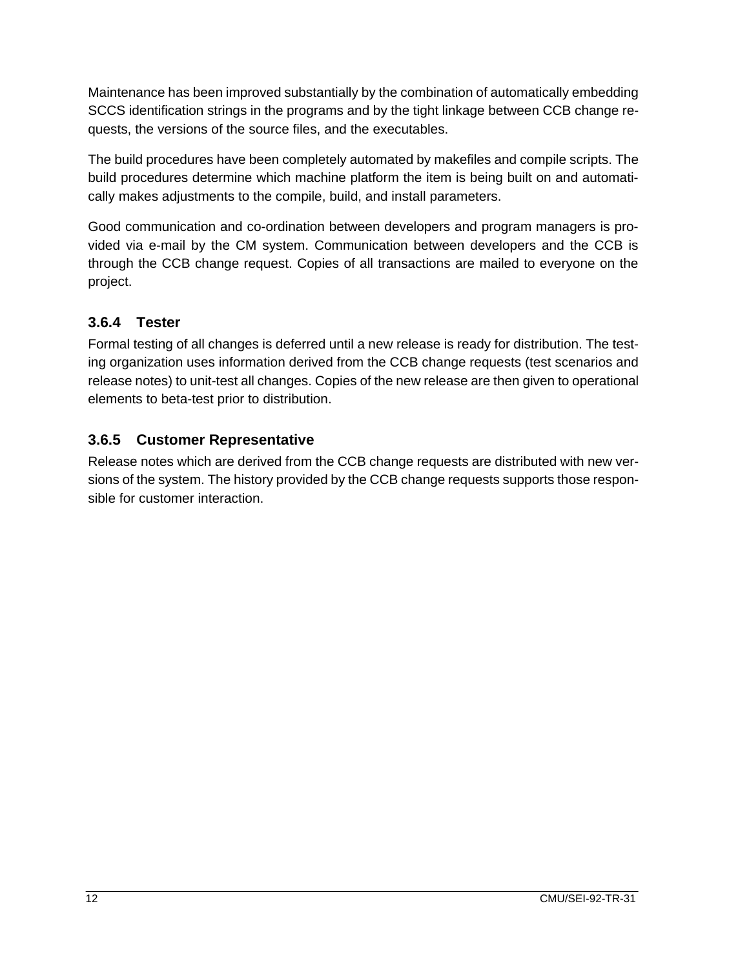Maintenance has been improved substantially by the combination of automatically embedding SCCS identification strings in the programs and by the tight linkage between CCB change requests, the versions of the source files, and the executables.

The build procedures have been completely automated by makefiles and compile scripts. The build procedures determine which machine platform the item is being built on and automatically makes adjustments to the compile, build, and install parameters.

Good communication and co-ordination between developers and program managers is provided via e-mail by the CM system. Communication between developers and the CCB is through the CCB change request. Copies of all transactions are mailed to everyone on the project.

#### **3.6.4 Tester**

Formal testing of all changes is deferred until a new release is ready for distribution. The testing organization uses information derived from the CCB change requests (test scenarios and release notes) to unit-test all changes. Copies of the new release are then given to operational elements to beta-test prior to distribution.

#### **3.6.5 Customer Representative**

Release notes which are derived from the CCB change requests are distributed with new versions of the system. The history provided by the CCB change requests supports those responsible for customer interaction.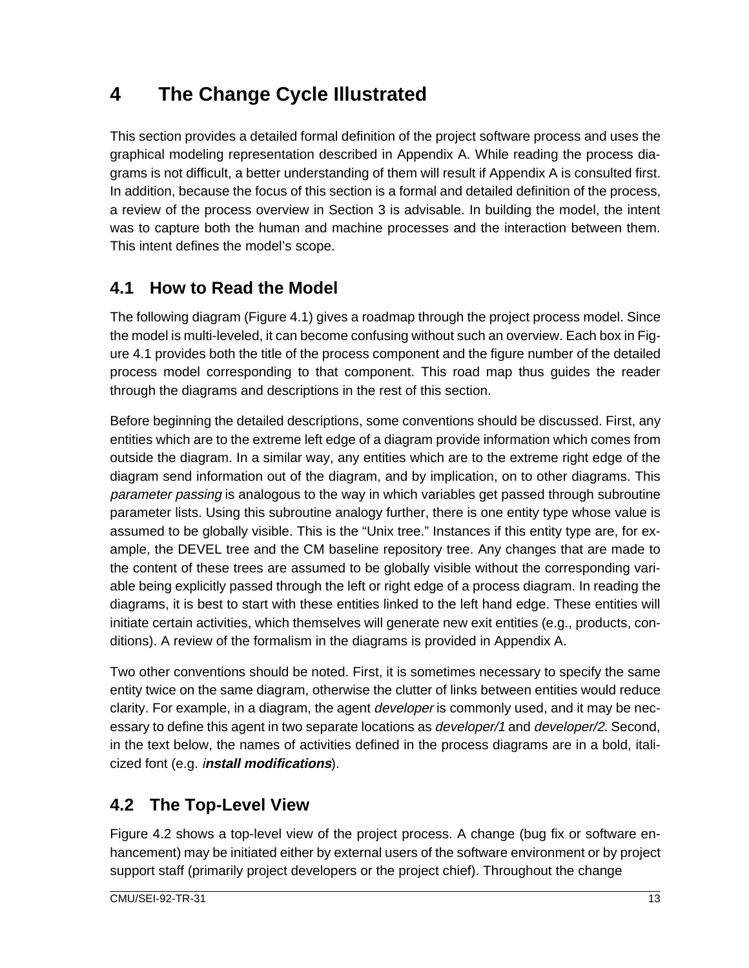## **4 The Change Cycle Illustrated**

This section provides a detailed formal definition of the project software process and uses the graphical modeling representation described in Appendix A. While reading the process diagrams is not difficult, a better understanding of them will result if Appendix A is consulted first. In addition, because the focus of this section is a formal and detailed definition of the process, a review of the process overview in Section 3 is advisable. In building the model, the intent was to capture both the human and machine processes and the interaction between them. This intent defines the model's scope.

### **4.1 How to Read the Model**

The following diagram (Figure 4.1) gives a roadmap through the project process model. Since the model is multi-leveled, it can become confusing without such an overview. Each box in Figure 4.1 provides both the title of the process component and the figure number of the detailed process model corresponding to that component. This road map thus guides the reader through the diagrams and descriptions in the rest of this section.

Before beginning the detailed descriptions, some conventions should be discussed. First, any entities which are to the extreme left edge of a diagram provide information which comes from outside the diagram. In a similar way, any entities which are to the extreme right edge of the diagram send information out of the diagram, and by implication, on to other diagrams. This parameter passing is analogous to the way in which variables get passed through subroutine parameter lists. Using this subroutine analogy further, there is one entity type whose value is assumed to be globally visible. This is the "Unix tree." Instances if this entity type are, for example, the DEVEL tree and the CM baseline repository tree. Any changes that are made to the content of these trees are assumed to be globally visible without the corresponding variable being explicitly passed through the left or right edge of a process diagram. In reading the diagrams, it is best to start with these entities linked to the left hand edge. These entities will initiate certain activities, which themselves will generate new exit entities (e.g., products, conditions). A review of the formalism in the diagrams is provided in Appendix A.

Two other conventions should be noted. First, it is sometimes necessary to specify the same entity twice on the same diagram, otherwise the clutter of links between entities would reduce clarity. For example, in a diagram, the agent *developer* is commonly used, and it may be necessary to define this agent in two separate locations as *developer/1* and *developer/2*. Second, in the text below, the names of activities defined in the process diagrams are in a bold, italicized font (e.g. i**nstall modifications**).

### **4.2 The Top-Level View**

Figure 4.2 shows a top-level view of the project process. A change (bug fix or software enhancement) may be initiated either by external users of the software environment or by project support staff (primarily project developers or the project chief). Throughout the change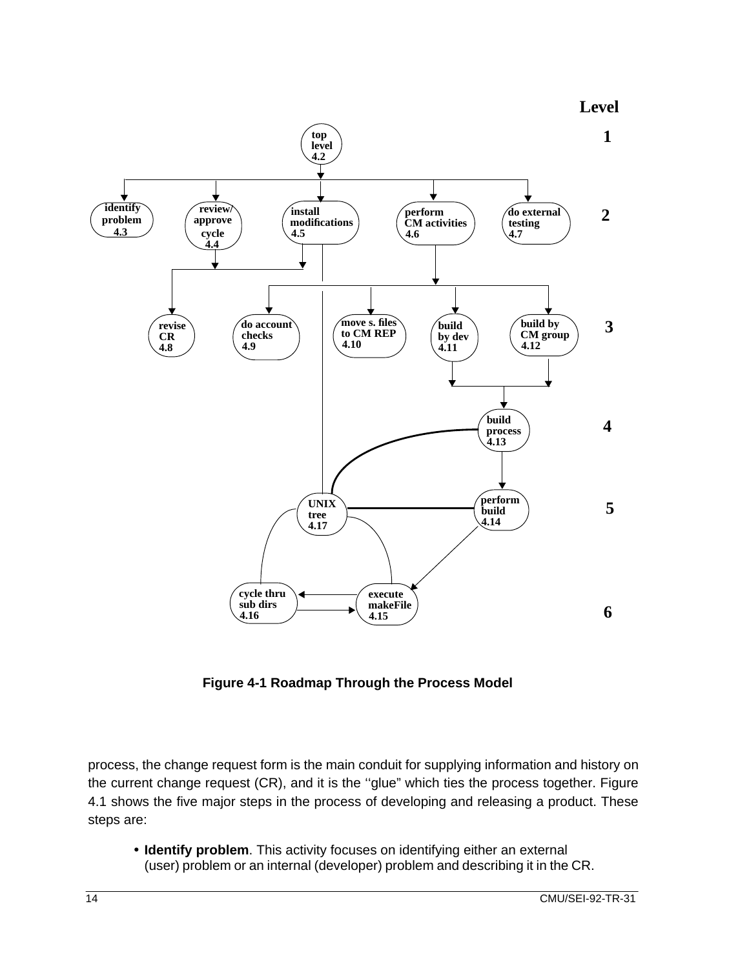

**Figure 4-1 Roadmap Through the Process Model**

process, the change request form is the main conduit for supplying information and history on the current change request (CR), and it is the ''glue" which ties the process together. Figure 4.1 shows the five major steps in the process of developing and releasing a product. These steps are:

• **Identify problem**. This activity focuses on identifying either an external (user) problem or an internal (developer) problem and describing it in the CR.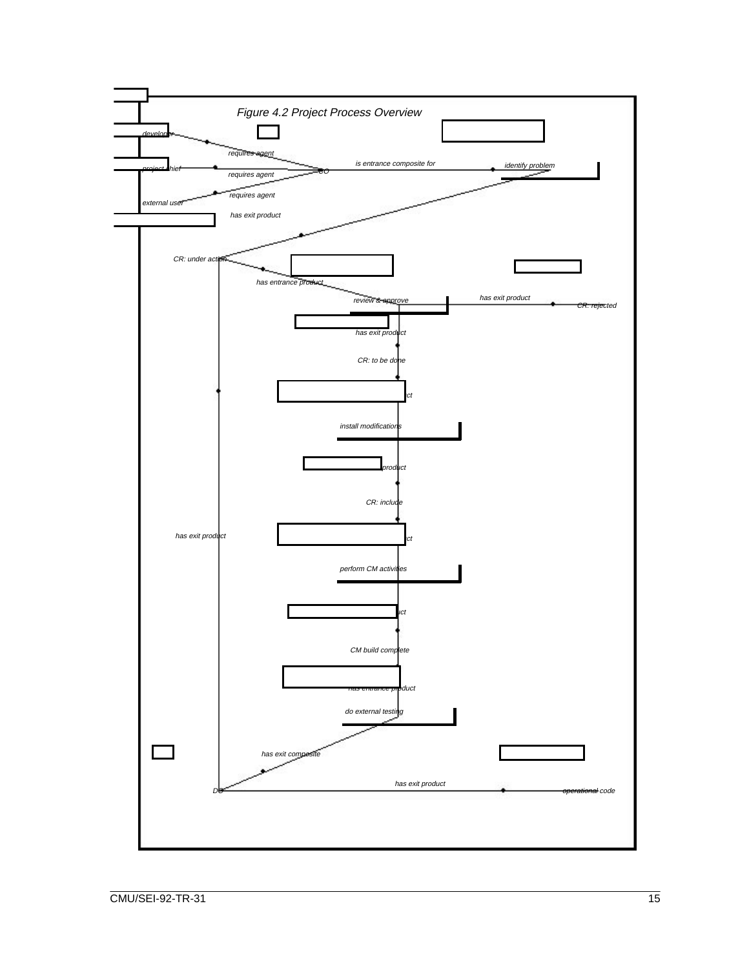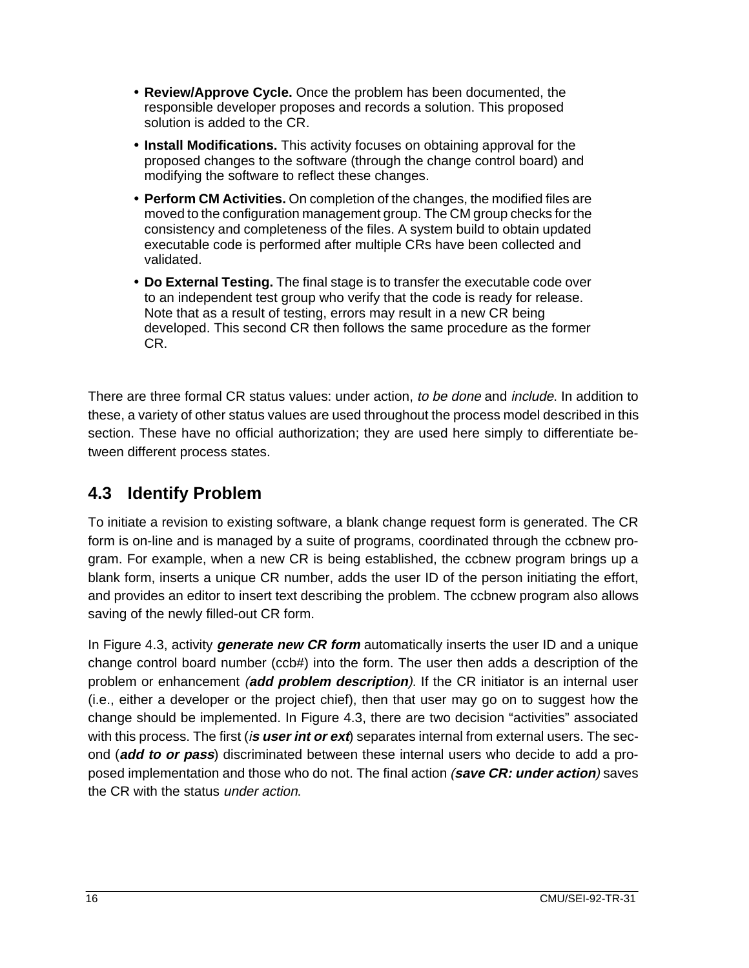- **Review/Approve Cycle.** Once the problem has been documented, the responsible developer proposes and records a solution. This proposed solution is added to the CR.
- **Install Modifications.** This activity focuses on obtaining approval for the proposed changes to the software (through the change control board) and modifying the software to reflect these changes.
- **Perform CM Activities.** On completion of the changes, the modified files are moved to the configuration management group. The CM group checks for the consistency and completeness of the files. A system build to obtain updated executable code is performed after multiple CRs have been collected and validated.
- **Do External Testing.** The final stage is to transfer the executable code over to an independent test group who verify that the code is ready for release. Note that as a result of testing, errors may result in a new CR being developed. This second CR then follows the same procedure as the former CR.

There are three formal CR status values: under action, to be done and include. In addition to these, a variety of other status values are used throughout the process model described in this section. These have no official authorization; they are used here simply to differentiate between different process states.

### **4.3 Identify Problem**

To initiate a revision to existing software, a blank change request form is generated. The CR form is on-line and is managed by a suite of programs, coordinated through the ccbnew program. For example, when a new CR is being established, the ccbnew program brings up a blank form, inserts a unique CR number, adds the user ID of the person initiating the effort, and provides an editor to insert text describing the problem. The ccbnew program also allows saving of the newly filled-out CR form.

In Figure 4.3, activity **generate new CR form** automatically inserts the user ID and a unique change control board number (ccb#) into the form. The user then adds a description of the problem or enhancement (**add problem description**). If the CR initiator is an internal user (i.e., either a developer or the project chief), then that user may go on to suggest how the change should be implemented. In Figure 4.3, there are two decision "activities" associated with this process. The first *(is user int or ext)* separates internal from external users. The second (**add to or pass**) discriminated between these internal users who decide to add a proposed implementation and those who do not. The final action (**save CR: under action**) saves the CR with the status under action.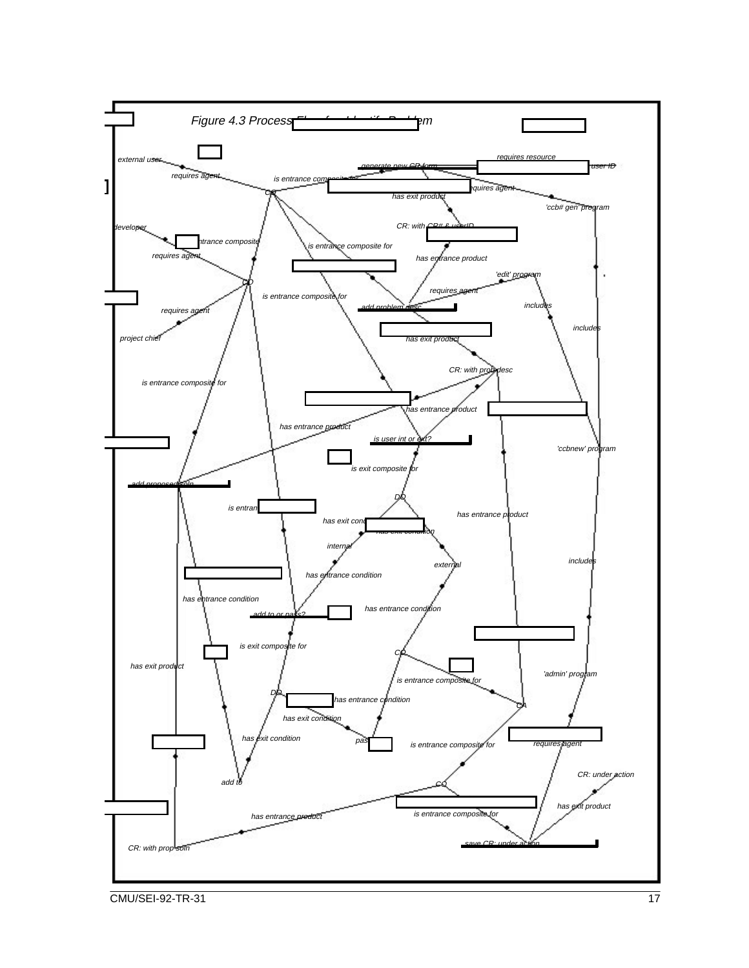

**CMU/SEI-92-TR-31** 17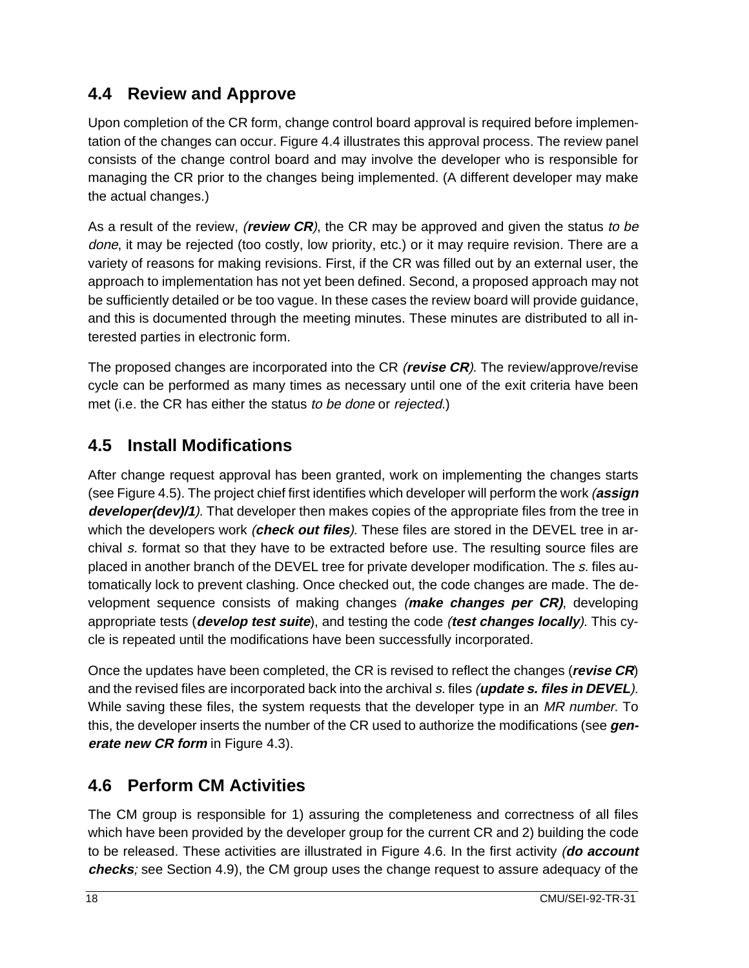### **4.4 Review and Approve**

Upon completion of the CR form, change control board approval is required before implementation of the changes can occur. Figure 4.4 illustrates this approval process. The review panel consists of the change control board and may involve the developer who is responsible for managing the CR prior to the changes being implemented. (A different developer may make the actual changes.)

As a result of the review, (**review CR**), the CR may be approved and given the status to be done, it may be rejected (too costly, low priority, etc.) or it may require revision. There are a variety of reasons for making revisions. First, if the CR was filled out by an external user, the approach to implementation has not yet been defined. Second, a proposed approach may not be sufficiently detailed or be too vague. In these cases the review board will provide guidance, and this is documented through the meeting minutes. These minutes are distributed to all interested parties in electronic form.

The proposed changes are incorporated into the CR (**revise CR**). The review/approve/revise cycle can be performed as many times as necessary until one of the exit criteria have been met (i.e. the CR has either the status to be done or rejected.)

### **4.5 Install Modifications**

After change request approval has been granted, work on implementing the changes starts (see Figure 4.5). The project chief first identifies which developer will perform the work (**assign developer(dev)/1**). That developer then makes copies of the appropriate files from the tree in which the developers work (**check out files**). These files are stored in the DEVEL tree in archival s. format so that they have to be extracted before use. The resulting source files are placed in another branch of the DEVEL tree for private developer modification. The s. files automatically lock to prevent clashing. Once checked out, the code changes are made. The development sequence consists of making changes (**make changes per CR)**, developing appropriate tests (**develop test suite**), and testing the code (**test changes locally**). This cycle is repeated until the modifications have been successfully incorporated.

Once the updates have been completed, the CR is revised to reflect the changes (**revise CR**) and the revised files are incorporated back into the archival s. files (**update s. files in DEVEL**). While saving these files, the system requests that the developer type in an MR number. To this, the developer inserts the number of the CR used to authorize the modifications (see **generate new CR form** in Figure 4.3).

### **4.6 Perform CM Activities**

The CM group is responsible for 1) assuring the completeness and correctness of all files which have been provided by the developer group for the current CR and 2) building the code to be released. These activities are illustrated in Figure 4.6. In the first activity (**do account checks**; see Section 4.9), the CM group uses the change request to assure adequacy of the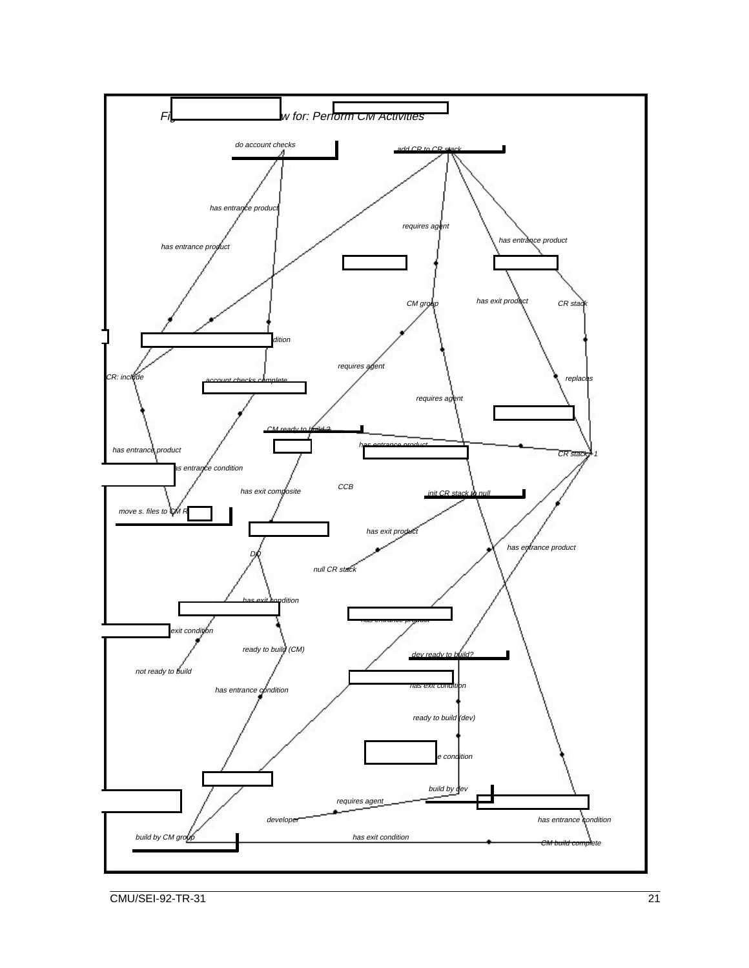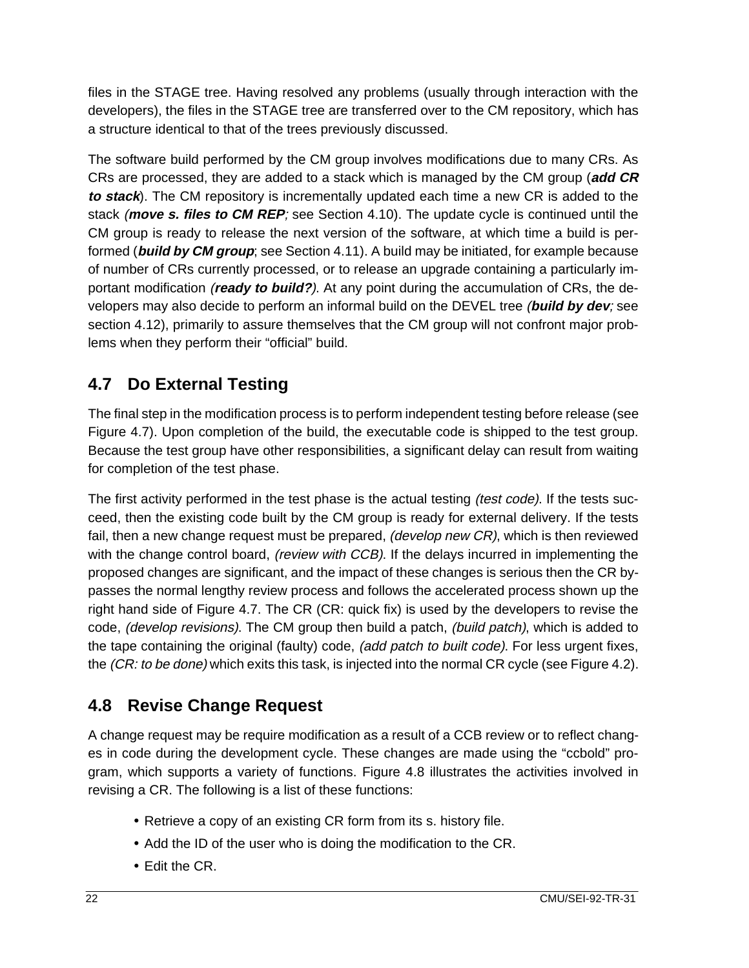files in the STAGE tree. Having resolved any problems (usually through interaction with the developers), the files in the STAGE tree are transferred over to the CM repository, which has a structure identical to that of the trees previously discussed.

The software build performed by the CM group involves modifications due to many CRs. As CRs are processed, they are added to a stack which is managed by the CM group (**add CR to stack**). The CM repository is incrementally updated each time a new CR is added to the stack (**move s. files to CM REP**; see Section 4.10). The update cycle is continued until the CM group is ready to release the next version of the software, at which time a build is performed (**build by CM group**; see Section 4.11). A build may be initiated, for example because of number of CRs currently processed, or to release an upgrade containing a particularly important modification (**ready to build?**). At any point during the accumulation of CRs, the developers may also decide to perform an informal build on the DEVEL tree (**build by dev**; see section 4.12), primarily to assure themselves that the CM group will not confront major problems when they perform their "official" build.

### **4.7 Do External Testing**

The final step in the modification process is to perform independent testing before release (see Figure 4.7). Upon completion of the build, the executable code is shipped to the test group. Because the test group have other responsibilities, a significant delay can result from waiting for completion of the test phase.

The first activity performed in the test phase is the actual testing *(test code)*. If the tests succeed, then the existing code built by the CM group is ready for external delivery. If the tests fail, then a new change request must be prepared, (develop new CR), which is then reviewed with the change control board, *(review with CCB)*. If the delays incurred in implementing the proposed changes are significant, and the impact of these changes is serious then the CR bypasses the normal lengthy review process and follows the accelerated process shown up the right hand side of Figure 4.7. The CR (CR: quick fix) is used by the developers to revise the code, (develop revisions). The CM group then build a patch, (build patch), which is added to the tape containing the original (faulty) code, *(add patch to built code)*. For less urgent fixes, the (CR: to be done) which exits this task, is injected into the normal CR cycle (see Figure 4.2).

### **4.8 Revise Change Request**

A change request may be require modification as a result of a CCB review or to reflect changes in code during the development cycle. These changes are made using the "ccbold" program, which supports a variety of functions. Figure 4.8 illustrates the activities involved in revising a CR. The following is a list of these functions:

- Retrieve a copy of an existing CR form from its s. history file.
- Add the ID of the user who is doing the modification to the CR.
- Edit the CR.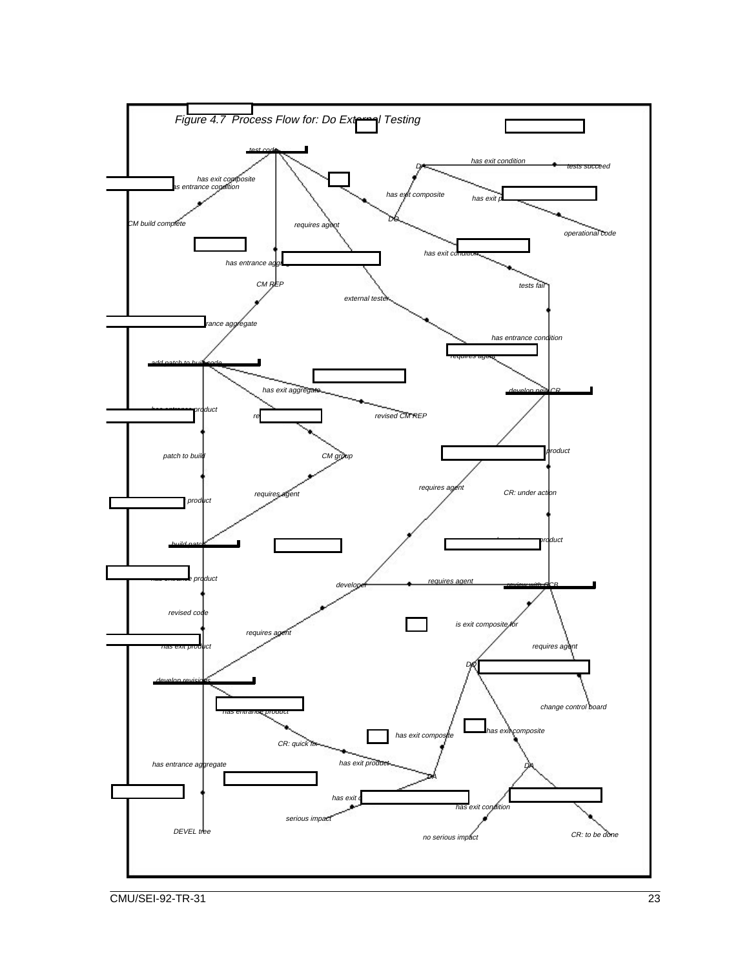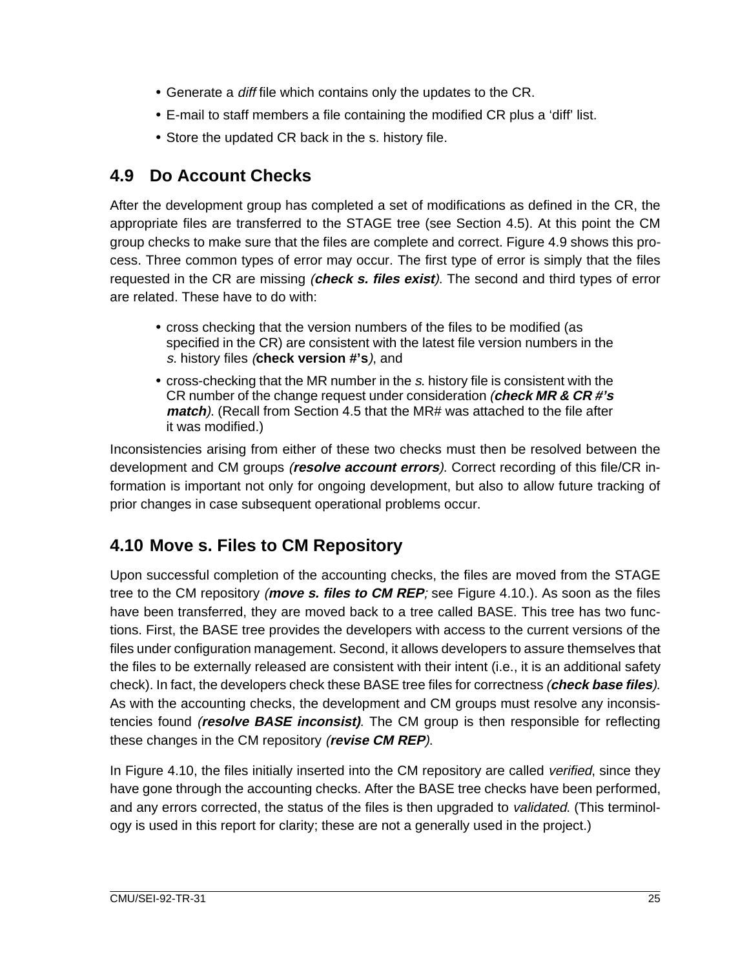- Generate a diff file which contains only the updates to the CR.
- E-mail to staff members a file containing the modified CR plus a 'diff' list.
- Store the updated CR back in the s. history file.

### **4.9 Do Account Checks**

After the development group has completed a set of modifications as defined in the CR, the appropriate files are transferred to the STAGE tree (see Section 4.5). At this point the CM group checks to make sure that the files are complete and correct. Figure 4.9 shows this process. Three common types of error may occur. The first type of error is simply that the files requested in the CR are missing (**check s. files exist**). The second and third types of error are related. These have to do with:

- cross checking that the version numbers of the files to be modified (as specified in the CR) are consistent with the latest file version numbers in the s. history files (**check version #'s**), and
- cross-checking that the MR number in the <sup>s</sup>. history file is consistent with the CR number of the change request under consideration (**check MR & CR #'s match**). (Recall from Section 4.5 that the MR# was attached to the file after it was modified.)

Inconsistencies arising from either of these two checks must then be resolved between the development and CM groups (**resolve account errors**). Correct recording of this file/CR information is important not only for ongoing development, but also to allow future tracking of prior changes in case subsequent operational problems occur.

### **4.10 Move s. Files to CM Repository**

Upon successful completion of the accounting checks, the files are moved from the STAGE tree to the CM repository (**move s. files to CM REP**; see Figure 4.10.). As soon as the files have been transferred, they are moved back to a tree called BASE. This tree has two functions. First, the BASE tree provides the developers with access to the current versions of the files under configuration management. Second, it allows developers to assure themselves that the files to be externally released are consistent with their intent (i.e., it is an additional safety check). In fact, the developers check these BASE tree files for correctness (**check base files**). As with the accounting checks, the development and CM groups must resolve any inconsistencies found (**resolve BASE inconsist)**. The CM group is then responsible for reflecting these changes in the CM repository (**revise CM REP**).

In Figure 4.10, the files initially inserted into the CM repository are called *verified*, since they have gone through the accounting checks. After the BASE tree checks have been performed, and any errors corrected, the status of the files is then upgraded to validated. (This terminology is used in this report for clarity; these are not a generally used in the project.)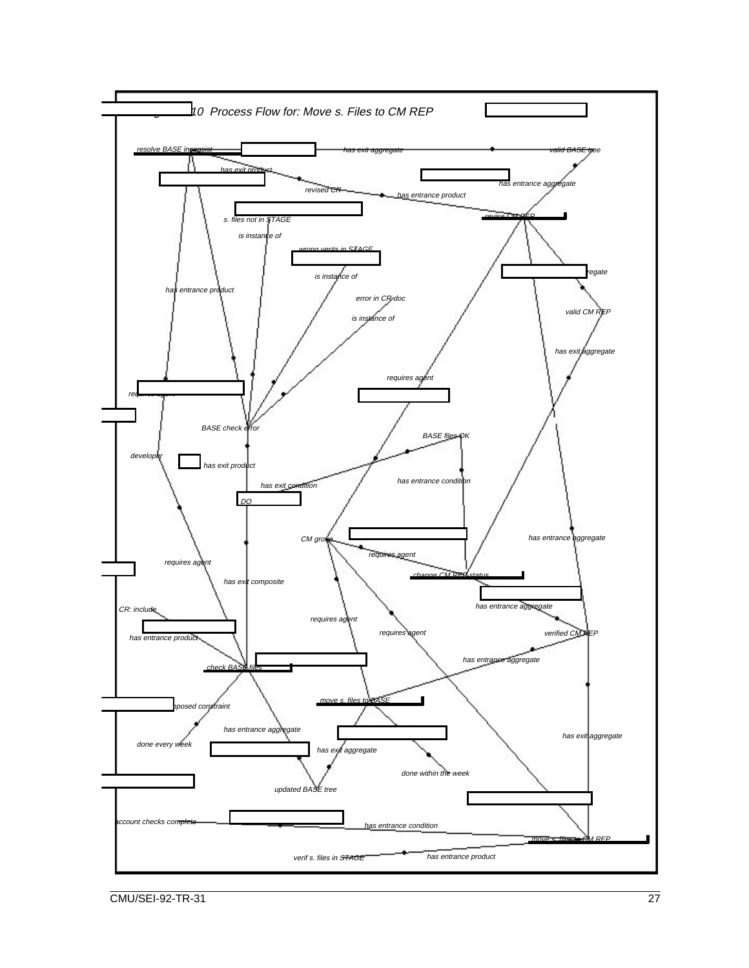

**CMU/SEI-92-TR-31** 27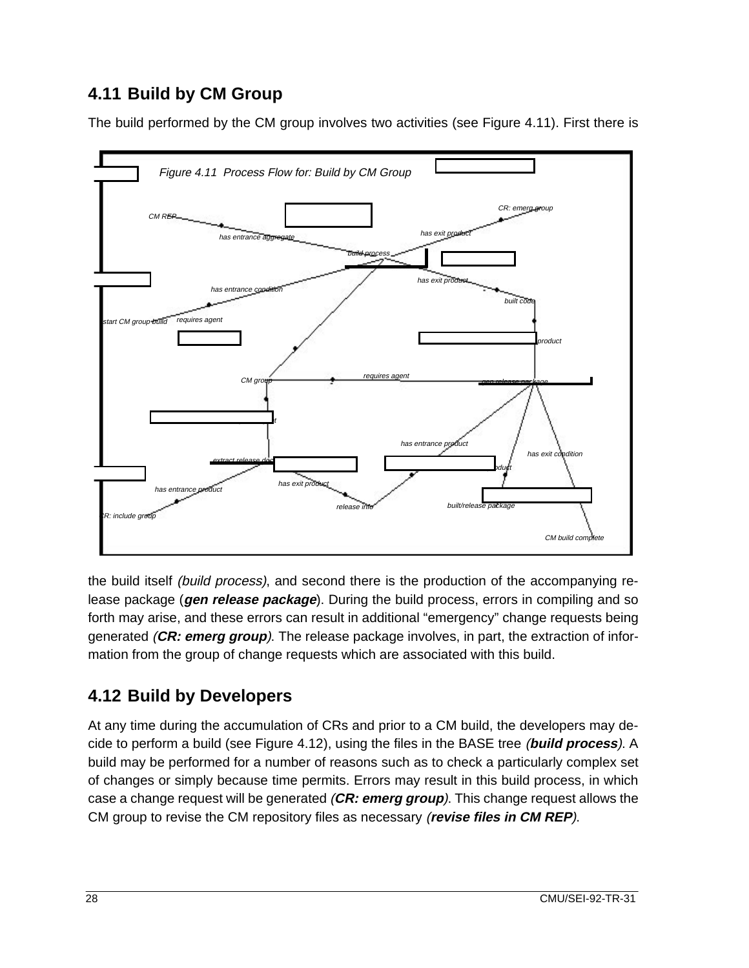### **4.11 Build by CM Group**

The build performed by the CM group involves two activities (see Figure 4.11). First there is



the build itself *(build process)*, and second there is the production of the accompanying release package (**gen release package**). During the build process, errors in compiling and so forth may arise, and these errors can result in additional "emergency" change requests being generated (**CR: emerg group**). The release package involves, in part, the extraction of information from the group of change requests which are associated with this build.

### **4.12 Build by Developers**

At any time during the accumulation of CRs and prior to a CM build, the developers may decide to perform a build (see Figure 4.12), using the files in the BASE tree (**build process**). A build may be performed for a number of reasons such as to check a particularly complex set of changes or simply because time permits. Errors may result in this build process, in which case a change request will be generated (**CR: emerg group**). This change request allows the CM group to revise the CM repository files as necessary (**revise files in CM REP**).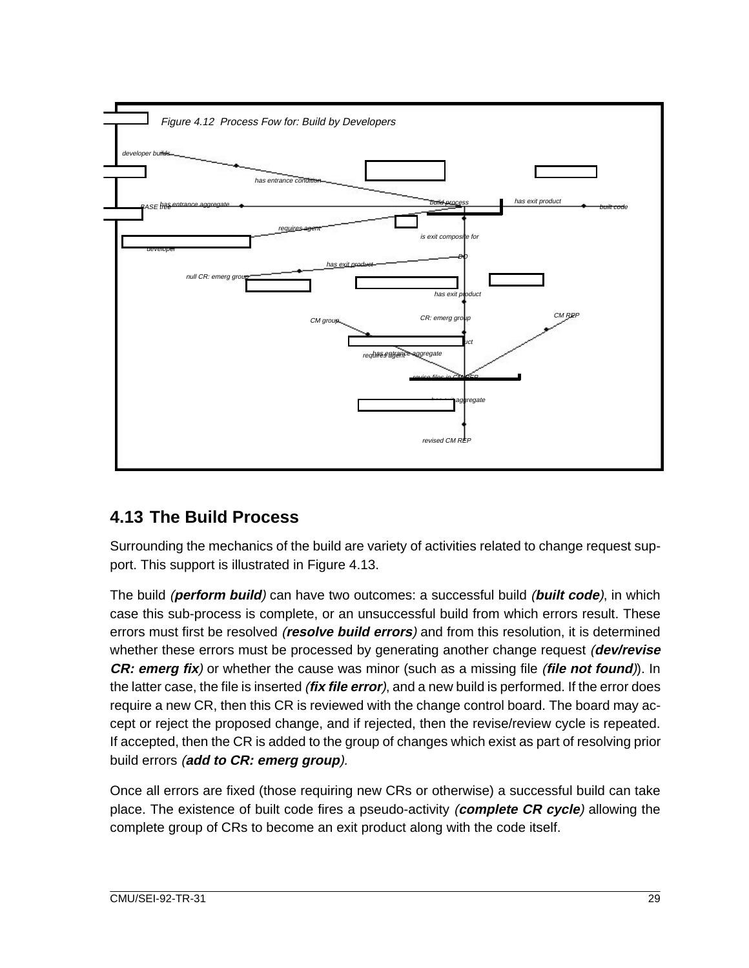

#### **4.13 The Build Process**

Surrounding the mechanics of the build are variety of activities related to change request support. This support is illustrated in Figure 4.13.

The build (**perform build**) can have two outcomes: a successful build (**built code**), in which case this sub-process is complete, or an unsuccessful build from which errors result. These errors must first be resolved (**resolve build errors**) and from this resolution, it is determined whether these errors must be processed by generating another change request (**dev/revise CR: emerg fix**) or whether the cause was minor (such as a missing file (**file not found**)). In the latter case, the file is inserted (**fix file error**), and a new build is performed. If the error does require a new CR, then this CR is reviewed with the change control board. The board may accept or reject the proposed change, and if rejected, then the revise/review cycle is repeated. If accepted, then the CR is added to the group of changes which exist as part of resolving prior build errors (**add to CR: emerg group**).

Once all errors are fixed (those requiring new CRs or otherwise) a successful build can take place. The existence of built code fires a pseudo-activity (**complete CR cycle**) allowing the complete group of CRs to become an exit product along with the code itself.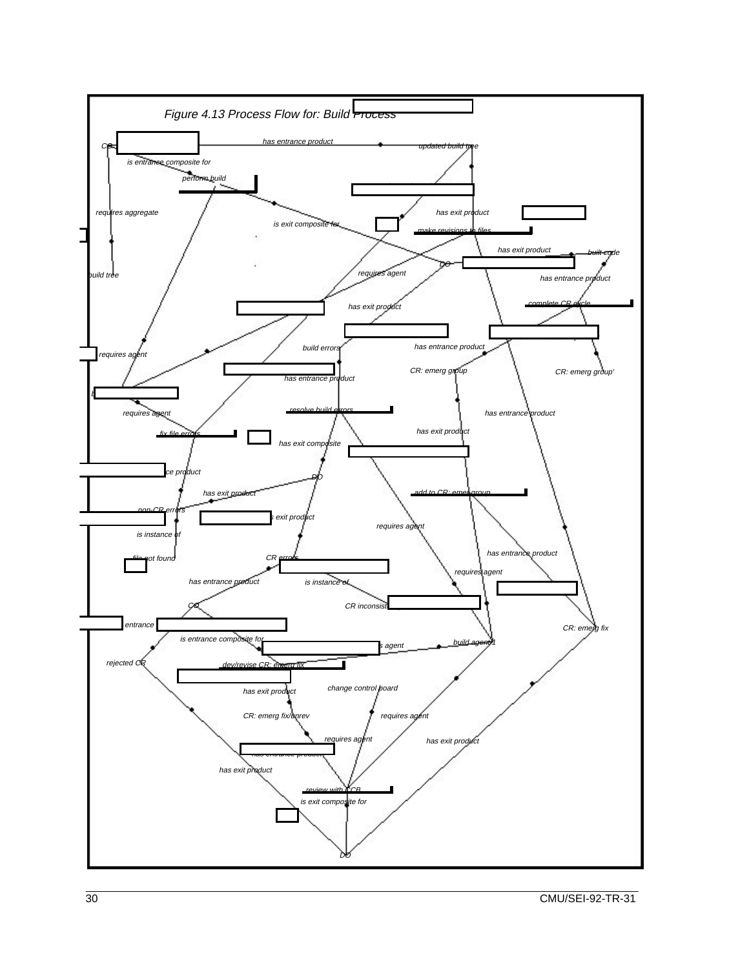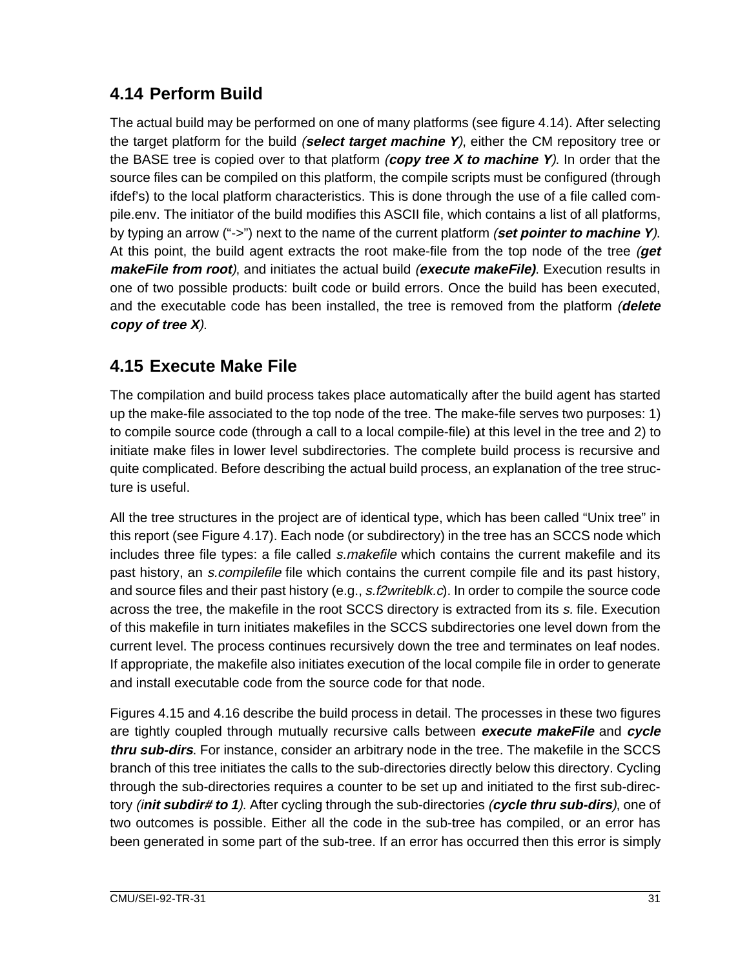#### **4.14 Perform Build**

The actual build may be performed on one of many platforms (see figure 4.14). After selecting the target platform for the build (**select target machine Y**), either the CM repository tree or the BASE tree is copied over to that platform (**copy tree X to machine Y**). In order that the source files can be compiled on this platform, the compile scripts must be configured (through ifdef's) to the local platform characteristics. This is done through the use of a file called compile.env. The initiator of the build modifies this ASCII file, which contains a list of all platforms, by typing an arrow ("->") next to the name of the current platform (**set pointer to machine Y**). At this point, the build agent extracts the root make-file from the top node of the tree (**get makeFile from root**), and initiates the actual build (**execute makeFile)**. Execution results in one of two possible products: built code or build errors. Once the build has been executed, and the executable code has been installed, the tree is removed from the platform (**delete copy of tree X**).

#### **4.15 Execute Make File**

The compilation and build process takes place automatically after the build agent has started up the make-file associated to the top node of the tree. The make-file serves two purposes: 1) to compile source code (through a call to a local compile-file) at this level in the tree and 2) to initiate make files in lower level subdirectories. The complete build process is recursive and quite complicated. Before describing the actual build process, an explanation of the tree structure is useful.

All the tree structures in the project are of identical type, which has been called "Unix tree" in this report (see Figure 4.17). Each node (or subdirectory) in the tree has an SCCS node which includes three file types: a file called *s.makefile* which contains the current makefile and its past history, an *s.compilefile* file which contains the current compile file and its past history, and source files and their past history (e.g., s.f2writeblk.c). In order to compile the source code across the tree, the makefile in the root SCCS directory is extracted from its s. file. Execution of this makefile in turn initiates makefiles in the SCCS subdirectories one level down from the current level. The process continues recursively down the tree and terminates on leaf nodes. If appropriate, the makefile also initiates execution of the local compile file in order to generate and install executable code from the source code for that node.

Figures 4.15 and 4.16 describe the build process in detail. The processes in these two figures are tightly coupled through mutually recursive calls between **execute makeFile** and **cycle thru sub-dirs**. For instance, consider an arbitrary node in the tree. The makefile in the SCCS branch of this tree initiates the calls to the sub-directories directly below this directory. Cycling through the sub-directories requires a counter to be set up and initiated to the first sub-directory (i**nit subdir# to 1**). After cycling through the sub-directories (**cycle thru sub-dirs**), one of two outcomes is possible. Either all the code in the sub-tree has compiled, or an error has been generated in some part of the sub-tree. If an error has occurred then this error is simply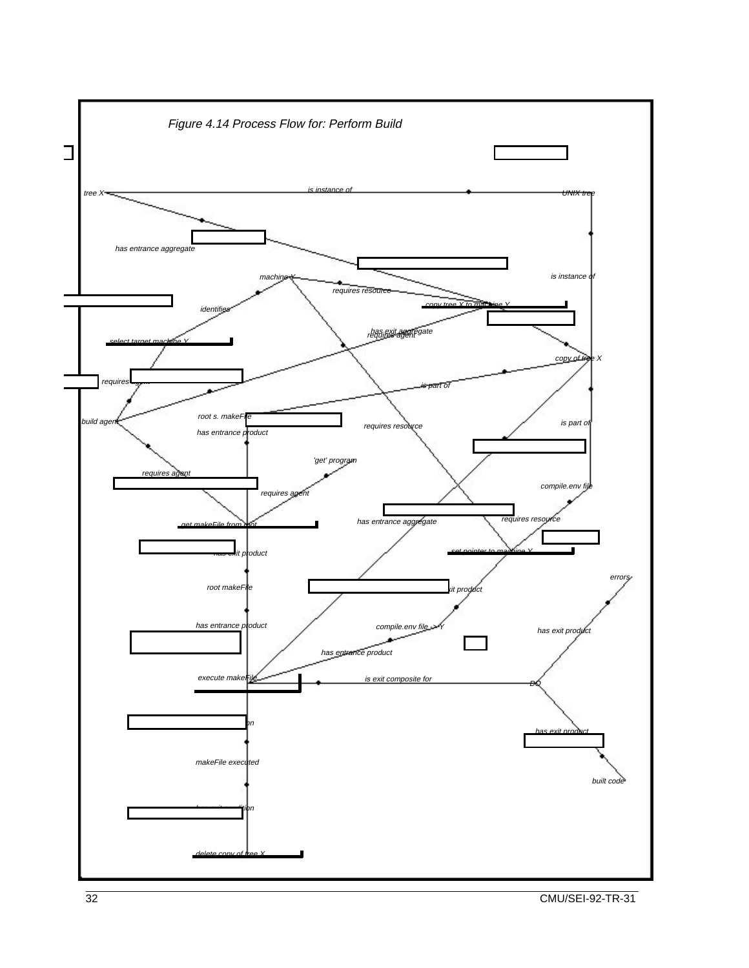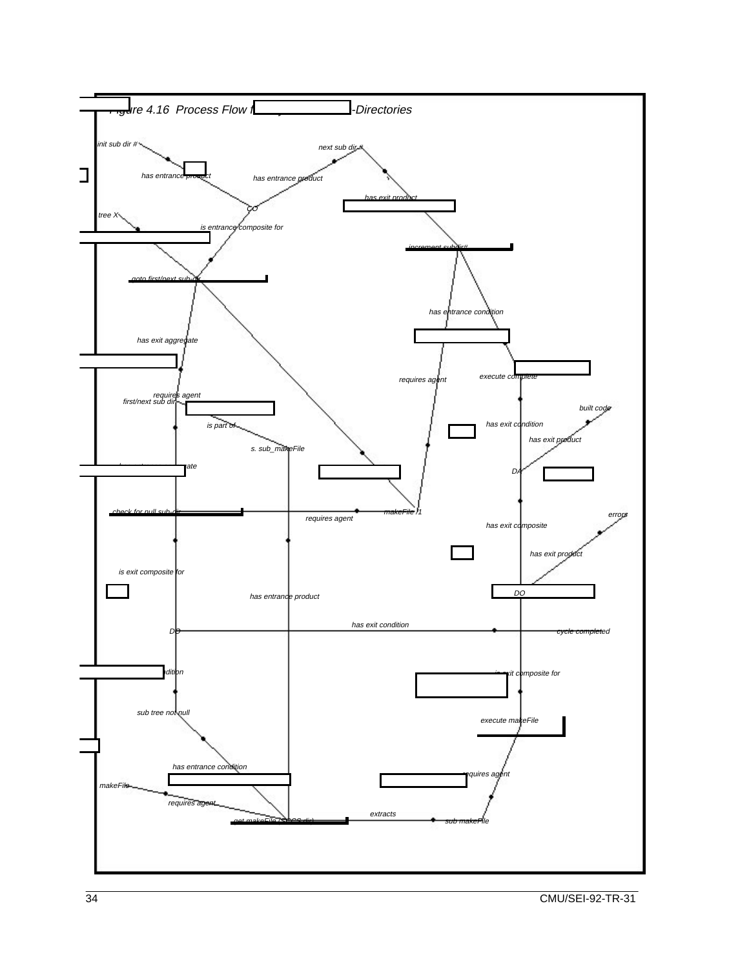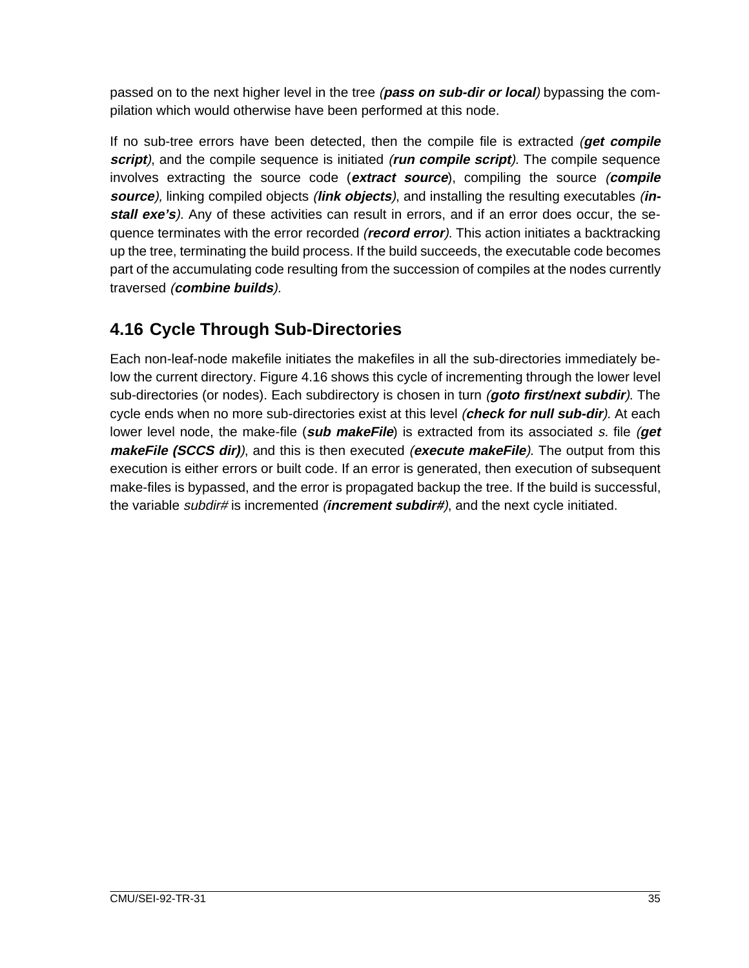passed on to the next higher level in the tree (**pass on sub-dir or local**) bypassing the compilation which would otherwise have been performed at this node.

If no sub-tree errors have been detected, then the compile file is extracted (**get compile script**), and the compile sequence is initiated (**run compile script**). The compile sequence involves extracting the source code (**extract source**), compiling the source (**compile source**), linking compiled objects (**link objects**), and installing the resulting executables (**install exe's**). Any of these activities can result in errors, and if an error does occur, the sequence terminates with the error recorded (**record error**). This action initiates a backtracking up the tree, terminating the build process. If the build succeeds, the executable code becomes part of the accumulating code resulting from the succession of compiles at the nodes currently traversed (**combine builds**).

#### **4.16 Cycle Through Sub-Directories**

Each non-leaf-node makefile initiates the makefiles in all the sub-directories immediately below the current directory. Figure 4.16 shows this cycle of incrementing through the lower level sub-directories (or nodes). Each subdirectory is chosen in turn (**goto first/next subdir**). The cycle ends when no more sub-directories exist at this level (**check for null sub-dir**). At each lower level node, the make-file (**sub makeFile**) is extracted from its associated s. file (**get makeFile (SCCS dir)**), and this is then executed (**execute makeFile**). The output from this execution is either errors or built code. If an error is generated, then execution of subsequent make-files is bypassed, and the error is propagated backup the tree. If the build is successful, the variable subdir# is incremented (**increment subdir#**), and the next cycle initiated.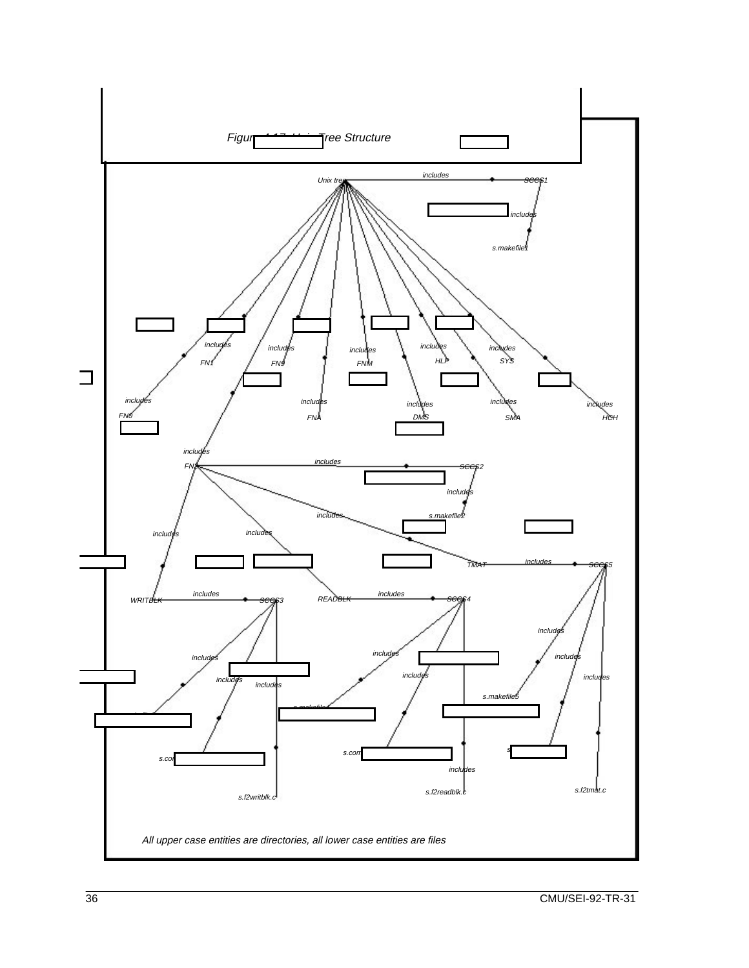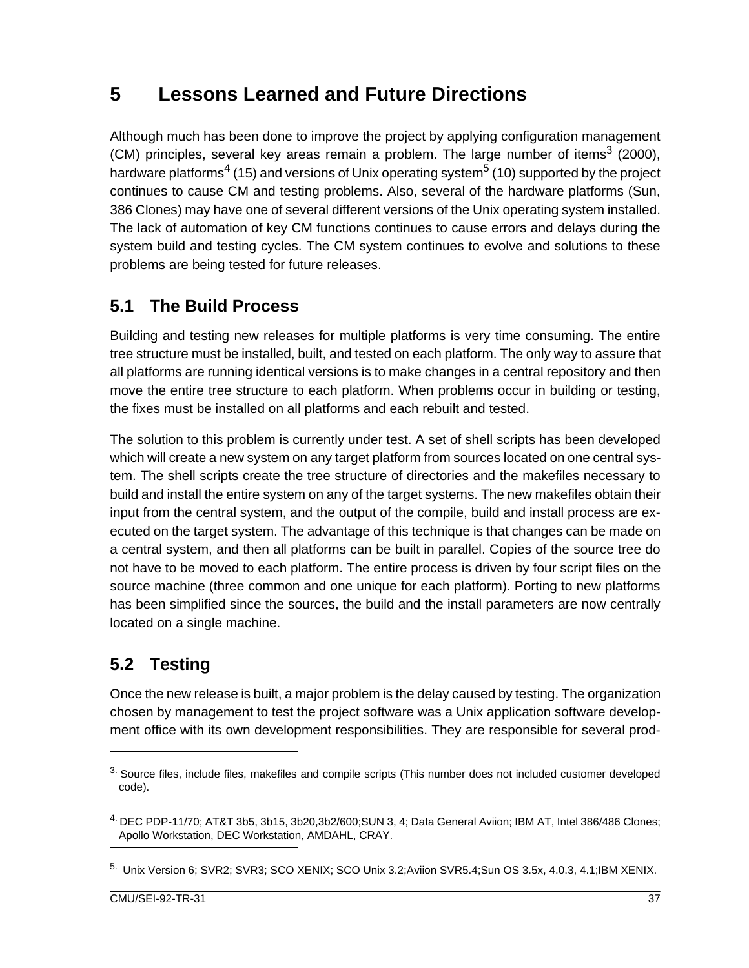## **5 Lessons Learned and Future Directions**

Although much has been done to improve the project by applying configuration management (CM) principles, several key areas remain a problem. The large number of items<sup>3</sup> (2000), hardware platforms<sup>4</sup> (15) and versions of Unix operating system<sup>5</sup> (10) supported by the project continues to cause CM and testing problems. Also, several of the hardware platforms (Sun, 386 Clones) may have one of several different versions of the Unix operating system installed. The lack of automation of key CM functions continues to cause errors and delays during the system build and testing cycles. The CM system continues to evolve and solutions to these problems are being tested for future releases.

#### **5.1 The Build Process**

Building and testing new releases for multiple platforms is very time consuming. The entire tree structure must be installed, built, and tested on each platform. The only way to assure that all platforms are running identical versions is to make changes in a central repository and then move the entire tree structure to each platform. When problems occur in building or testing, the fixes must be installed on all platforms and each rebuilt and tested.

The solution to this problem is currently under test. A set of shell scripts has been developed which will create a new system on any target platform from sources located on one central system. The shell scripts create the tree structure of directories and the makefiles necessary to build and install the entire system on any of the target systems. The new makefiles obtain their input from the central system, and the output of the compile, build and install process are executed on the target system. The advantage of this technique is that changes can be made on a central system, and then all platforms can be built in parallel. Copies of the source tree do not have to be moved to each platform. The entire process is driven by four script files on the source machine (three common and one unique for each platform). Porting to new platforms has been simplified since the sources, the build and the install parameters are now centrally located on a single machine.

## **5.2 Testing**

Once the new release is built, a major problem is the delay caused by testing. The organization chosen by management to test the project software was a Unix application software development office with its own development responsibilities. They are responsible for several prod-

 $3.$  Source files, include files, makefiles and compile scripts (This number does not included customer developed code).

<sup>4.</sup> DEC PDP-11/70; AT&T 3b5, 3b15, 3b20,3b2/600;SUN 3, 4; Data General Aviion; IBM AT, Intel 386/486 Clones; Apollo Workstation, DEC Workstation, AMDAHL, CRAY.

<sup>5.</sup> Unix Version 6; SVR2; SVR3; SCO XENIX; SCO Unix 3.2;Aviion SVR5.4;Sun OS 3.5x, 4.0.3, 4.1;IBM XENIX.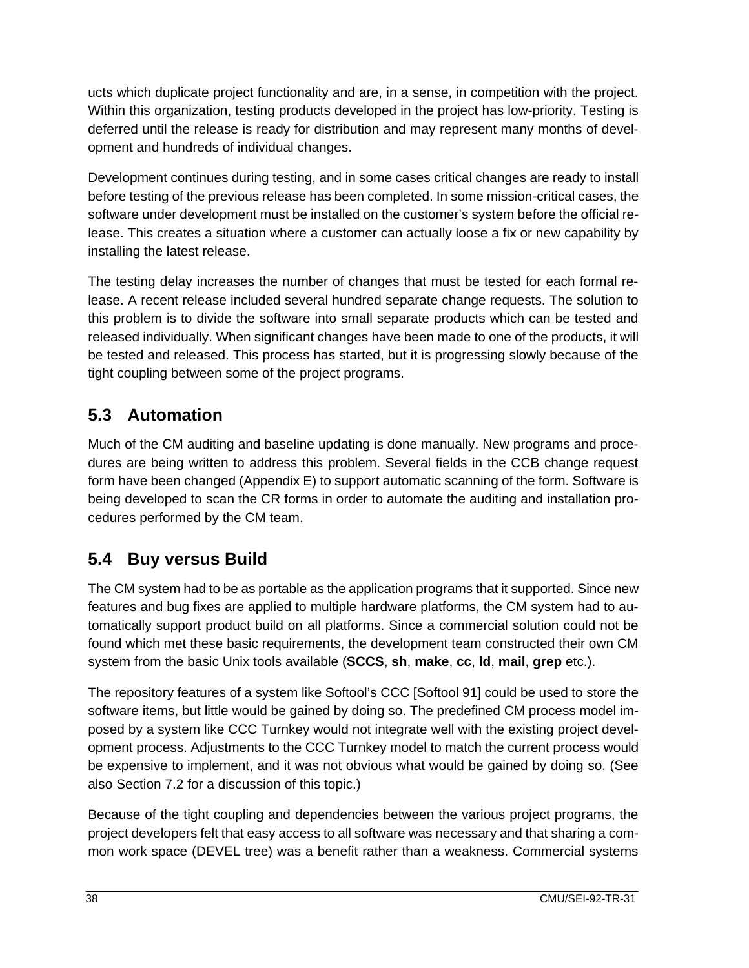ucts which duplicate project functionality and are, in a sense, in competition with the project. Within this organization, testing products developed in the project has low-priority. Testing is deferred until the release is ready for distribution and may represent many months of development and hundreds of individual changes.

Development continues during testing, and in some cases critical changes are ready to install before testing of the previous release has been completed. In some mission-critical cases, the software under development must be installed on the customer's system before the official release. This creates a situation where a customer can actually loose a fix or new capability by installing the latest release.

The testing delay increases the number of changes that must be tested for each formal release. A recent release included several hundred separate change requests. The solution to this problem is to divide the software into small separate products which can be tested and released individually. When significant changes have been made to one of the products, it will be tested and released. This process has started, but it is progressing slowly because of the tight coupling between some of the project programs.

#### **5.3 Automation**

Much of the CM auditing and baseline updating is done manually. New programs and procedures are being written to address this problem. Several fields in the CCB change request form have been changed (Appendix E) to support automatic scanning of the form. Software is being developed to scan the CR forms in order to automate the auditing and installation procedures performed by the CM team.

#### **5.4 Buy versus Build**

The CM system had to be as portable as the application programs that it supported. Since new features and bug fixes are applied to multiple hardware platforms, the CM system had to automatically support product build on all platforms. Since a commercial solution could not be found which met these basic requirements, the development team constructed their own CM system from the basic Unix tools available (**SCCS**, **sh**, **make**, **cc**, **ld**, **mail**, **grep** etc.).

The repository features of a system like Softool's CCC [Softool 91] could be used to store the software items, but little would be gained by doing so. The predefined CM process model imposed by a system like CCC Turnkey would not integrate well with the existing project development process. Adjustments to the CCC Turnkey model to match the current process would be expensive to implement, and it was not obvious what would be gained by doing so. (See also Section 7.2 for a discussion of this topic.)

Because of the tight coupling and dependencies between the various project programs, the project developers felt that easy access to all software was necessary and that sharing a common work space (DEVEL tree) was a benefit rather than a weakness. Commercial systems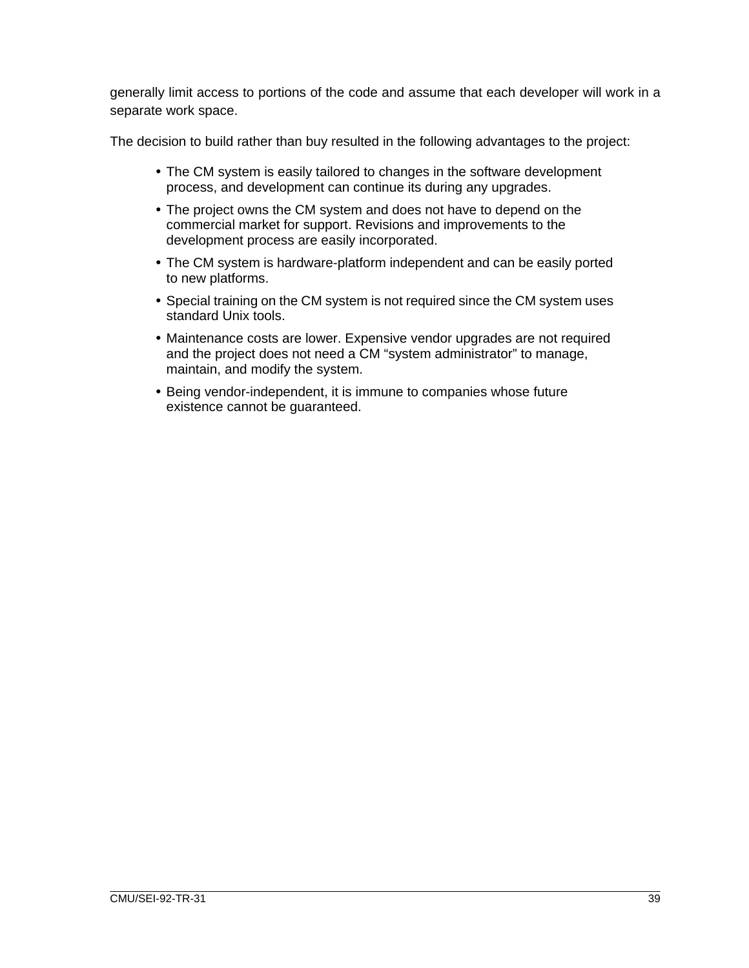generally limit access to portions of the code and assume that each developer will work in a separate work space.

The decision to build rather than buy resulted in the following advantages to the project:

- The CM system is easily tailored to changes in the software development process, and development can continue its during any upgrades.
- The project owns the CM system and does not have to depend on the commercial market for support. Revisions and improvements to the development process are easily incorporated.
- The CM system is hardware-platform independent and can be easily ported to new platforms.
- Special training on the CM system is not required since the CM system uses standard Unix tools.
- Maintenance costs are lower. Expensive vendor upgrades are not required and the project does not need a CM "system administrator" to manage, maintain, and modify the system.
- Being vendor-independent, it is immune to companies whose future existence cannot be guaranteed.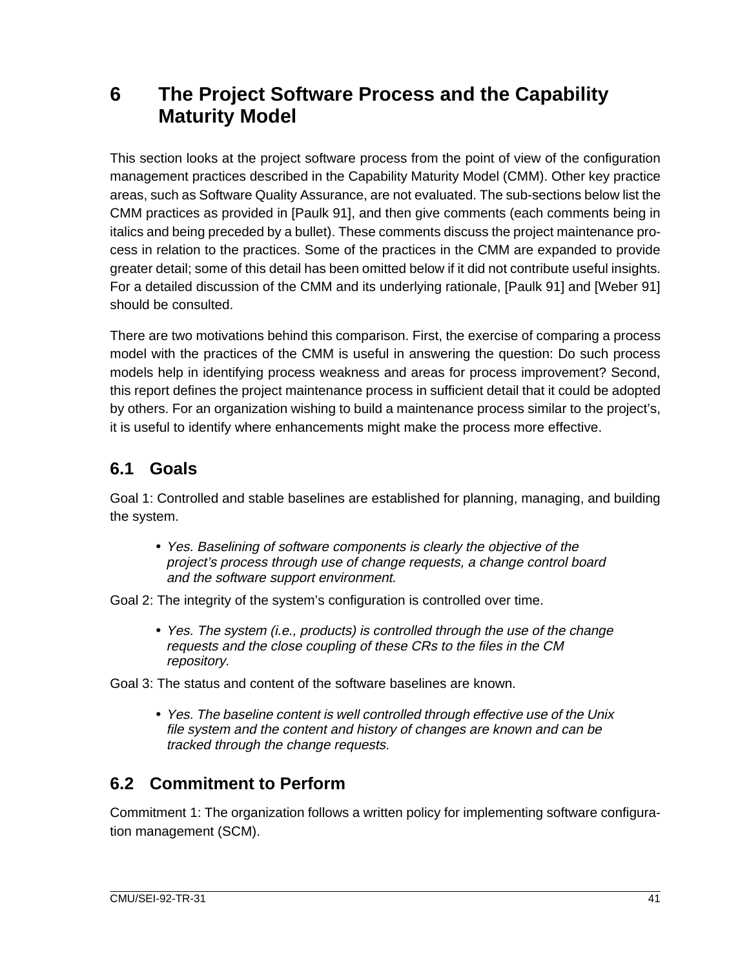## **6 The Project Software Process and the Capability Maturity Model**

This section looks at the project software process from the point of view of the configuration management practices described in the Capability Maturity Model (CMM). Other key practice areas, such as Software Quality Assurance, are not evaluated. The sub-sections below list the CMM practices as provided in [Paulk 91], and then give comments (each comments being in italics and being preceded by a bullet). These comments discuss the project maintenance process in relation to the practices. Some of the practices in the CMM are expanded to provide greater detail; some of this detail has been omitted below if it did not contribute useful insights. For a detailed discussion of the CMM and its underlying rationale, [Paulk 91] and [Weber 91] should be consulted.

There are two motivations behind this comparison. First, the exercise of comparing a process model with the practices of the CMM is useful in answering the question: Do such process models help in identifying process weakness and areas for process improvement? Second, this report defines the project maintenance process in sufficient detail that it could be adopted by others. For an organization wishing to build a maintenance process similar to the project's, it is useful to identify where enhancements might make the process more effective.

## **6.1 Goals**

Goal 1: Controlled and stable baselines are established for planning, managing, and building the system.

• Yes. Baselining of software components is clearly the objective of the project's process through use of change requests, a change control board and the software support environment.

Goal 2: The integrity of the system's configuration is controlled over time.

• Yes. The system (i.e., products) is controlled through the use of the change requests and the close coupling of these CRs to the files in the CM repository.

Goal 3: The status and content of the software baselines are known.

• Yes. The baseline content is well controlled through effective use of the Unix file system and the content and history of changes are known and can be tracked through the change requests.

## **6.2 Commitment to Perform**

Commitment 1: The organization follows a written policy for implementing software configuration management (SCM).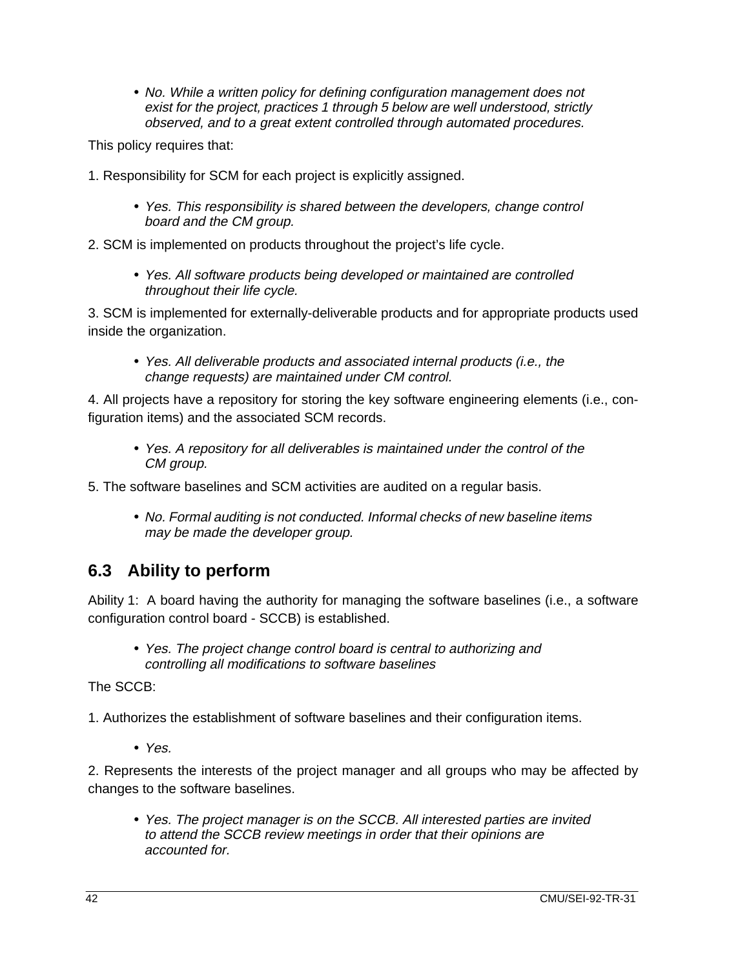• No. While a written policy for defining configuration management does not exist for the project, practices 1 through 5 below are well understood, strictly observed, and to a great extent controlled through automated procedures.

This policy requires that:

- 1. Responsibility for SCM for each project is explicitly assigned.
	- Yes. This responsibility is shared between the developers, change control board and the CM group.

2. SCM is implemented on products throughout the project's life cycle.

• Yes. All software products being developed or maintained are controlled throughout their life cycle.

3. SCM is implemented for externally-deliverable products and for appropriate products used inside the organization.

• Yes. All deliverable products and associated internal products (i.e., the change requests) are maintained under CM control.

4. All projects have a repository for storing the key software engineering elements (i.e., configuration items) and the associated SCM records.

• Yes. A repository for all deliverables is maintained under the control of the CM group.

5. The software baselines and SCM activities are audited on a regular basis.

• No. Formal auditing is not conducted. Informal checks of new baseline items may be made the developer group.

#### **6.3 Ability to perform**

Ability 1: A board having the authority for managing the software baselines (i.e., a software configuration control board - SCCB) is established.

• Yes. The project change control board is central to authorizing and controlling all modifications to software baselines

The SCCB:

1. Authorizes the establishment of software baselines and their configuration items.

• Yes.

2. Represents the interests of the project manager and all groups who may be affected by changes to the software baselines.

• Yes. The project manager is on the SCCB. All interested parties are invited to attend the SCCB review meetings in order that their opinions are accounted for.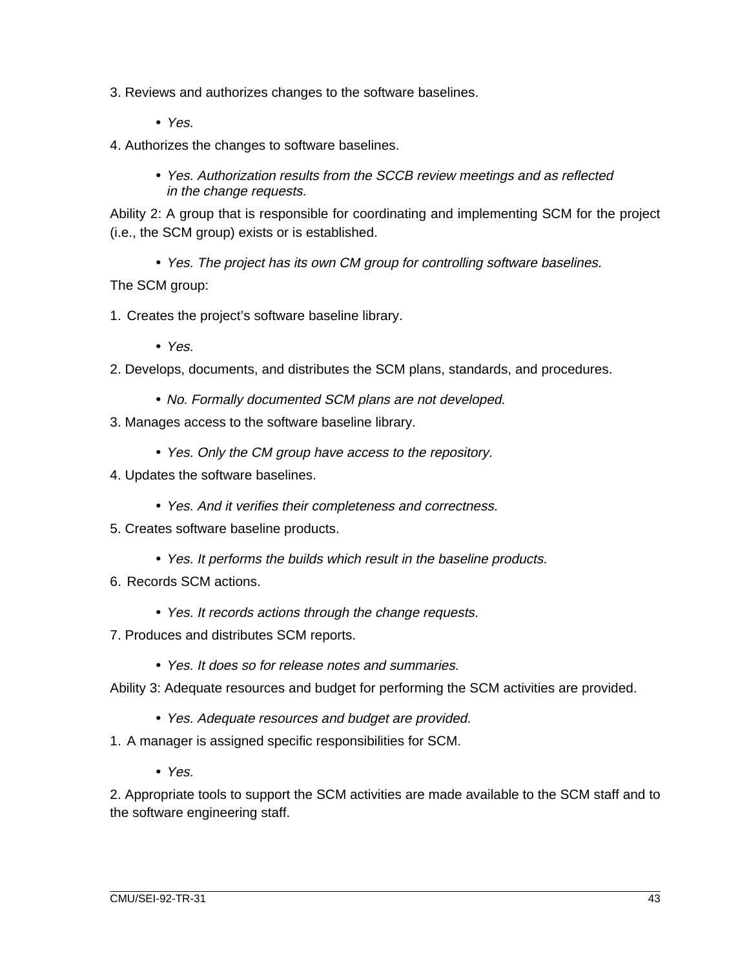3. Reviews and authorizes changes to the software baselines.

- Yes.
- 4. Authorizes the changes to software baselines.
	- Yes. Authorization results from the SCCB review meetings and as reflected in the change requests.

Ability 2: A group that is responsible for coordinating and implementing SCM for the project (i.e., the SCM group) exists or is established.

- Yes. The project has its own CM group for controlling software baselines. The SCM group:
- 1. Creates the project's software baseline library.
	- Yes.
- 2. Develops, documents, and distributes the SCM plans, standards, and procedures.
	- No. Formally documented SCM plans are not developed.
- 3. Manages access to the software baseline library.
	- Yes. Only the CM group have access to the repository.
- 4. Updates the software baselines.
	- Yes. And it verifies their completeness and correctness.
- 5. Creates software baseline products.
	- Yes. It performs the builds which result in the baseline products.
- 6. Records SCM actions.
	- Yes. It records actions through the change requests.
- 7. Produces and distributes SCM reports.
	- Yes. It does so for release notes and summaries.

Ability 3: Adequate resources and budget for performing the SCM activities are provided.

- Yes. Adequate resources and budget are provided.
- 1. A manager is assigned specific responsibilities for SCM.
	- Yes.

2. Appropriate tools to support the SCM activities are made available to the SCM staff and to the software engineering staff.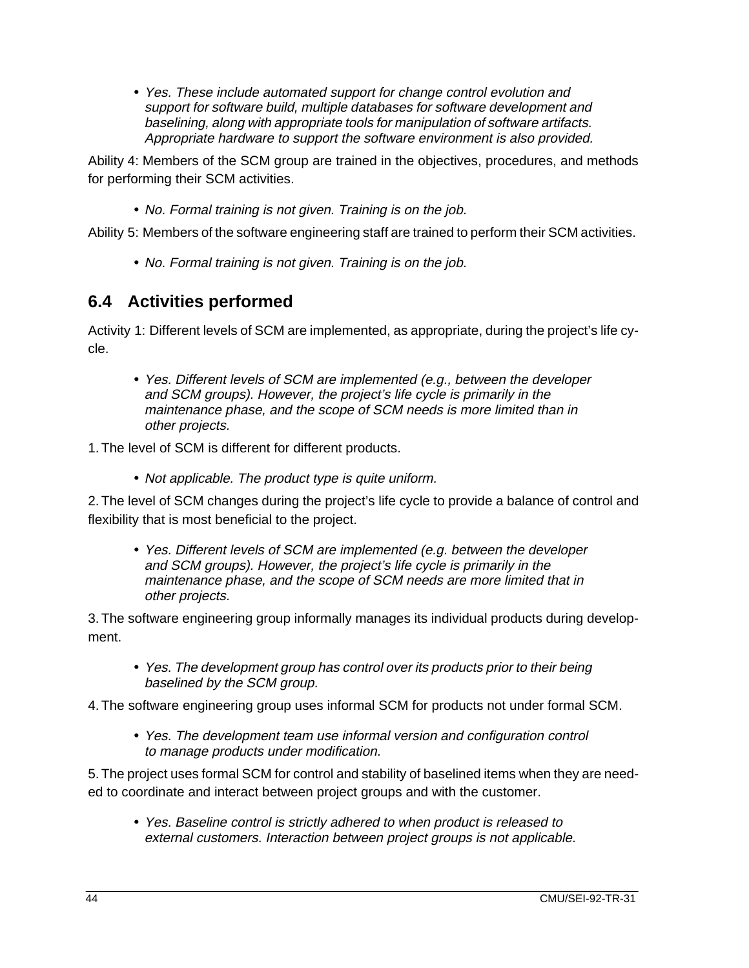• Yes. These include automated support for change control evolution and support for software build, multiple databases for software development and baselining, along with appropriate tools for manipulation of software artifacts. Appropriate hardware to support the software environment is also provided.

Ability 4: Members of the SCM group are trained in the objectives, procedures, and methods for performing their SCM activities.

• No. Formal training is not given. Training is on the job.

Ability 5: Members of the software engineering staff are trained to perform their SCM activities.

• No. Formal training is not given. Training is on the job.

#### **6.4 Activities performed**

Activity 1: Different levels of SCM are implemented, as appropriate, during the project's life cycle.

• Yes. Different levels of SCM are implemented (e.g., between the developer and SCM groups). However, the project's life cycle is primarily in the maintenance phase, and the scope of SCM needs is more limited than in other projects.

1. The level of SCM is different for different products.

• Not applicable. The product type is quite uniform.

2. The level of SCM changes during the project's life cycle to provide a balance of control and flexibility that is most beneficial to the project.

• Yes. Different levels of SCM are implemented (e.g. between the developer and SCM groups). However, the project's life cycle is primarily in the maintenance phase, and the scope of SCM needs are more limited that in other projects.

3. The software engineering group informally manages its individual products during development.

- Yes. The development group has control over its products prior to their being baselined by the SCM group.
- 4. The software engineering group uses informal SCM for products not under formal SCM.
	- Yes. The development team use informal version and configuration control to manage products under modification.

5. The project uses formal SCM for control and stability of baselined items when they are needed to coordinate and interact between project groups and with the customer.

• Yes. Baseline control is strictly adhered to when product is released to external customers. Interaction between project groups is not applicable.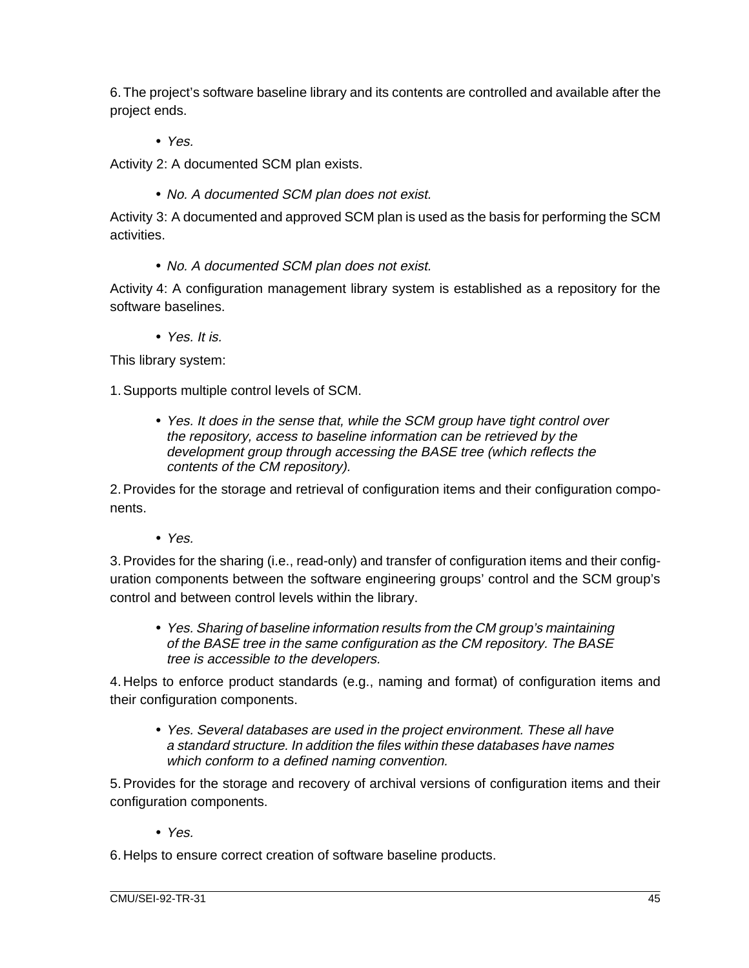6. The project's software baseline library and its contents are controlled and available after the project ends.

• Yes.

Activity 2: A documented SCM plan exists.

• No. A documented SCM plan does not exist.

Activity 3: A documented and approved SCM plan is used as the basis for performing the SCM activities.

• No. A documented SCM plan does not exist.

Activity 4: A configuration management library system is established as a repository for the software baselines.

• Yes. It is.

This library system:

1. Supports multiple control levels of SCM.

• Yes. It does in the sense that, while the SCM group have tight control over the repository, access to baseline information can be retrieved by the development group through accessing the BASE tree (which reflects the contents of the CM repository).

2. Provides for the storage and retrieval of configuration items and their configuration components.

• Yes.

3. Provides for the sharing (i.e., read-only) and transfer of configuration items and their configuration components between the software engineering groups' control and the SCM group's control and between control levels within the library.

• Yes. Sharing of baseline information results from the CM group's maintaining of the BASE tree in the same configuration as the CM repository. The BASE tree is accessible to the developers.

4. Helps to enforce product standards (e.g., naming and format) of configuration items and their configuration components.

• Yes. Several databases are used in the project environment. These all have a standard structure. In addition the files within these databases have names which conform to a defined naming convention.

5. Provides for the storage and recovery of archival versions of configuration items and their configuration components.

• Yes.

6. Helps to ensure correct creation of software baseline products.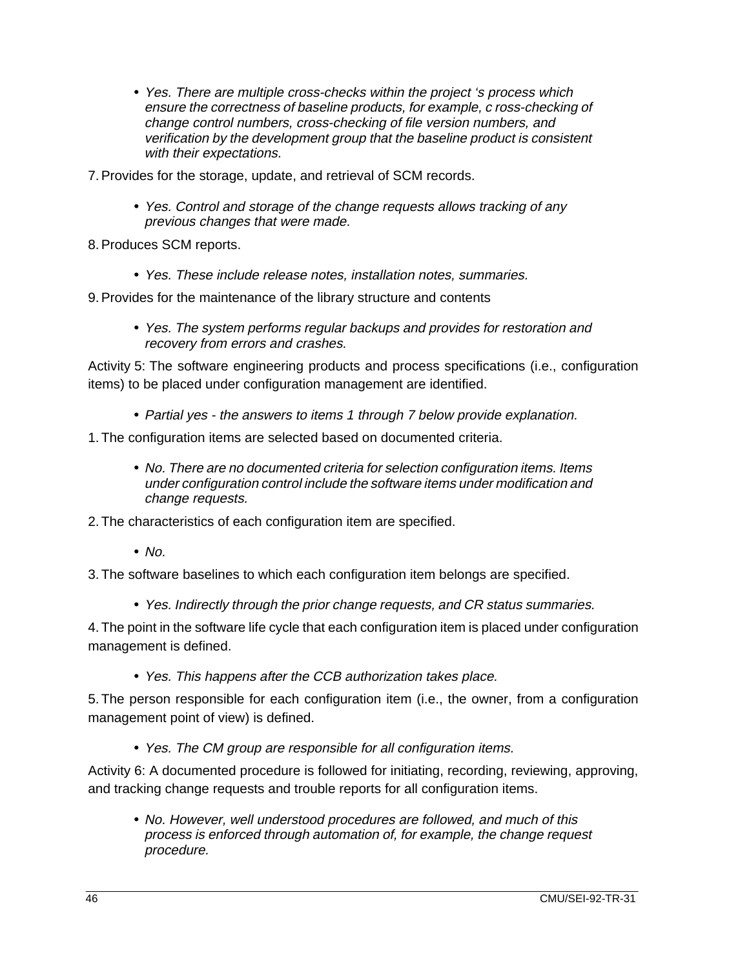- Yes. There are multiple cross-checks within the project 's process which ensure the correctness of baseline products, for example, c ross-checking of change control numbers, cross-checking of file version numbers, and verification by the development group that the baseline product is consistent with their expectations.
- 7. Provides for the storage, update, and retrieval of SCM records.
	- Yes. Control and storage of the change requests allows tracking of any previous changes that were made.

8. Produces SCM reports.

• Yes. These include release notes, installation notes, summaries.

9. Provides for the maintenance of the library structure and contents

• Yes. The system performs regular backups and provides for restoration and recovery from errors and crashes.

Activity 5: The software engineering products and process specifications (i.e., configuration items) to be placed under configuration management are identified.

- Partial yes the answers to items 1 through 7 below provide explanation.
- 1. The configuration items are selected based on documented criteria.
	- No. There are no documented criteria for selection configuration items. Items under configuration control include the software items under modification and change requests.
- 2. The characteristics of each configuration item are specified.
	- $\cdot$  No.
- 3. The software baselines to which each configuration item belongs are specified.
	- Yes. Indirectly through the prior change requests, and CR status summaries.

4. The point in the software life cycle that each configuration item is placed under configuration management is defined.

• Yes. This happens after the CCB authorization takes place.

5. The person responsible for each configuration item (i.e., the owner, from a configuration management point of view) is defined.

• Yes. The CM group are responsible for all configuration items.

Activity 6: A documented procedure is followed for initiating, recording, reviewing, approving, and tracking change requests and trouble reports for all configuration items.

• No. However, well understood procedures are followed, and much of this process is enforced through automation of, for example, the change request procedure.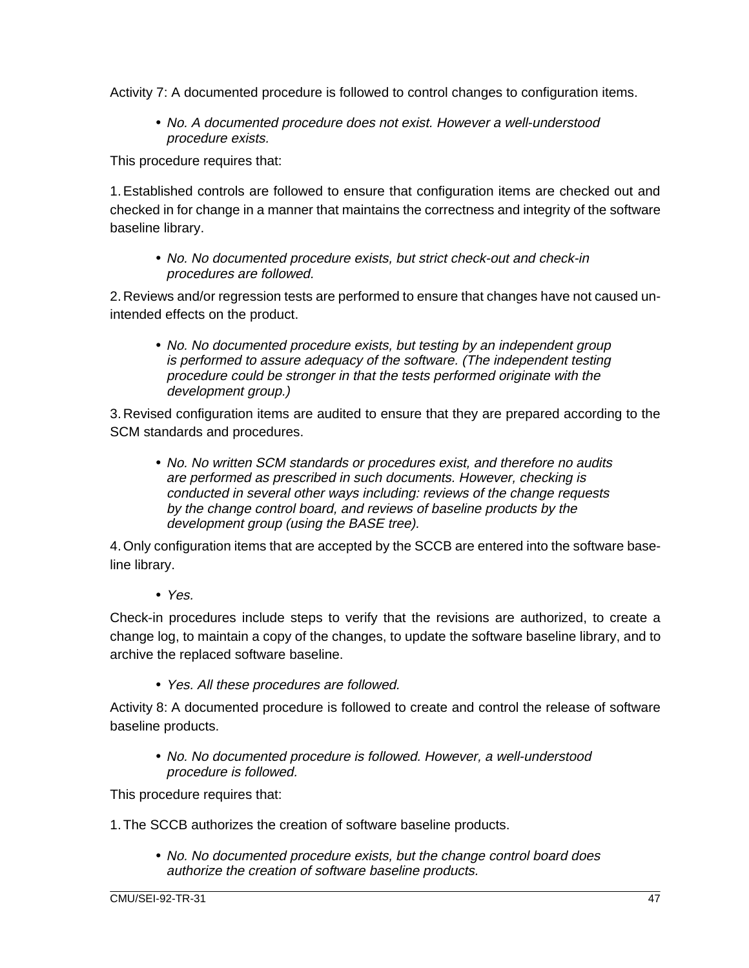Activity 7: A documented procedure is followed to control changes to configuration items.

• No. A documented procedure does not exist. However a well-understood procedure exists.

This procedure requires that:

1. Established controls are followed to ensure that configuration items are checked out and checked in for change in a manner that maintains the correctness and integrity of the software baseline library.

• No. No documented procedure exists, but strict check-out and check-in procedures are followed.

2. Reviews and/or regression tests are performed to ensure that changes have not caused unintended effects on the product.

• No. No documented procedure exists, but testing by an independent group is performed to assure adequacy of the software. (The independent testing procedure could be stronger in that the tests performed originate with the development group.)

3. Revised configuration items are audited to ensure that they are prepared according to the SCM standards and procedures.

• No. No written SCM standards or procedures exist, and therefore no audits are performed as prescribed in such documents. However, checking is conducted in several other ways including: reviews of the change requests by the change control board, and reviews of baseline products by the development group (using the BASE tree).

4. Only configuration items that are accepted by the SCCB are entered into the software baseline library.

• Yes.

Check-in procedures include steps to verify that the revisions are authorized, to create a change log, to maintain a copy of the changes, to update the software baseline library, and to archive the replaced software baseline.

• Yes. All these procedures are followed.

Activity 8: A documented procedure is followed to create and control the release of software baseline products.

• No. No documented procedure is followed. However, a well-understood procedure is followed.

This procedure requires that:

- 1. The SCCB authorizes the creation of software baseline products.
	- No. No documented procedure exists, but the change control board does authorize the creation of software baseline products.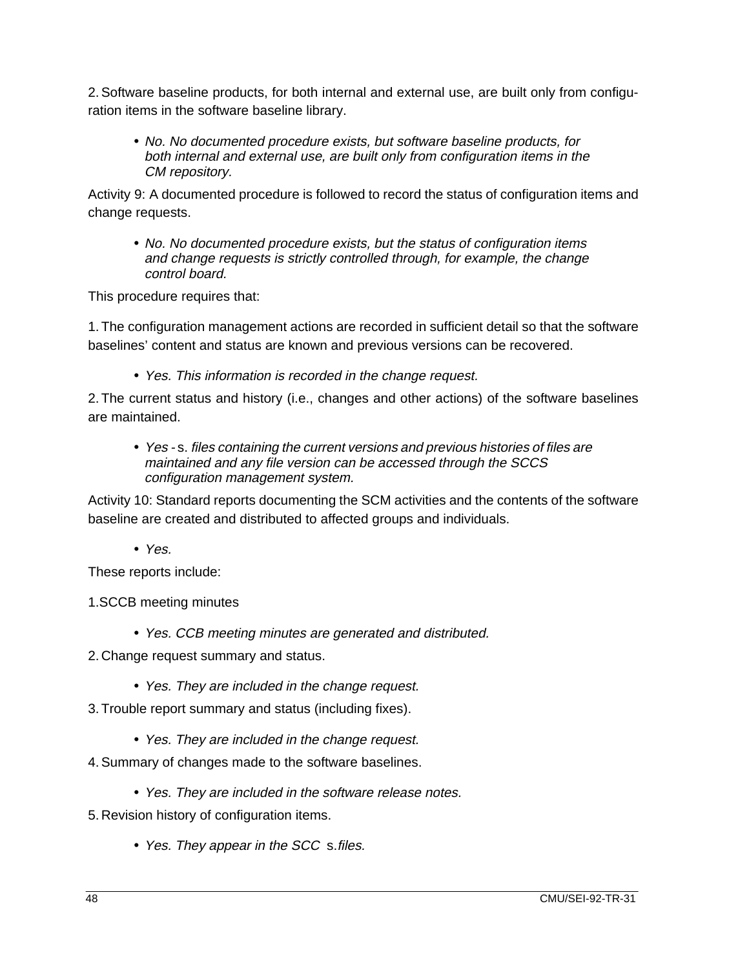2. Software baseline products, for both internal and external use, are built only from configuration items in the software baseline library.

• No. No documented procedure exists, but software baseline products, for both internal and external use, are built only from configuration items in the CM repository.

Activity 9: A documented procedure is followed to record the status of configuration items and change requests.

• No. No documented procedure exists, but the status of configuration items and change requests is strictly controlled through, for example, the change control board.

This procedure requires that:

1. The configuration management actions are recorded in sufficient detail so that the software baselines' content and status are known and previous versions can be recovered.

• Yes. This information is recorded in the change request.

2. The current status and history (i.e., changes and other actions) of the software baselines are maintained.

• Yes - s. files containing the current versions and previous histories of files are maintained and any file version can be accessed through the SCCS configuration management system.

Activity 10: Standard reports documenting the SCM activities and the contents of the software baseline are created and distributed to affected groups and individuals.

• Yes.

These reports include:

1.SCCB meeting minutes

- Yes. CCB meeting minutes are generated and distributed.
- 2. Change request summary and status.
	- Yes. They are included in the change request.
- 3. Trouble report summary and status (including fixes).
	- Yes. They are included in the change request.
- 4. Summary of changes made to the software baselines.
	- Yes. They are included in the software release notes.
- 5. Revision history of configuration items.
	- Yes. They appear in the SCC s.files.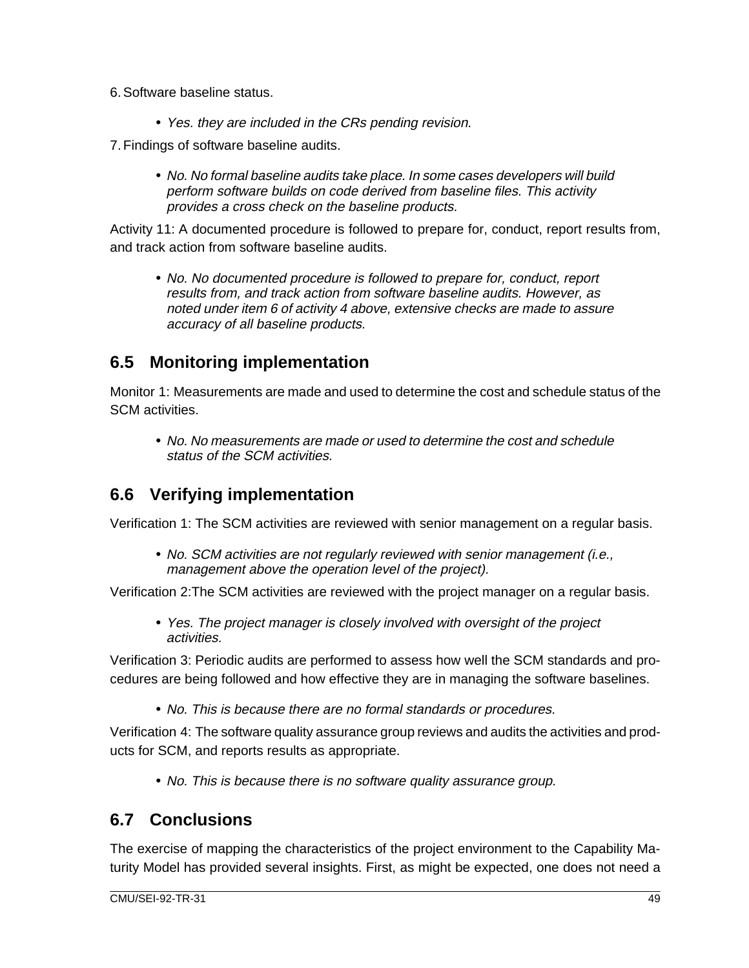- 6. Software baseline status.
	- Yes. they are included in the CRs pending revision.
- 7. Findings of software baseline audits.
	- No. No formal baseline audits take place. In some cases developers will build perform software builds on code derived from baseline files. This activity provides a cross check on the baseline products.

Activity 11: A documented procedure is followed to prepare for, conduct, report results from, and track action from software baseline audits.

• No. No documented procedure is followed to prepare for, conduct, report results from, and track action from software baseline audits. However, as noted under item 6 of activity 4 above, extensive checks are made to assure accuracy of all baseline products.

#### **6.5 Monitoring implementation**

Monitor 1: Measurements are made and used to determine the cost and schedule status of the SCM activities.

• No. No measurements are made or used to determine the cost and schedule status of the SCM activities.

#### **6.6 Verifying implementation**

Verification 1: The SCM activities are reviewed with senior management on a regular basis.

• No. SCM activities are not regularly reviewed with senior management (i.e., management above the operation level of the project).

Verification 2:The SCM activities are reviewed with the project manager on a regular basis.

• Yes. The project manager is closely involved with oversight of the project activities.

Verification 3: Periodic audits are performed to assess how well the SCM standards and procedures are being followed and how effective they are in managing the software baselines.

• No. This is because there are no formal standards or procedures.

Verification 4: The software quality assurance group reviews and audits the activities and products for SCM, and reports results as appropriate.

• No. This is because there is no software quality assurance group.

#### **6.7 Conclusions**

The exercise of mapping the characteristics of the project environment to the Capability Maturity Model has provided several insights. First, as might be expected, one does not need a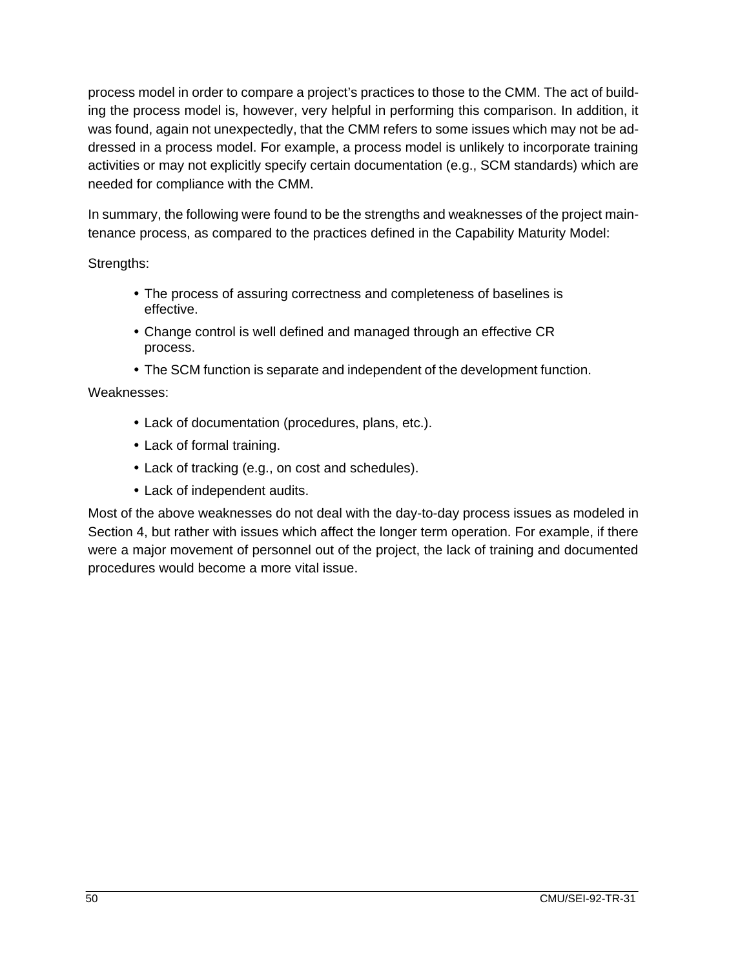process model in order to compare a project's practices to those to the CMM. The act of building the process model is, however, very helpful in performing this comparison. In addition, it was found, again not unexpectedly, that the CMM refers to some issues which may not be addressed in a process model. For example, a process model is unlikely to incorporate training activities or may not explicitly specify certain documentation (e.g., SCM standards) which are needed for compliance with the CMM.

In summary, the following were found to be the strengths and weaknesses of the project maintenance process, as compared to the practices defined in the Capability Maturity Model:

Strengths:

- The process of assuring correctness and completeness of baselines is effective.
- Change control is well defined and managed through an effective CR process.
- The SCM function is separate and independent of the development function.

Weaknesses:

- Lack of documentation (procedures, plans, etc.).
- Lack of formal training.
- Lack of tracking (e.g., on cost and schedules).
- Lack of independent audits.

Most of the above weaknesses do not deal with the day-to-day process issues as modeled in Section 4, but rather with issues which affect the longer term operation. For example, if there were a major movement of personnel out of the project, the lack of training and documented procedures would become a more vital issue.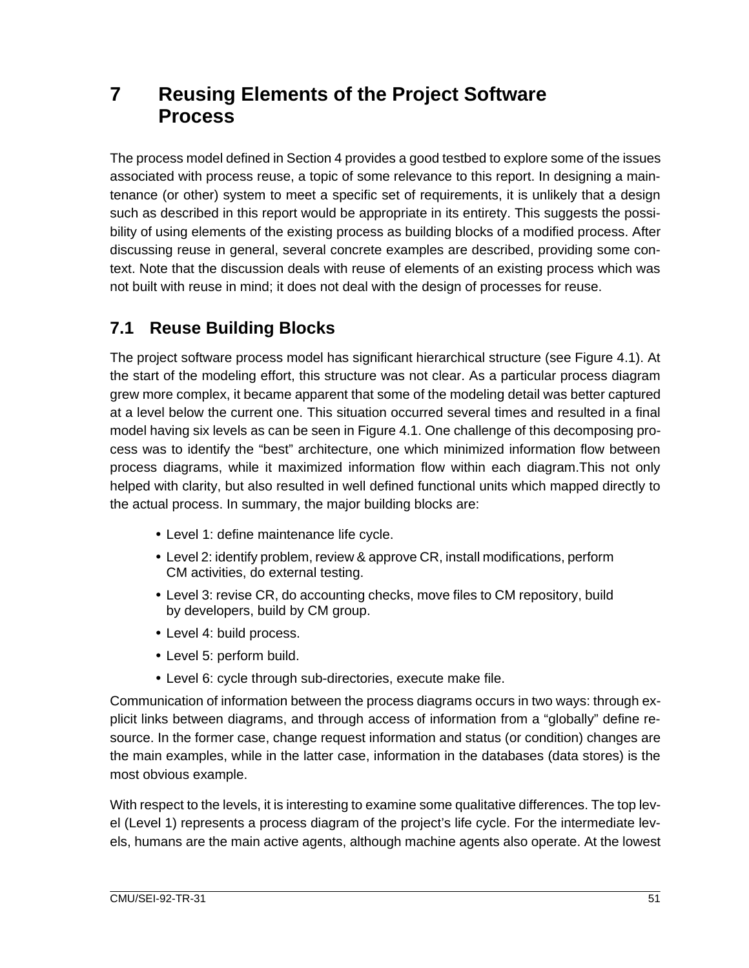## **7 Reusing Elements of the Project Software Process**

The process model defined in Section 4 provides a good testbed to explore some of the issues associated with process reuse, a topic of some relevance to this report. In designing a maintenance (or other) system to meet a specific set of requirements, it is unlikely that a design such as described in this report would be appropriate in its entirety. This suggests the possibility of using elements of the existing process as building blocks of a modified process. After discussing reuse in general, several concrete examples are described, providing some context. Note that the discussion deals with reuse of elements of an existing process which was not built with reuse in mind; it does not deal with the design of processes for reuse.

### **7.1 Reuse Building Blocks**

The project software process model has significant hierarchical structure (see Figure 4.1). At the start of the modeling effort, this structure was not clear. As a particular process diagram grew more complex, it became apparent that some of the modeling detail was better captured at a level below the current one. This situation occurred several times and resulted in a final model having six levels as can be seen in Figure 4.1. One challenge of this decomposing process was to identify the "best" architecture, one which minimized information flow between process diagrams, while it maximized information flow within each diagram.This not only helped with clarity, but also resulted in well defined functional units which mapped directly to the actual process. In summary, the major building blocks are:

- Level 1: define maintenance life cycle.
- Level 2: identify problem, review & approve CR, install modifications, perform CM activities, do external testing.
- Level 3: revise CR, do accounting checks, move files to CM repository, build by developers, build by CM group.
- Level 4: build process.
- Level 5: perform build.
- Level 6: cycle through sub-directories, execute make file.

Communication of information between the process diagrams occurs in two ways: through explicit links between diagrams, and through access of information from a "globally" define resource. In the former case, change request information and status (or condition) changes are the main examples, while in the latter case, information in the databases (data stores) is the most obvious example.

With respect to the levels, it is interesting to examine some qualitative differences. The top level (Level 1) represents a process diagram of the project's life cycle. For the intermediate levels, humans are the main active agents, although machine agents also operate. At the lowest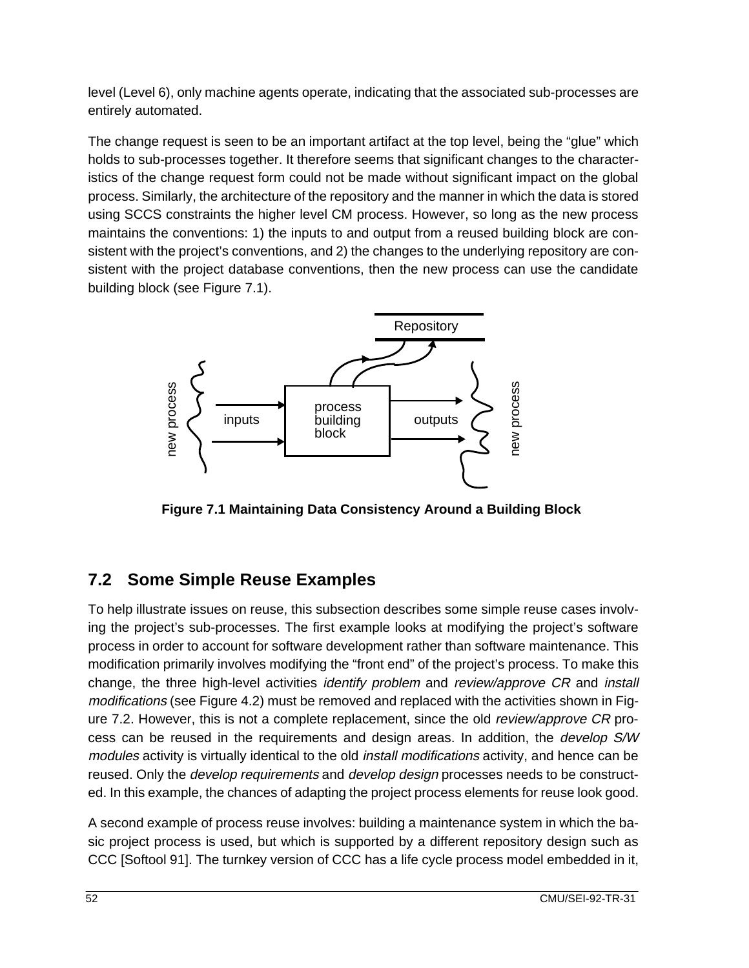level (Level 6), only machine agents operate, indicating that the associated sub-processes are entirely automated.

The change request is seen to be an important artifact at the top level, being the "glue" which holds to sub-processes together. It therefore seems that significant changes to the characteristics of the change request form could not be made without significant impact on the global process. Similarly, the architecture of the repository and the manner in which the data is stored using SCCS constraints the higher level CM process. However, so long as the new process maintains the conventions: 1) the inputs to and output from a reused building block are consistent with the project's conventions, and 2) the changes to the underlying repository are consistent with the project database conventions, then the new process can use the candidate building block (see Figure 7.1).



#### **7.2 Some Simple Reuse Examples**

To help illustrate issues on reuse, this subsection describes some simple reuse cases involving the project's sub-processes. The first example looks at modifying the project's software process in order to account for software development rather than software maintenance. This modification primarily involves modifying the "front end" of the project's process. To make this change, the three high-level activities *identify problem* and *review/approve CR* and *install* modifications (see Figure 4.2) must be removed and replaced with the activities shown in Figure 7.2. However, this is not a complete replacement, since the old review/approve CR process can be reused in the requirements and design areas. In addition, the develop S/W modules activity is virtually identical to the old install modifications activity, and hence can be reused. Only the *develop requirements* and *develop design* processes needs to be constructed. In this example, the chances of adapting the project process elements for reuse look good.

A second example of process reuse involves: building a maintenance system in which the basic project process is used, but which is supported by a different repository design such as CCC [Softool 91]. The turnkey version of CCC has a life cycle process model embedded in it,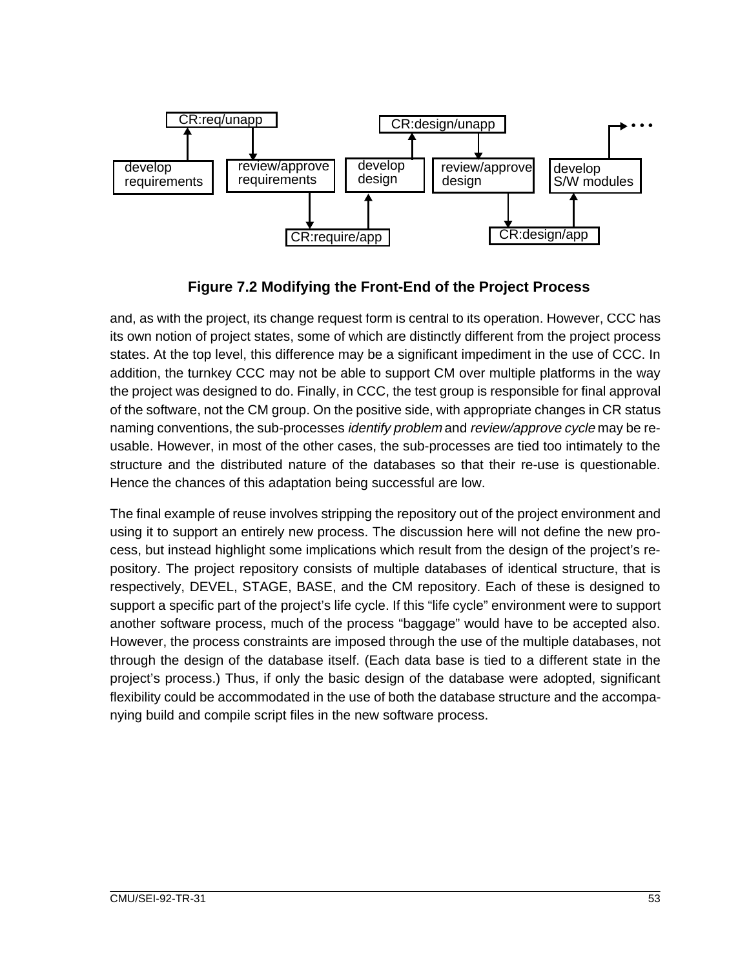

**Figure 7.2 Modifying the Front-End of the Project Process**

and, as with the project, its change request form is central to its operation. However, CCC has its own notion of project states, some of which are distinctly different from the project process states. At the top level, this difference may be a significant impediment in the use of CCC. In addition, the turnkey CCC may not be able to support CM over multiple platforms in the way the project was designed to do. Finally, in CCC, the test group is responsible for final approval of the software, not the CM group. On the positive side, with appropriate changes in CR status naming conventions, the sub-processes *identify problem* and *review/approve cycle* may be reusable. However, in most of the other cases, the sub-processes are tied too intimately to the structure and the distributed nature of the databases so that their re-use is questionable. Hence the chances of this adaptation being successful are low.

The final example of reuse involves stripping the repository out of the project environment and using it to support an entirely new process. The discussion here will not define the new process, but instead highlight some implications which result from the design of the project's repository. The project repository consists of multiple databases of identical structure, that is respectively, DEVEL, STAGE, BASE, and the CM repository. Each of these is designed to support a specific part of the project's life cycle. If this "life cycle" environment were to support another software process, much of the process "baggage" would have to be accepted also. However, the process constraints are imposed through the use of the multiple databases, not through the design of the database itself. (Each data base is tied to a different state in the project's process.) Thus, if only the basic design of the database were adopted, significant flexibility could be accommodated in the use of both the database structure and the accompanying build and compile script files in the new software process.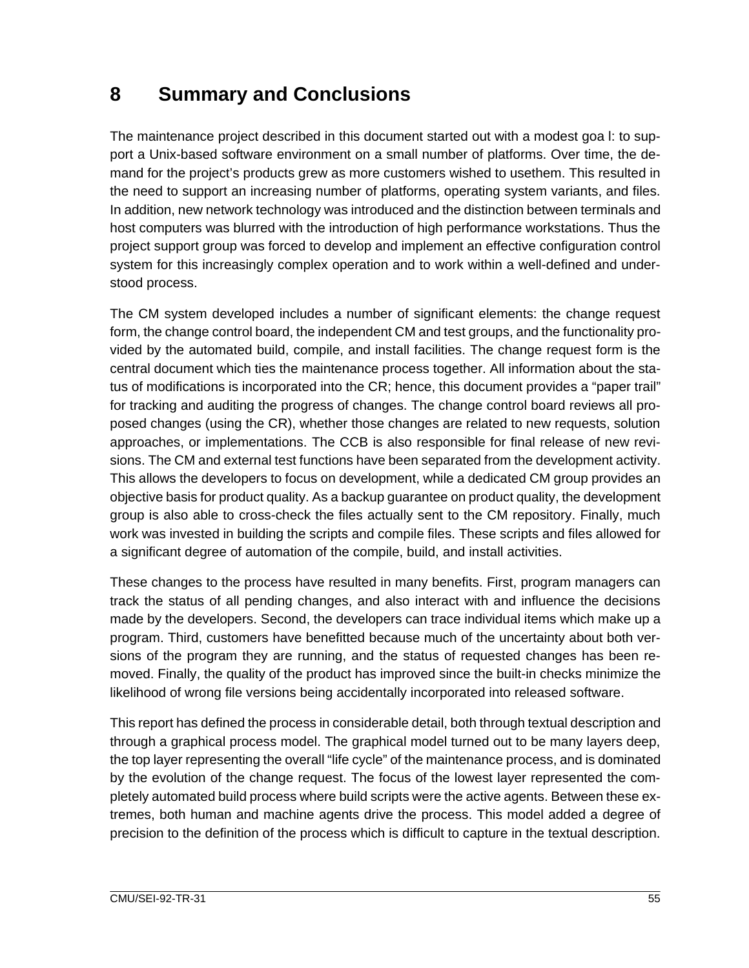## **8 Summary and Conclusions**

The maintenance project described in this document started out with a modest goa l: to support a Unix-based software environment on a small number of platforms. Over time, the demand for the project's products grew as more customers wished to usethem. This resulted in the need to support an increasing number of platforms, operating system variants, and files. In addition, new network technology was introduced and the distinction between terminals and host computers was blurred with the introduction of high performance workstations. Thus the project support group was forced to develop and implement an effective configuration control system for this increasingly complex operation and to work within a well-defined and understood process.

The CM system developed includes a number of significant elements: the change request form, the change control board, the independent CM and test groups, and the functionality provided by the automated build, compile, and install facilities. The change request form is the central document which ties the maintenance process together. All information about the status of modifications is incorporated into the CR; hence, this document provides a "paper trail" for tracking and auditing the progress of changes. The change control board reviews all proposed changes (using the CR), whether those changes are related to new requests, solution approaches, or implementations. The CCB is also responsible for final release of new revisions. The CM and external test functions have been separated from the development activity. This allows the developers to focus on development, while a dedicated CM group provides an objective basis for product quality. As a backup guarantee on product quality, the development group is also able to cross-check the files actually sent to the CM repository. Finally, much work was invested in building the scripts and compile files. These scripts and files allowed for a significant degree of automation of the compile, build, and install activities.

These changes to the process have resulted in many benefits. First, program managers can track the status of all pending changes, and also interact with and influence the decisions made by the developers. Second, the developers can trace individual items which make up a program. Third, customers have benefitted because much of the uncertainty about both versions of the program they are running, and the status of requested changes has been removed. Finally, the quality of the product has improved since the built-in checks minimize the likelihood of wrong file versions being accidentally incorporated into released software.

This report has defined the process in considerable detail, both through textual description and through a graphical process model. The graphical model turned out to be many layers deep, the top layer representing the overall "life cycle" of the maintenance process, and is dominated by the evolution of the change request. The focus of the lowest layer represented the completely automated build process where build scripts were the active agents. Between these extremes, both human and machine agents drive the process. This model added a degree of precision to the definition of the process which is difficult to capture in the textual description.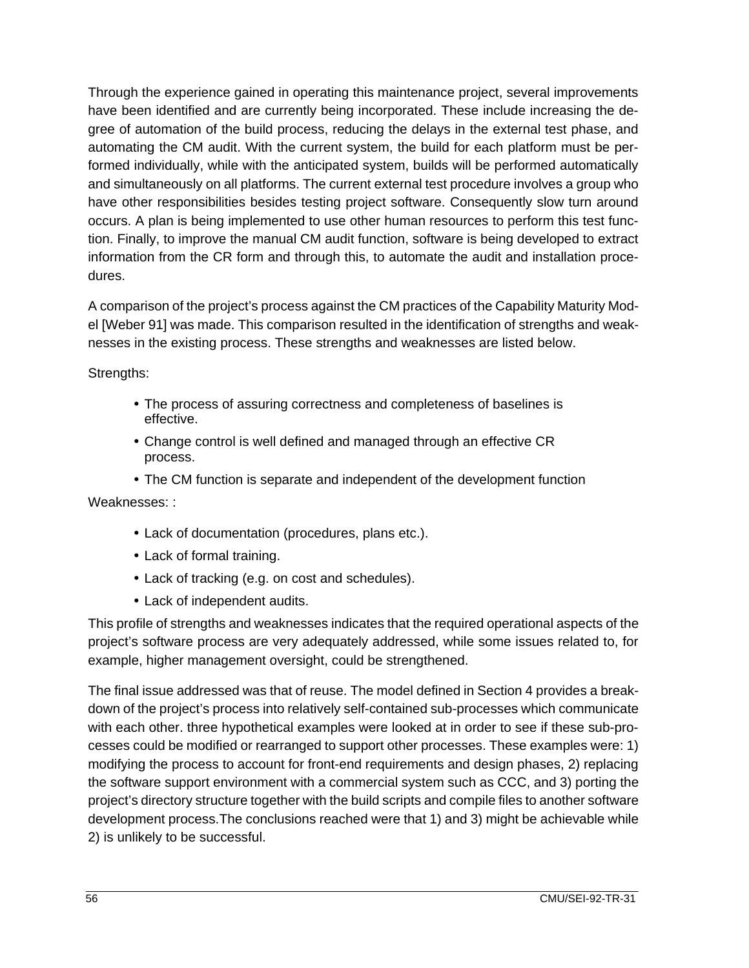Through the experience gained in operating this maintenance project, several improvements have been identified and are currently being incorporated. These include increasing the degree of automation of the build process, reducing the delays in the external test phase, and automating the CM audit. With the current system, the build for each platform must be performed individually, while with the anticipated system, builds will be performed automatically and simultaneously on all platforms. The current external test procedure involves a group who have other responsibilities besides testing project software. Consequently slow turn around occurs. A plan is being implemented to use other human resources to perform this test function. Finally, to improve the manual CM audit function, software is being developed to extract information from the CR form and through this, to automate the audit and installation procedures.

A comparison of the project's process against the CM practices of the Capability Maturity Model [Weber 91] was made. This comparison resulted in the identification of strengths and weaknesses in the existing process. These strengths and weaknesses are listed below.

Strengths:

- The process of assuring correctness and completeness of baselines is effective.
- Change control is well defined and managed through an effective CR process.
- The CM function is separate and independent of the development function

Weaknesses: :

- Lack of documentation (procedures, plans etc.).
- Lack of formal training.
- Lack of tracking (e.g. on cost and schedules).
- Lack of independent audits.

This profile of strengths and weaknesses indicates that the required operational aspects of the project's software process are very adequately addressed, while some issues related to, for example, higher management oversight, could be strengthened.

The final issue addressed was that of reuse. The model defined in Section 4 provides a breakdown of the project's process into relatively self-contained sub-processes which communicate with each other. three hypothetical examples were looked at in order to see if these sub-processes could be modified or rearranged to support other processes. These examples were: 1) modifying the process to account for front-end requirements and design phases, 2) replacing the software support environment with a commercial system such as CCC, and 3) porting the project's directory structure together with the build scripts and compile files to another software development process.The conclusions reached were that 1) and 3) might be achievable while 2) is unlikely to be successful.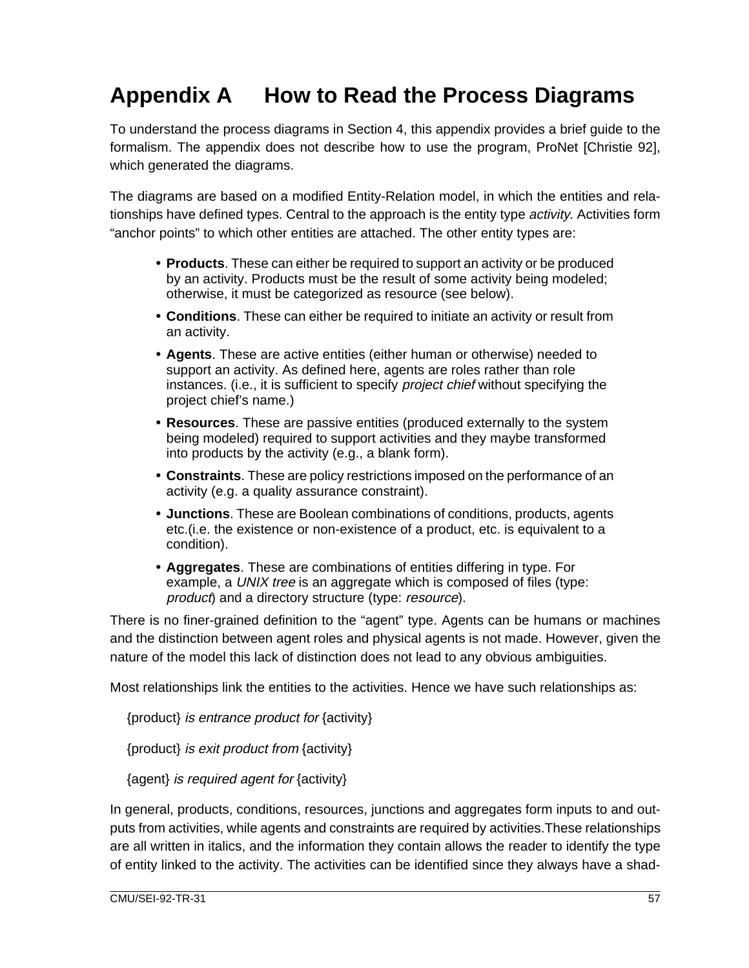# **Appendix A How to Read the Process Diagrams**

To understand the process diagrams in Section 4, this appendix provides a brief guide to the formalism. The appendix does not describe how to use the program, ProNet [Christie 92], which generated the diagrams.

The diagrams are based on a modified Entity-Relation model, in which the entities and relationships have defined types. Central to the approach is the entity type *activity*. Activities form "anchor points" to which other entities are attached. The other entity types are:

- **Products**. These can either be required to support an activity or be produced by an activity. Products must be the result of some activity being modeled; otherwise, it must be categorized as resource (see below).
- **Conditions**. These can either be required to initiate an activity or result from an activity.
- **Agents**. These are active entities (either human or otherwise) needed to support an activity. As defined here, agents are roles rather than role instances. (i.e., it is sufficient to specify *project chief* without specifying the project chief's name.)
- **Resources**. These are passive entities (produced externally to the system being modeled) required to support activities and they maybe transformed into products by the activity (e.g., a blank form).
- **Constraints**. These are policy restrictions imposed on the performance of an activity (e.g. a quality assurance constraint).
- **Junctions**. These are Boolean combinations of conditions, products, agents etc.(i.e. the existence or non-existence of a product, etc. is equivalent to a condition).
- **Aggregates**. These are combinations of entities differing in type. For example, a UNIX tree is an aggregate which is composed of files (type: product) and a directory structure (type: resource).

There is no finer-grained definition to the "agent" type. Agents can be humans or machines and the distinction between agent roles and physical agents is not made. However, given the nature of the model this lack of distinction does not lead to any obvious ambiguities.

Most relationships link the entities to the activities. Hence we have such relationships as:

{product} is entrance product for {activity}

{product} is exit product from {activity}

{agent} is required agent for {activity}

In general, products, conditions, resources, junctions and aggregates form inputs to and outputs from activities, while agents and constraints are required by activities.These relationships are all written in italics, and the information they contain allows the reader to identify the type of entity linked to the activity. The activities can be identified since they always have a shad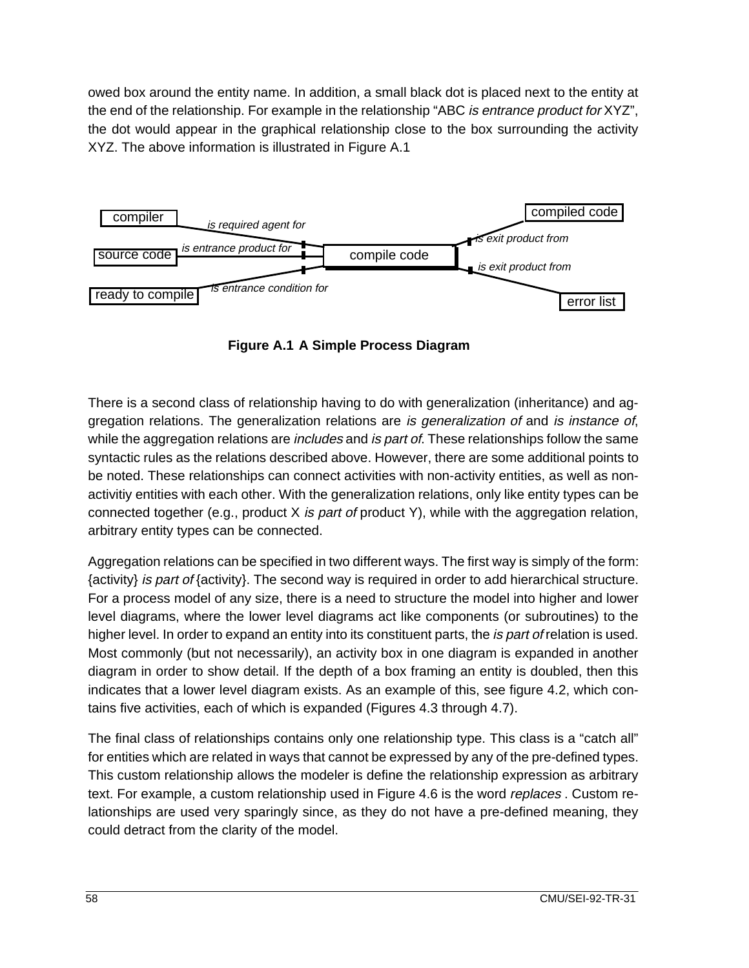owed box around the entity name. In addition, a small black dot is placed next to the entity at the end of the relationship. For example in the relationship "ABC is entrance product for XYZ", the dot would appear in the graphical relationship close to the box surrounding the activity XYZ. The above information is illustrated in Figure A.1



**Figure A.1 A Simple Process Diagram**

There is a second class of relationship having to do with generalization (inheritance) and aggregation relations. The generalization relations are is generalization of and is instance of, while the aggregation relations are *includes* and *is part of.* These relationships follow the same syntactic rules as the relations described above. However, there are some additional points to be noted. These relationships can connect activities with non-activity entities, as well as nonactivitiy entities with each other. With the generalization relations, only like entity types can be connected together (e.g., product  $X$  is part of product Y), while with the aggregation relation, arbitrary entity types can be connected.

Aggregation relations can be specified in two different ways. The first way is simply of the form: {activity} is part of {activity}. The second way is required in order to add hierarchical structure. For a process model of any size, there is a need to structure the model into higher and lower level diagrams, where the lower level diagrams act like components (or subroutines) to the higher level. In order to expand an entity into its constituent parts, the *is part of relation* is used. Most commonly (but not necessarily), an activity box in one diagram is expanded in another diagram in order to show detail. If the depth of a box framing an entity is doubled, then this indicates that a lower level diagram exists. As an example of this, see figure 4.2, which contains five activities, each of which is expanded (Figures 4.3 through 4.7).

The final class of relationships contains only one relationship type. This class is a "catch all" for entities which are related in ways that cannot be expressed by any of the pre-defined types. This custom relationship allows the modeler is define the relationship expression as arbitrary text. For example, a custom relationship used in Figure 4.6 is the word *replaces* . Custom relationships are used very sparingly since, as they do not have a pre-defined meaning, they could detract from the clarity of the model.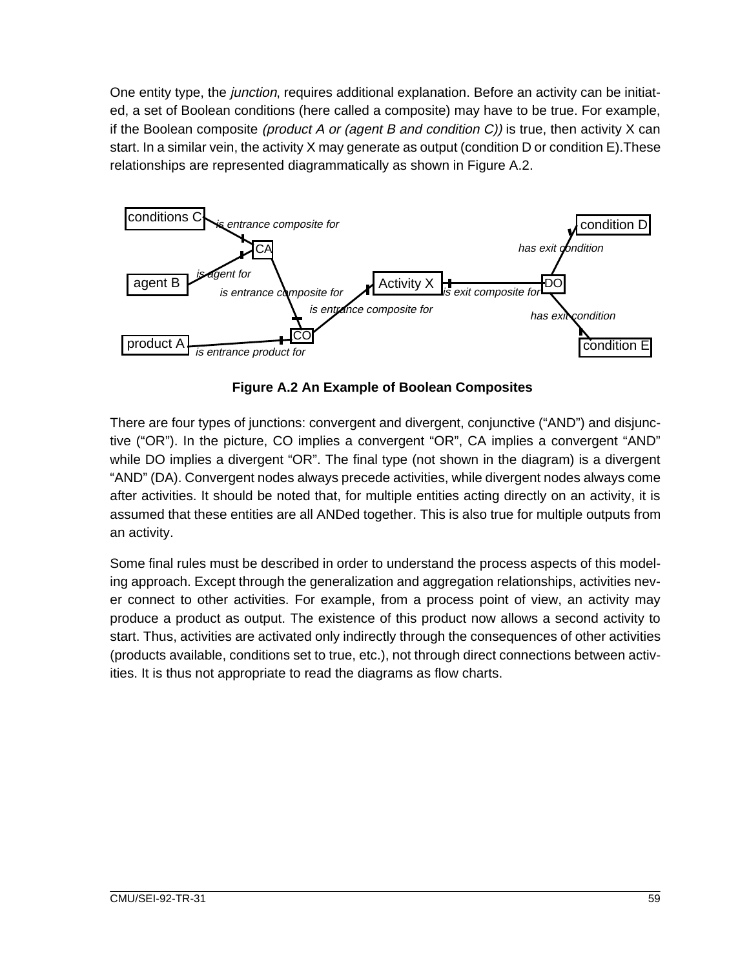One entity type, the *junction*, requires additional explanation. Before an activity can be initiated, a set of Boolean conditions (here called a composite) may have to be true. For example, if the Boolean composite (product A or (agent B and condition  $C$ )) is true, then activity X can start. In a similar vein, the activity X may generate as output (condition D or condition E).These relationships are represented diagrammatically as shown in Figure A.2.



**Figure A.2 An Example of Boolean Composites**

There are four types of junctions: convergent and divergent, conjunctive ("AND") and disjunctive ("OR"). In the picture, CO implies a convergent "OR", CA implies a convergent "AND" while DO implies a divergent "OR". The final type (not shown in the diagram) is a divergent "AND" (DA). Convergent nodes always precede activities, while divergent nodes always come after activities. It should be noted that, for multiple entities acting directly on an activity, it is assumed that these entities are all ANDed together. This is also true for multiple outputs from an activity.

Some final rules must be described in order to understand the process aspects of this modeling approach. Except through the generalization and aggregation relationships, activities never connect to other activities. For example, from a process point of view, an activity may produce a product as output. The existence of this product now allows a second activity to start. Thus, activities are activated only indirectly through the consequences of other activities (products available, conditions set to true, etc.), not through direct connections between activities. It is thus not appropriate to read the diagrams as flow charts.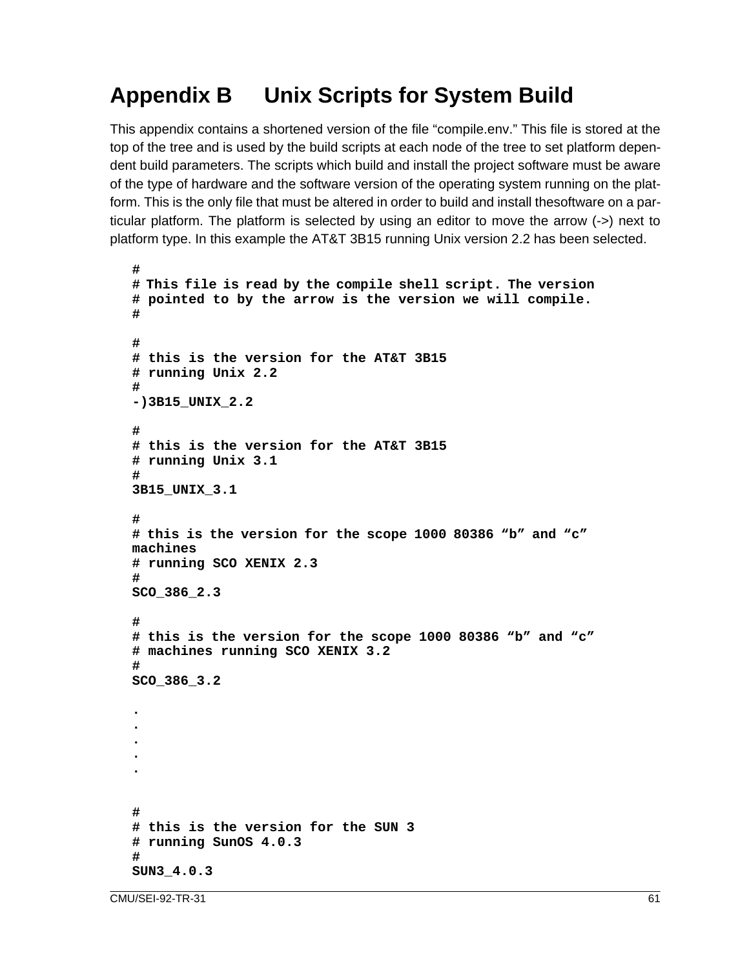# **Appendix B Unix Scripts for System Build**

This appendix contains a shortened version of the file "compile.env." This file is stored at the top of the tree and is used by the build scripts at each node of the tree to set platform dependent build parameters. The scripts which build and install the project software must be aware of the type of hardware and the software version of the operating system running on the platform. This is the only file that must be altered in order to build and install thesoftware on a particular platform. The platform is selected by using an editor to move the arrow (->) next to platform type. In this example the AT&T 3B15 running Unix version 2.2 has been selected.

```
#
# This file is read by the compile shell script. The version
# pointed to by the arrow is the version we will compile.
#
#
# this is the version for the AT&T 3B15
# running Unix 2.2
#
-)3B15_UNIX_2.2
#
# this is the version for the AT&T 3B15
# running Unix 3.1
#
3B15_UNIX_3.1
#
# this is the version for the scope 1000 80386 "b" and "c"
machines
# running SCO XENIX 2.3
#
SCO_386_2.3
#
# this is the version for the scope 1000 80386 "b" and "c"
# machines running SCO XENIX 3.2
#
SCO_386_3.2
.
.
.
.
.
#
# this is the version for the SUN 3
# running SunOS 4.0.3
#
SUN3_4.0.3
```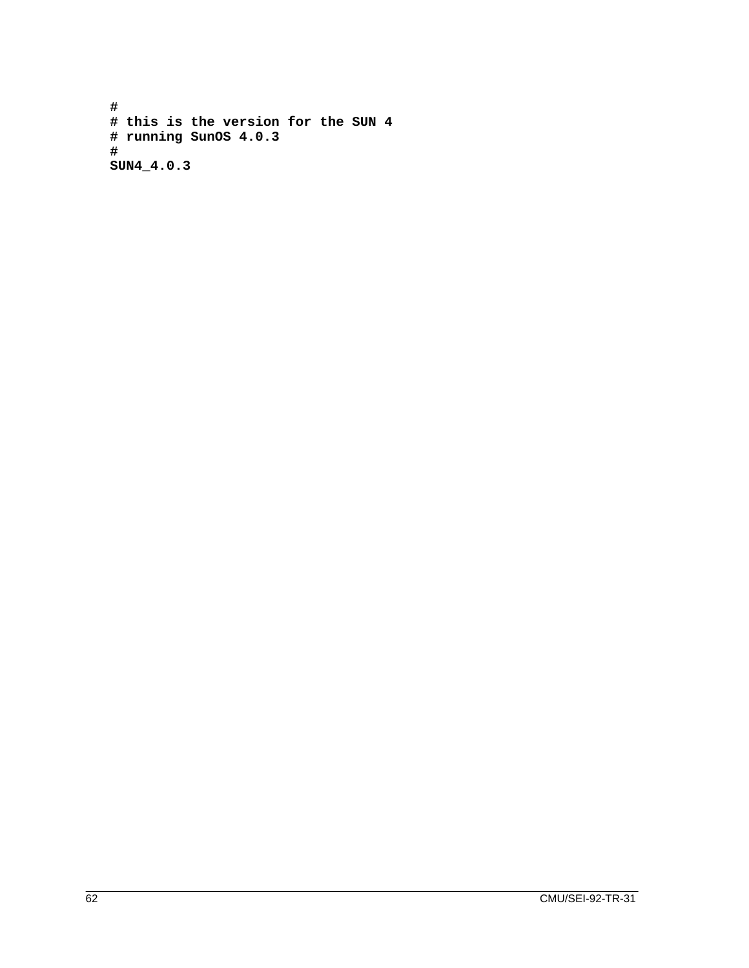**# # this is the version for the SUN 4 # running SunOS 4.0.3 # SUN4\_4.0.3**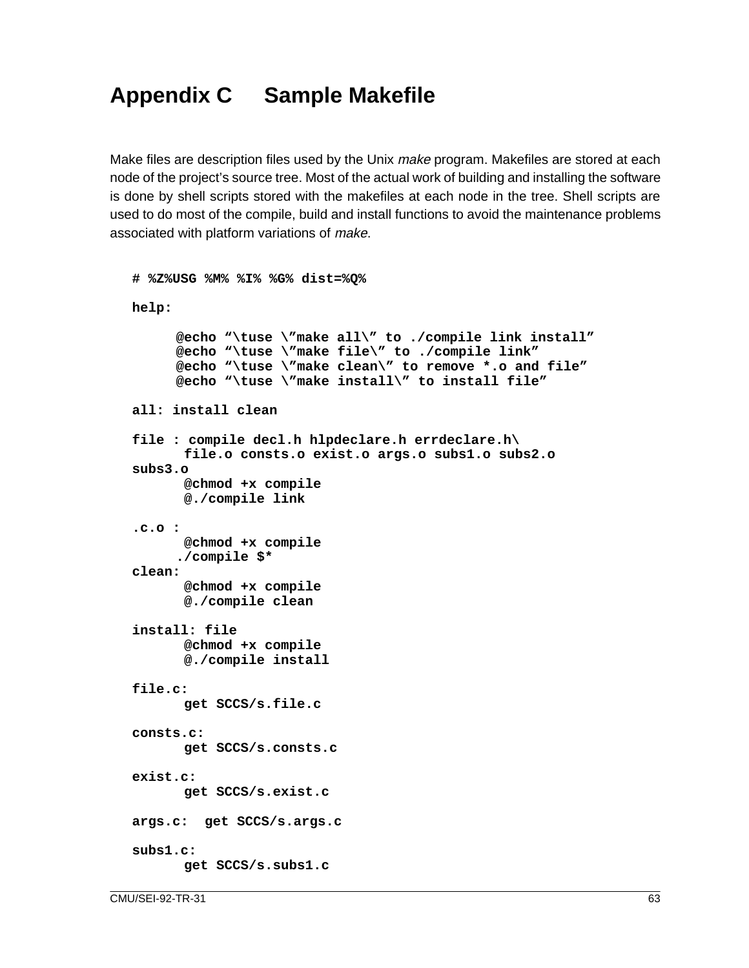## **Appendix C Sample Makefile**

Make files are description files used by the Unix *make* program. Makefiles are stored at each node of the project's source tree. Most of the actual work of building and installing the software is done by shell scripts stored with the makefiles at each node in the tree. Shell scripts are used to do most of the compile, build and install functions to avoid the maintenance problems associated with platform variations of make.

```
# %Z%USG %M% %I% %G% dist=%Q%
help:
     @echo "\tuse \"make all\" to ./compile link install"
     @echo "\tuse \"make file\" to ./compile link"
     @echo "\tuse \"make clean\" to remove *.o and file"
     @echo "\tuse \"make install\" to install file"
all: install clean
file : compile decl.h hlpdeclare.h errdeclare.h\
       file.o consts.o exist.o args.o subs1.o subs2.o
subs3.o
       @chmod +x compile
       @./compile link
.c.o :
       @chmod +x compile
      ./compile $*
clean:
       @chmod +x compile
       @./compile clean
install: file
       @chmod +x compile
       @./compile install
file.c:
       get SCCS/s.file.c
consts.c:
       get SCCS/s.consts.c
exist.c:
       get SCCS/s.exist.c
args.c: get SCCS/s.args.c
subs1.c:
       get SCCS/s.subs1.c
```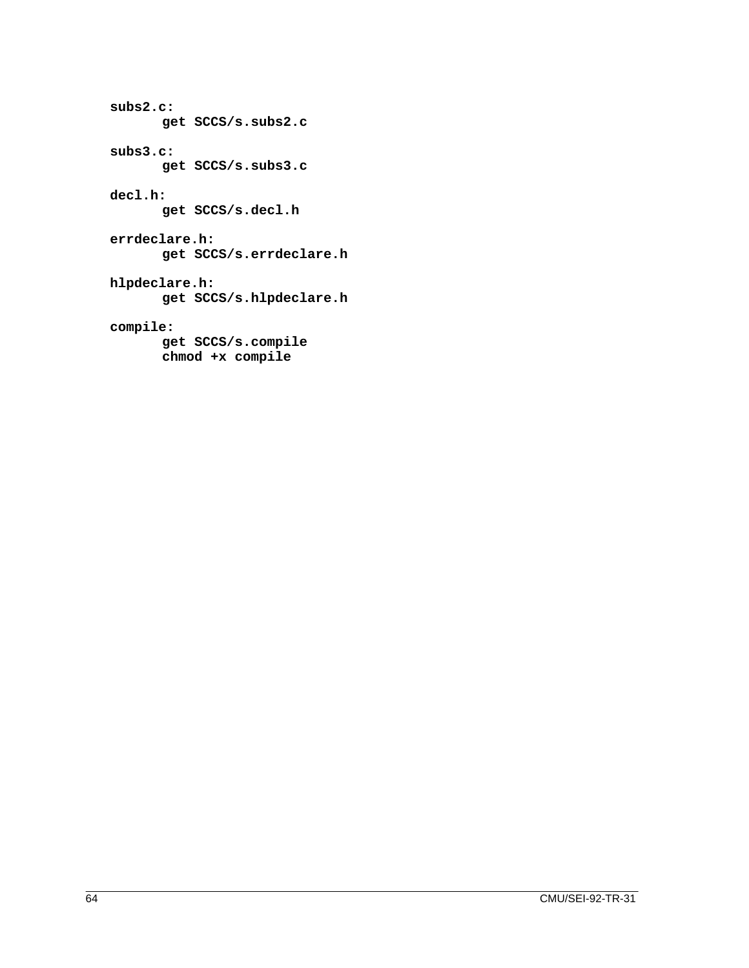```
subs2.c:
       get SCCS/s.subs2.c
subs3.c:
       get SCCS/s.subs3.c
decl.h:
       get SCCS/s.decl.h
errdeclare.h:
       get SCCS/s.errdeclare.h
hlpdeclare.h:
       get SCCS/s.hlpdeclare.h
compile:
       get SCCS/s.compile
```
 **chmod +x compile**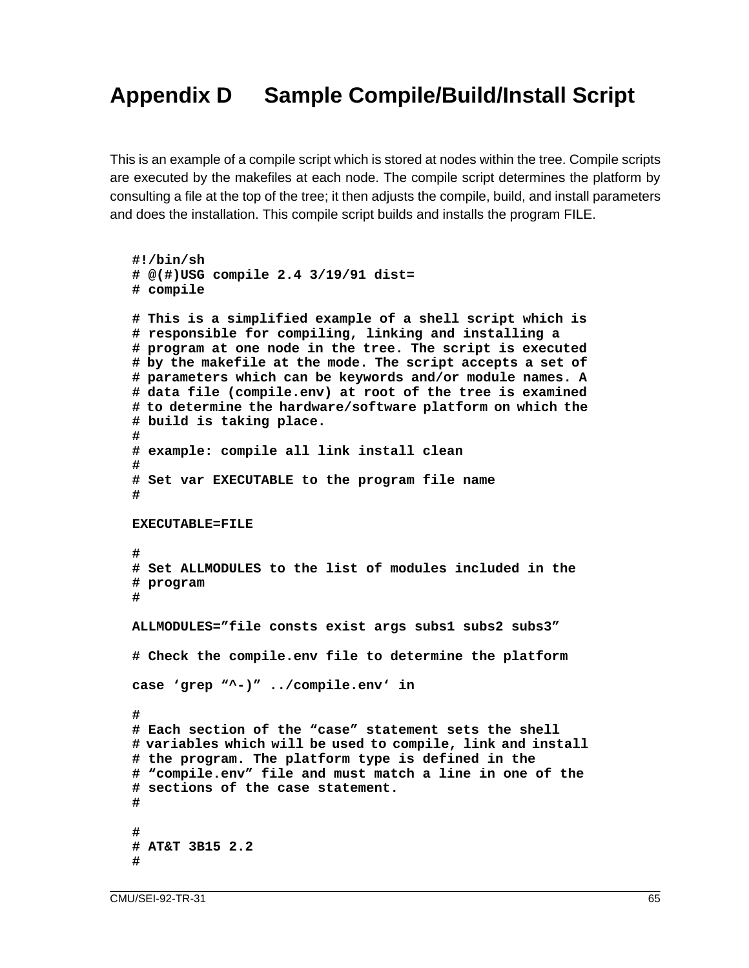# **Appendix D Sample Compile/Build/Install Script**

This is an example of a compile script which is stored at nodes within the tree. Compile scripts are executed by the makefiles at each node. The compile script determines the platform by consulting a file at the top of the tree; it then adjusts the compile, build, and install parameters and does the installation. This compile script builds and installs the program FILE.

```
#!/bin/sh
# @(#)USG compile 2.4 3/19/91 dist=
# compile
# This is a simplified example of a shell script which is
# responsible for compiling, linking and installing a
# program at one node in the tree. The script is executed
# by the makefile at the mode. The script accepts a set of
# parameters which can be keywords and/or module names. A
# data file (compile.env) at root of the tree is examined
# to determine the hardware/software platform on which the
# build is taking place.
#
# example: compile all link install clean
#
# Set var EXECUTABLE to the program file name
#
EXECUTABLE=FILE
#
# Set ALLMODULES to the list of modules included in the
# program
#
ALLMODULES="file consts exist args subs1 subs2 subs3"
# Check the compile.env file to determine the platform
case 'grep "^-)" ../compile.env' in
#
# Each section of the "case" statement sets the shell
# variables which will be used to compile, link and install
# the program. The platform type is defined in the
# "compile.env" file and must match a line in one of the
# sections of the case statement.
#
#
# AT&T 3B15 2.2
#
```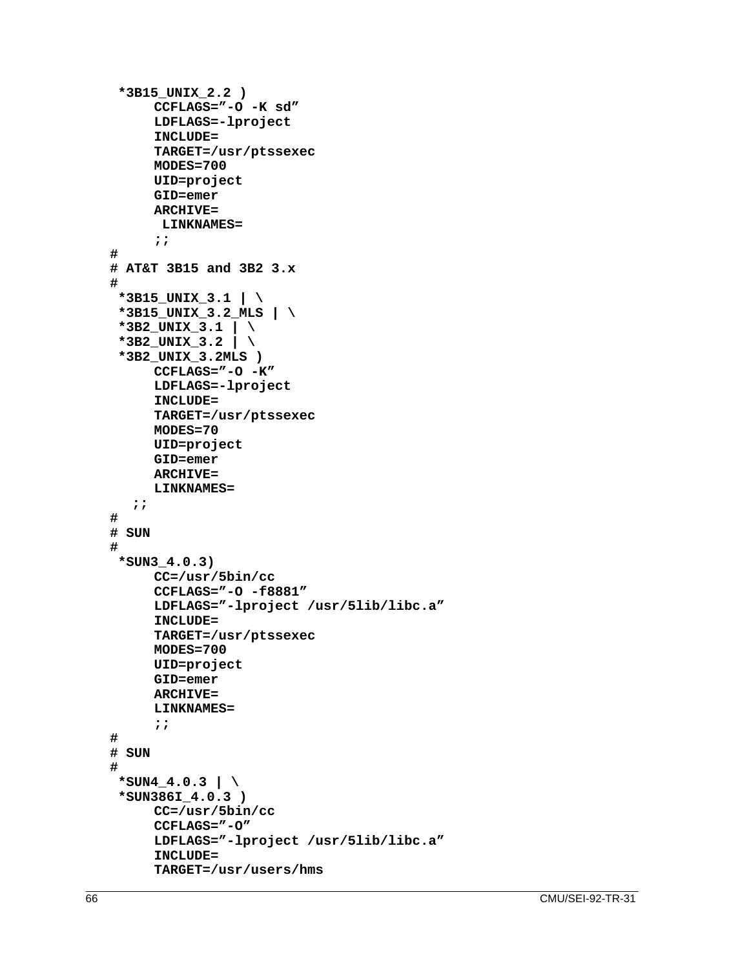```
 *3B15_UNIX_2.2 )
     CCFLAGS="-O -K sd"
     LDFLAGS=-lproject
     INCLUDE=
     TARGET=/usr/ptssexec
     MODES=700
     UID=project
     GID=emer
     ARCHIVE=
       LINKNAMES=
     ;;
#
# AT&T 3B15 and 3B2 3.x
#
  *3B15_UNIX_3.1 | \
  *3B15_UNIX_3.2_MLS | \
  *3B2_UNIX_3.1 | \
  *3B2_UNIX_3.2 | \
  *3B2_UNIX_3.2MLS )
     CCFLAGS="-O -K"
     LDFLAGS=-lproject
     INCLUDE=
     TARGET=/usr/ptssexec
     MODES=70
     UID=project
     GID=emer
     ARCHIVE=
     LINKNAMES=
  ;;
#
# SUN
#
  *SUN3_4.0.3)
     CC=/usr/5bin/cc
     CCFLAGS="-O -f8881"
     LDFLAGS="-lproject /usr/5lib/libc.a"
     INCLUDE=
     TARGET=/usr/ptssexec
     MODES=700
     UID=project
     GID=emer
     ARCHIVE=
     LINKNAMES=
     ;;
#
# SUN
#
 *SUN4_4.0.3 | \ \setminus *SUN386I_4.0.3 )
     CC=/usr/5bin/cc
     CCFLAGS="-O"
     LDFLAGS="-lproject /usr/5lib/libc.a"
     INCLUDE=
     TARGET=/usr/users/hms
```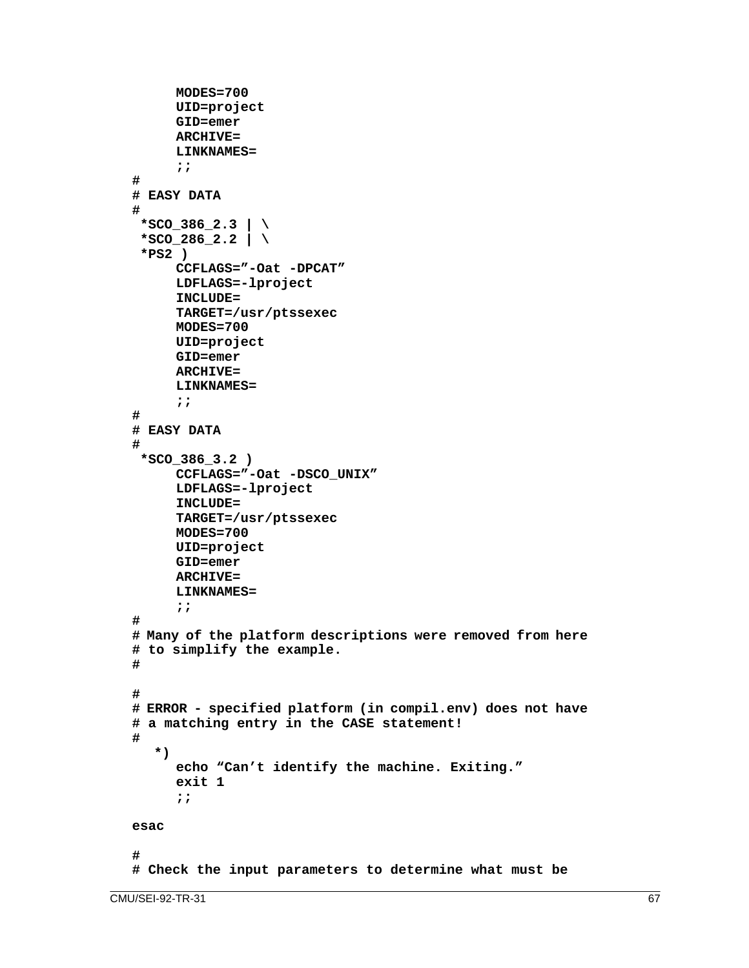```
MODES=700
     UID=project
     GID=emer
     ARCHIVE=
     LINKNAMES=
     ;;
#
# EASY DATA
#
 *SCO_386_2.3 | \
 *SCO_286_2.2 | \
  *PS2 )
     CCFLAGS="-Oat -DPCAT"
     LDFLAGS=-lproject
     INCLUDE=
     TARGET=/usr/ptssexec
     MODES=700
     UID=project
     GID=emer
     ARCHIVE=
     LINKNAMES=
     ;;
#
# EASY DATA
#
  *SCO_386_3.2 )
     CCFLAGS="-Oat -DSCO_UNIX"
     LDFLAGS=-lproject
     INCLUDE=
     TARGET=/usr/ptssexec
     MODES=700
     UID=project
     GID=emer
     ARCHIVE=
     LINKNAMES=
     ;;
#
# Many of the platform descriptions were removed from here
# to simplify the example.
#
#
# ERROR - specified platform (in compil.env) does not have
# a matching entry in the CASE statement!
#
  *)
     echo "Can't identify the machine. Exiting."
     exit 1
     ;;
esac
#
# Check the input parameters to determine what must be
```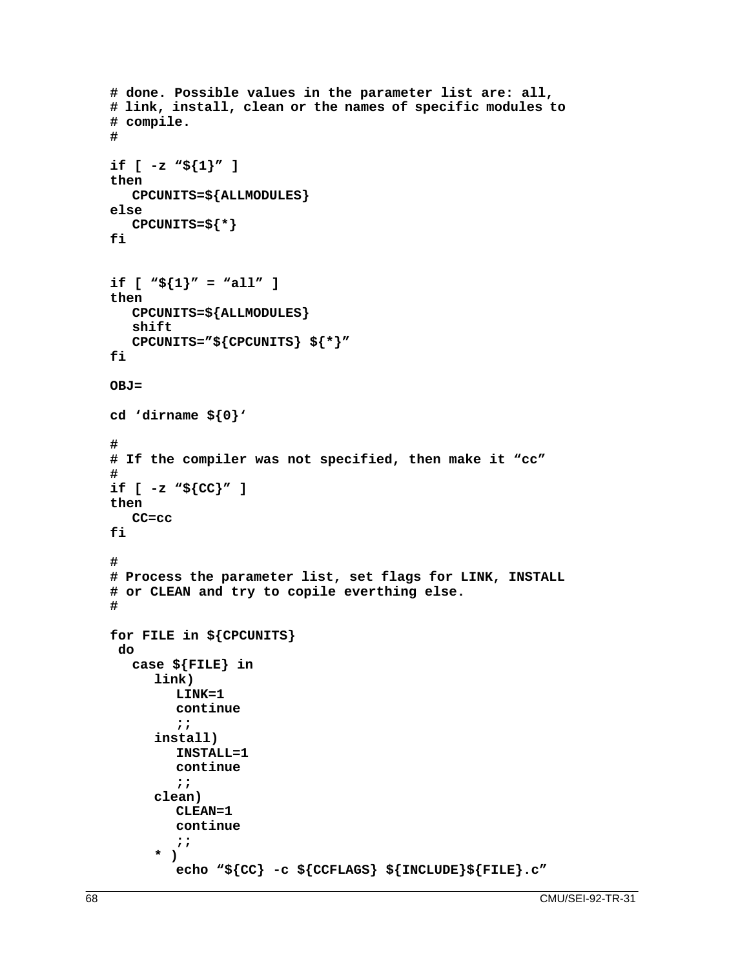```
# done. Possible values in the parameter list are: all,
# link, install, clean or the names of specific modules to
# compile.
#
if [ -z "${1}" ]
then
  CPCUNITS=${ALLMODULES}
else
   CPCUNITS=${*}
fi
if [ "\frac{5}{1}" = "all" ]
then
  CPCUNITS=${ALLMODULES}
  shift
  CPCUNITS="${CPCUNITS} ${*}"
fi
OBJ=
cd 'dirname ${0}'
#
# If the compiler was not specified, then make it "cc"
#
if [ -z "${CC}" ]
then
  CC=cc
fi
#
# Process the parameter list, set flags for LINK, INSTALL
# or CLEAN and try to copile everthing else.
#
for FILE in ${CPCUNITS}
  do
   case ${FILE} in
     link)
        LINK=1
        continue
        ;;
      install)
        INSTALL=1
        continue
        ;;
     clean)
        CLEAN=1
        continue
        ;;
     * )
        echo "${CC} -c ${CCFLAGS} ${INCLUDE}${FILE}.c"
```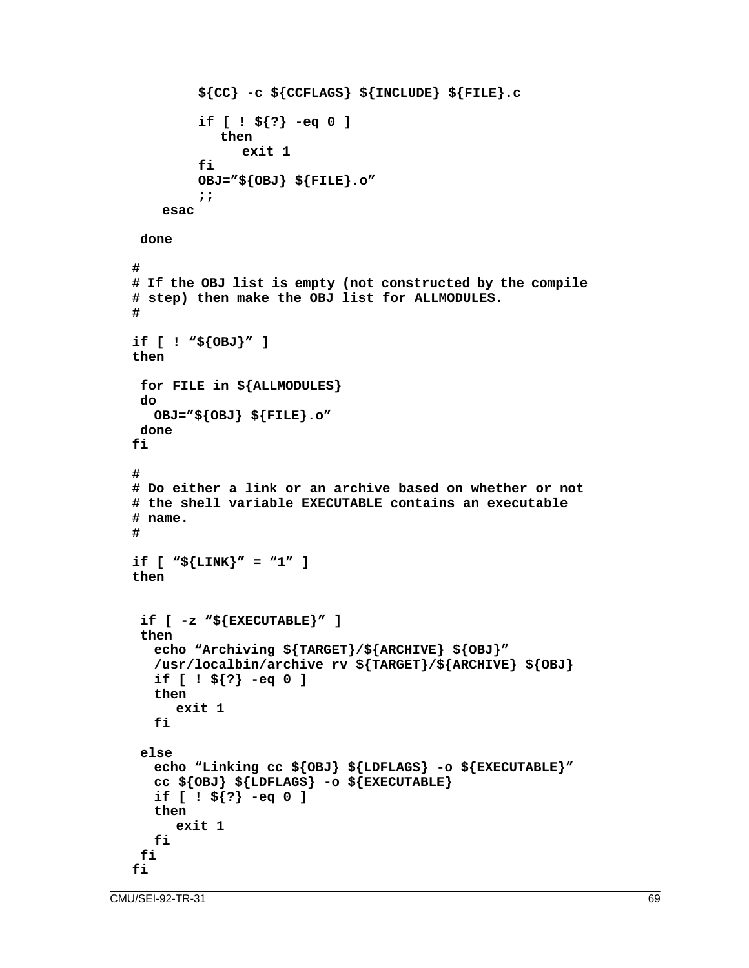```
${CC} -c ${CCFLAGS} ${INCLUDE} ${FILE}.c
        if [ ! ${?} -eq 0 ]
           then
              exit 1
        fi
        OBJ="${OBJ} ${FILE}.o"
        ;;
    esac
 done
#
# If the OBJ list is empty (not constructed by the compile
# step) then make the OBJ list for ALLMODULES.
#
if [ ! "${OBJ}" ]
then
 for FILE in ${ALLMODULES}
 do
  OBJ="${OBJ} ${FILE}.o"
 done
fi
#
# Do either a link or an archive based on whether or not
# the shell variable EXECUTABLE contains an executable
# name.
#
if [ "${LINK}" = "1" ]
then
 if [ -z "${EXECUTABLE}" ]
  then
  echo "Archiving ${TARGET}/${ARCHIVE} ${OBJ}"
  /usr/localbin/archive rv ${TARGET}/${ARCHIVE} ${OBJ}
  if [ ! ${?} -eq 0 ]
  then
     exit 1
  fi
 else
  echo "Linking cc ${OBJ} ${LDFLAGS} -o ${EXECUTABLE}"
  cc ${OBJ} ${LDFLAGS} -o ${EXECUTABLE}
  if [ ! ${?} -eq 0 ]
  then
     exit 1
  fi
 fi
fi
```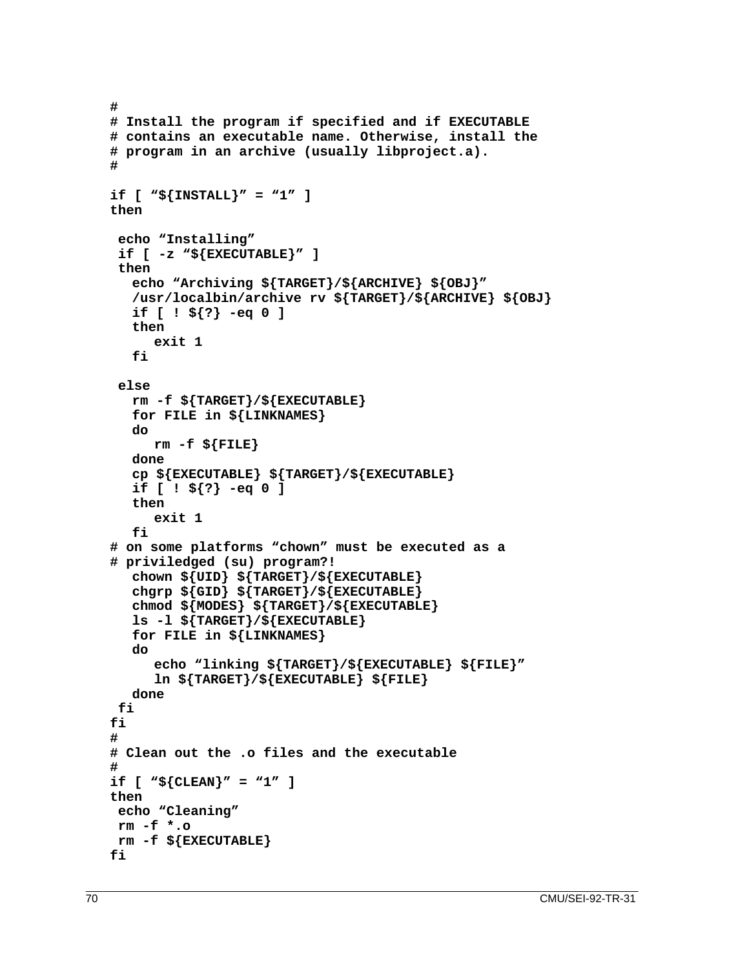```
#
# Install the program if specified and if EXECUTABLE
# contains an executable name. Otherwise, install the
# program in an archive (usually libproject.a).
#
if [ "${INSTALL}" = "1" ]
then
  echo "Installing"
  if [ -z "${EXECUTABLE}" ]
  then
  echo "Archiving ${TARGET}/${ARCHIVE} ${OBJ}"
  /usr/localbin/archive rv ${TARGET}/${ARCHIVE} ${OBJ}
  if [ ! ${?} -eq 0 ]
  then
     exit 1
  fi
  else
  rm -f ${TARGET}/${EXECUTABLE}
  for FILE in ${LINKNAMES}
  do
     rm -f ${FILE}
  done
  cp ${EXECUTABLE} ${TARGET}/${EXECUTABLE}
  if [ ! ${?} -eq 0 ]
  then
     exit 1
  fi
# on some platforms "chown" must be executed as a
# priviledged (su) program?!
  chown ${UID} ${TARGET}/${EXECUTABLE}
  chgrp ${GID} ${TARGET}/${EXECUTABLE}
  chmod ${MODES} ${TARGET}/${EXECUTABLE}
  ls -l ${TARGET}/${EXECUTABLE}
  for FILE in ${LINKNAMES}
  do
     echo "linking ${TARGET}/${EXECUTABLE} ${FILE}"
     ln ${TARGET}/${EXECUTABLE} ${FILE}
  done
 fi
fi
#
# Clean out the .o files and the executable
#
if [ "${CLEAN}" = "1" ]
then
 echo "Cleaning"
 rm -f *.o
 rm -f ${EXECUTABLE}
fi
```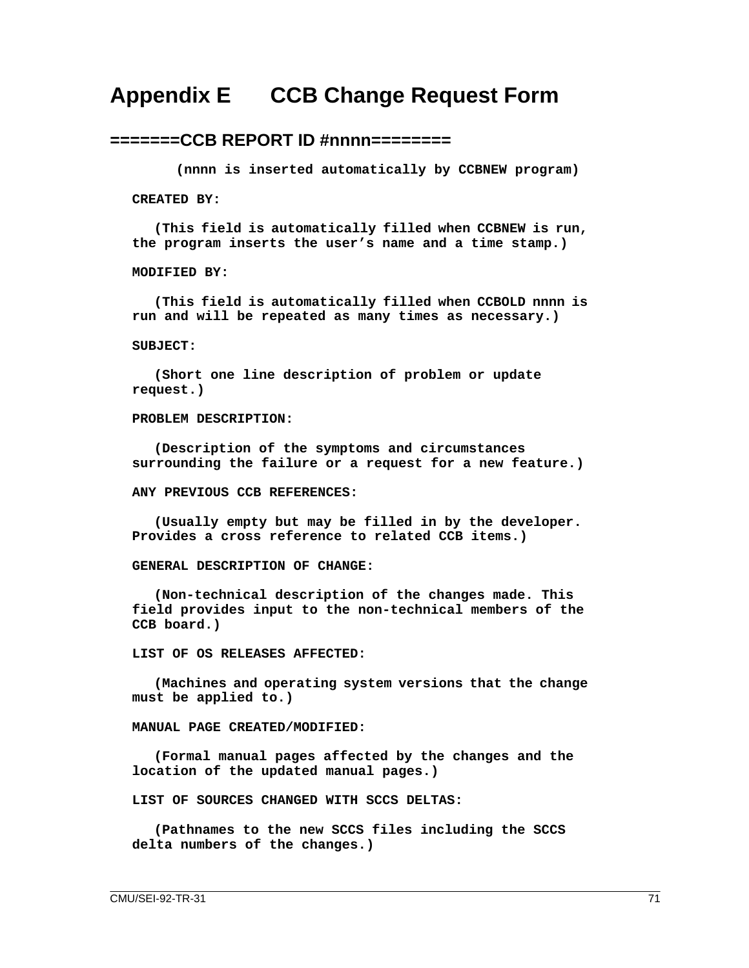## **Appendix E CCB Change Request Form**

### **=======CCB REPORT ID #nnnn========**

**(nnnn is inserted automatically by CCBNEW program)**

**CREATED BY:**

**(This field is automatically filled when CCBNEW is run, the program inserts the user's name and a time stamp.)**

**MODIFIED BY:**

**(This field is automatically filled when CCBOLD nnnn is run and will be repeated as many times as necessary.)**

#### **SUBJECT:**

**(Short one line description of problem or update request.)**

#### **PROBLEM DESCRIPTION:**

**(Description of the symptoms and circumstances surrounding the failure or a request for a new feature.)**

#### **ANY PREVIOUS CCB REFERENCES:**

**(Usually empty but may be filled in by the developer. Provides a cross reference to related CCB items.)**

**GENERAL DESCRIPTION OF CHANGE:**

**(Non-technical description of the changes made. This field provides input to the non-technical members of the CCB board.)**

#### **LIST OF OS RELEASES AFFECTED:**

**(Machines and operating system versions that the change must be applied to.)**

#### **MANUAL PAGE CREATED/MODIFIED:**

**(Formal manual pages affected by the changes and the location of the updated manual pages.)**

**LIST OF SOURCES CHANGED WITH SCCS DELTAS:**

**(Pathnames to the new SCCS files including the SCCS delta numbers of the changes.)**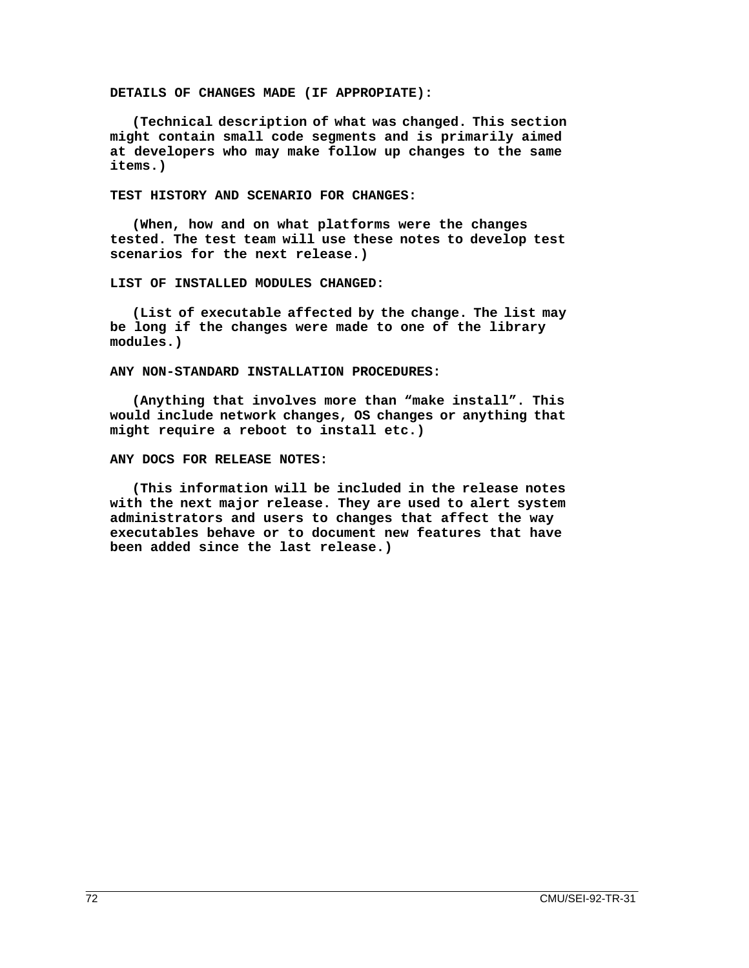**DETAILS OF CHANGES MADE (IF APPROPIATE):**

**(Technical description of what was changed. This section might contain small code segments and is primarily aimed at developers who may make follow up changes to the same items.)**

**TEST HISTORY AND SCENARIO FOR CHANGES:**

**(When, how and on what platforms were the changes tested. The test team will use these notes to develop test scenarios for the next release.)**

**LIST OF INSTALLED MODULES CHANGED:**

**(List of executable affected by the change. The list may be long if the changes were made to one of the library modules.)**

**ANY NON-STANDARD INSTALLATION PROCEDURES:**

**(Anything that involves more than "make install". This would include network changes, OS changes or anything that might require a reboot to install etc.)**

**ANY DOCS FOR RELEASE NOTES:**

**(This information will be included in the release notes with the next major release. They are used to alert system administrators and users to changes that affect the way executables behave or to document new features that have been added since the last release.)**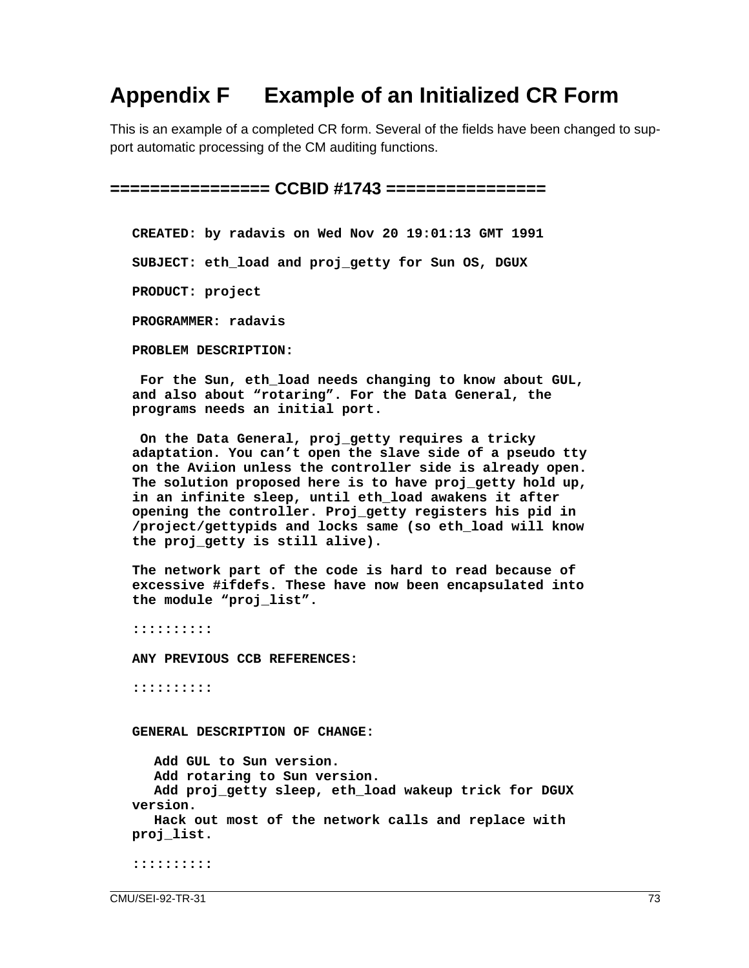# **Appendix F Example of an Initialized CR Form**

This is an example of a completed CR form. Several of the fields have been changed to support automatic processing of the CM auditing functions.

**================ CCBID #1743 ================**

**CREATED: by radavis on Wed Nov 20 19:01:13 GMT 1991**

**SUBJECT: eth\_load and proj\_getty for Sun OS, DGUX**

**PRODUCT: project**

**PROGRAMMER: radavis**

**PROBLEM DESCRIPTION:**

 **For the Sun, eth\_load needs changing to know about GUL, and also about "rotaring". For the Data General, the programs needs an initial port.**

 **On the Data General, proj\_getty requires a tricky adaptation. You can't open the slave side of a pseudo tty on the Aviion unless the controller side is already open. The solution proposed here is to have proj\_getty hold up, in an infinite sleep, until eth\_load awakens it after opening the controller. Proj\_getty registers his pid in /project/gettypids and locks same (so eth\_load will know the proj\_getty is still alive).**

**The network part of the code is hard to read because of excessive #ifdefs. These have now been encapsulated into the module "proj\_list".**

**::::::::::**

**ANY PREVIOUS CCB REFERENCES:**

**::::::::::**

**GENERAL DESCRIPTION OF CHANGE:**

**Add GUL to Sun version. Add rotaring to Sun version. Add proj\_getty sleep, eth\_load wakeup trick for DGUX version. Hack out most of the network calls and replace with proj\_list.**

**::::::::::**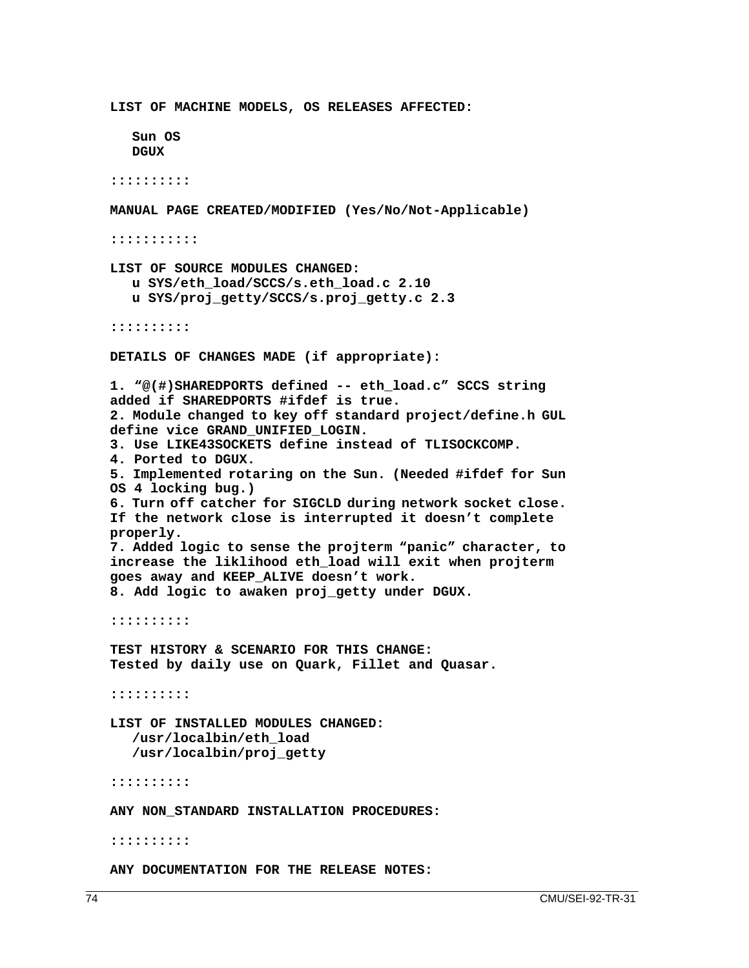**LIST OF MACHINE MODELS, OS RELEASES AFFECTED: Sun OS DGUX :::::::::: MANUAL PAGE CREATED/MODIFIED (Yes/No/Not-Applicable) ::::::::::: LIST OF SOURCE MODULES CHANGED: u SYS/eth\_load/SCCS/s.eth\_load.c 2.10 u SYS/proj\_getty/SCCS/s.proj\_getty.c 2.3 :::::::::: DETAILS OF CHANGES MADE (if appropriate): 1. "@(#)SHAREDPORTS defined -- eth\_load.c" SCCS string added if SHAREDPORTS #ifdef is true. 2. Module changed to key off standard project/define.h GUL define vice GRAND\_UNIFIED\_LOGIN. 3. Use LIKE43SOCKETS define instead of TLISOCKCOMP. 4. Ported to DGUX. 5. Implemented rotaring on the Sun. (Needed #ifdef for Sun OS 4 locking bug.) 6. Turn off catcher for SIGCLD during network socket close. If the network close is interrupted it doesn't complete properly. 7. Added logic to sense the projterm "panic" character, to increase the liklihood eth\_load will exit when projterm goes away and KEEP\_ALIVE doesn't work. 8. Add logic to awaken proj\_getty under DGUX. :::::::::: TEST HISTORY & SCENARIO FOR THIS CHANGE: Tested by daily use on Quark, Fillet and Quasar. :::::::::: LIST OF INSTALLED MODULES CHANGED: /usr/localbin/eth\_load /usr/localbin/proj\_getty :::::::::: ANY NON\_STANDARD INSTALLATION PROCEDURES: :::::::::: ANY DOCUMENTATION FOR THE RELEASE NOTES:**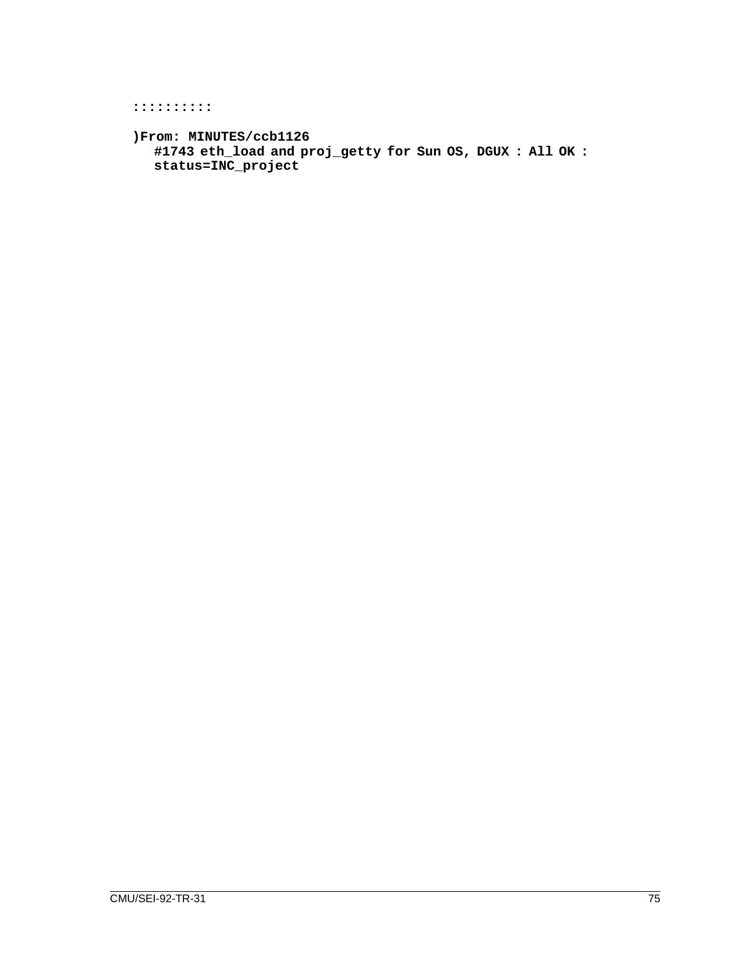### **::::::::::**

```
)From: MINUTES/ccb1126
  #1743 eth_load and proj_getty for Sun OS, DGUX : All OK :
  status=INC_project
```